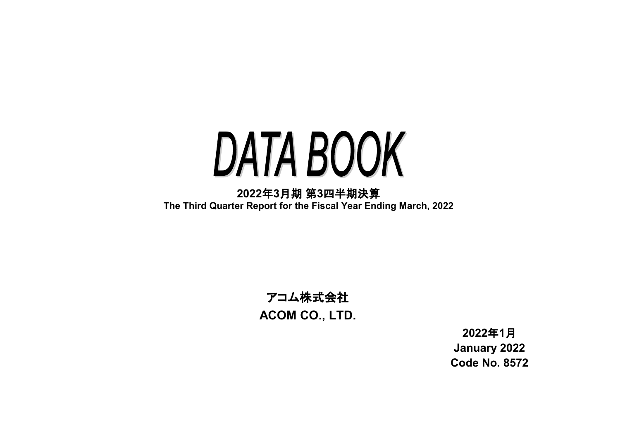# DATA BOOK

**2022**年**3**月期 第**3**四半期決算 **The Third Quarter Report for the Fiscal Year Ending March, 2022**

# アコム株式会社 **ACOM CO., LTD.**

**2022**年**1**月 **January 2022 Code No. 8572**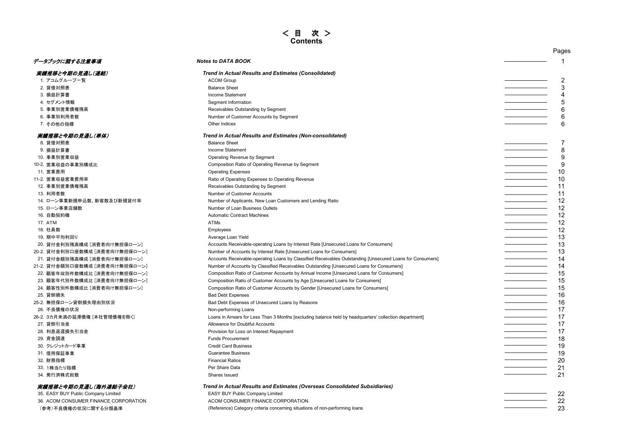# < 目 次 > **Contents**

|                                       |                                                                                                           | Pages |
|---------------------------------------|-----------------------------------------------------------------------------------------------------------|-------|
| データブックに関する注意事項                        | <b>Notes to DATA BOOK</b>                                                                                 |       |
| 実績推移と今期の見通し(連結)                       | <b>Trend in Actual Results and Estimates (Consolidated)</b>                                               |       |
| 1. アコムグループー覧                          | <b>ACOM Group</b>                                                                                         | 2     |
| 2. 貸借対照表                              | <b>Balance Sheet</b>                                                                                      | 3     |
| 3. 損益計算書                              | Income Statement                                                                                          | 4     |
| 4. セグメント情報                            | Segment Information                                                                                       | 5     |
| 5. 事業別営業債権残高                          | Receivables Outstanding by Segment                                                                        | 6     |
| 6. 事業別利用者数                            | Number of Customer Accounts by Segment                                                                    | 6     |
| 7. その他の指標                             | Other Indices                                                                                             | 6     |
| 実績推移と今期の見通し(単体)                       | Trend in Actual Results and Estimates (Non-consolidated)                                                  |       |
| 8. 貸借対照表                              | <b>Balance Sheet</b>                                                                                      | 7     |
| 9. 損益計算書                              | Income Statement                                                                                          | 8     |
| 10. 事業別営業収益                           | Operating Revenue by Segment                                                                              | 9     |
| 10-2. 営業収益の事業別構成比                     | Composition Ratio of Operating Revenue by Segment                                                         | 9     |
| 11. 営業費用                              | <b>Operating Expenses</b>                                                                                 | 10    |
| 11-2. 営業収益営業費用率                       | Ratio of Operating Expenses to Operating Revenue                                                          | 10    |
| 12. 事業別営業債権残高                         | Receivables Outstanding by Segment                                                                        | 11    |
| 13. 利用者数                              | Number of Customer Accounts                                                                               | 11    |
| 14. ローン事業新規申込数、新客数及び新規貸付率             | Number of Applicants, New Loan Customers and Lending Ratio                                                | 12    |
| 15. ローン事業店舗数                          | Number of Loan Business Outlets                                                                           | 12    |
| 16. 自動契約機                             | <b>Automatic Contract Machines</b>                                                                        | 12    |
| 17. ATM                               | ATMs                                                                                                      | 12    |
| 18. 社員数                               | Employees                                                                                                 | 12    |
| 19. 期中平均利回り                           | Average Loan Yield                                                                                        | 13    |
| 20. 貸付金利別残高構成 [消費者向け無担保ローン]           | Accounts Receivable-operating Loans by Interest Rate [Unsecured Loans for Consumers]                      | 13    |
| 20-2. 貸付金利別口座数構成 [消費者向け無担保ローン]        | Number of Accounts by Interest Rate [Unsecured Loans for Consumers]                                       | 13    |
| 21. 貸付金額別残高構成 [消費者向け無担保ローン]           | Accounts Receivable-operating Loans by Classified Receivables Outstanding [Unsecured Loans for Consumers] | 14    |
| 21-2. 貸付金額別口座数構成 [消費者向け無担保ローン]        | Number of Accounts by Classified Receivables Outstanding [Unsecured Loans for Consumers]                  | 14    |
| 22. 顧客年収別件数構成比 [消費者向け無担保ローン]          | Composition Ratio of Customer Accounts by Annual Income [Unsecured Loans for Consumers]                   | 15    |
| 23. 顧客年代別件数構成比 [消費者向け無担保ローン]          | Composition Ratio of Customer Accounts by Age [Unsecured Loans for Consumers]                             | 15    |
| 24. 顧客性別件数構成比 [消費者向け無担保ローン]           | Composition Ratio of Customer Accounts by Gender [Unsecured Loans for Consumers]                          | 15    |
| 25. 貸倒損失                              | <b>Bad Debt Expenses</b>                                                                                  | 16    |
| 25-2. 無担保ローン貸倒損失理由別状況                 | Bad Debt Expenses of Unsecured Loans by Reasons                                                           | 16    |
| 26. 不良債権の状況                           | Non-performing Loans                                                                                      | 17    |
| 26-2. 3カ月未満の延滞債権 [本社管理債権を除く]          | Loans in Arrears for Less Than 3 Months [excluding balance held by headquarters' collection department]   | 17    |
| 27. 貸倒引当金                             | Allowance for Doubtful Accounts                                                                           | 17    |
| 28. 利息返還損失引当金                         | Provision for Loss on Interest Repayment                                                                  | 17    |
| 29. 資金調達                              | <b>Funds Procurement</b>                                                                                  | 18    |
| 30. クレジットカード事業                        | <b>Credit Card Business</b>                                                                               | 19    |
| 31. 信用保証事業                            | <b>Guarantee Business</b>                                                                                 | 19    |
| 32. 財務指標                              | <b>Financial Ratios</b>                                                                                   | 20    |
| 33. 1株当たり指標                           | Per Share Data                                                                                            | 21    |
| 34. 発行済株式総数                           | Shares Issued                                                                                             | 21    |
| 実績推移と今期の見通し(海外連結子会社)                  | Trend in Actual Results and Estimates (Overseas Consolidated Subsidiaries)                                |       |
| 35. EASY BUY Public Company Limited   | EASY BUY Public Company Limited                                                                           | 22    |
| 36. ACOM CONSUMER FINANCE CORPORATION | ACOM CONSUMER FINANCE CORPORATION                                                                         | 22    |
| (参考)不良債権の状況に関する分類基準                   | (Reference) Category criteria concerning situations of non-performing loans                               | 23    |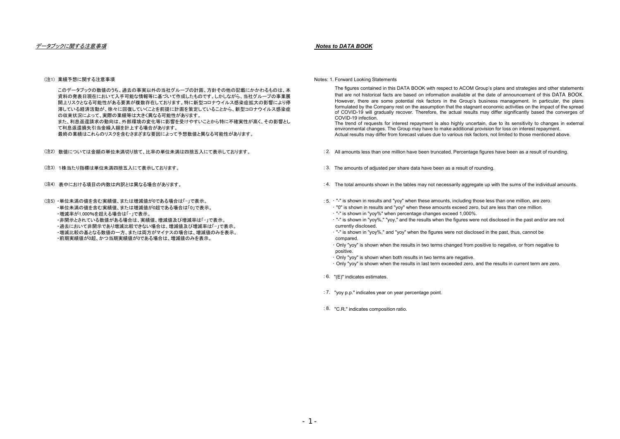### データブックに関する注意事項 *Notes to DATA BOOK*

### (注1) 業績予想に関する注音事項

このデータブックの数値のうち、過去の事実以外の当社グループの計画、方針その他の記載にかかわるものは、本 資料の発表日現在において入手可能な情報等に基づいて作成したものです。しかしながら、当社グループの事業展 開上リスクとなる可能性がある要素が複数存在しております。特に新型コロナウイルス感染症拡大の影響により停 滞している経済活動が、徐々に回復していくことを前提に計画を策定していることから、新型コロナウイルス感染症 の収束状況によって、実際の業績等は大きく異なる可能性があります。 また、利息返還請求の動向は、外部環境の変化等に影響を受けやすいことから特に不確実性が高く、その影響とし て利息返還損失引当金繰入額を計上する場合があります。 最終の業績はこれらのリスクを含むさまざまな要因によって予想数値と異なる可能性があります。

(注2) : 2. 数値については金額の単位未満切り捨て、比率の単位未満は四捨五入にて表示しております。

- (注3)1株当たり指標は単位未満四捨五入にて表示しております。 とんどう しょうしん しょうしん しゅうしん しゅうしん いんしょう いっこう
- (注4) : 4. 表中における項目の内数は内訳とは異なる場合があります。

(注5)・単位未満の値を含む実績値、または増減値が0である場合は「-」で表示。 ・単位未満の値を含む実績値、または増減値が0超である場合は「0」で表示。 ・増減率が1,000%を超える場合は「-」で表示。 ・非開示とされている数値がある場合は、実績値、増減値及び増減率は「-」で表示。 ・過去において非開示であり増減比較できない場合は、増減値及び増減率は「-」で表示。 ・増減比較の基となる数値の一方、または両方がマイナスの場合は、増減値のみを表示。 ・前期実績値が0超、かつ当期実績値が0である場合は、増減値のみを表示。

Notes: 1. Forward Looking Statements

The figures contained in this DATA BOOK with respect to ACOM Group's plans and strategies and other statements that are not historical facts are based on information available at the date of announcement of this DATA BOOK. However, there are some potential risk factors in the Group's business management. In particular, the plans formulated by the Company rest on the assumption that the stagnant economic activities on the impact of the spread of COVID-19 will gradually recover. Therefore, the actual results may differ significantly based the converges of COVID-19 infection.

The trend of requests for interest repayment is also highly uncertain, due to its sensitivity to changes in external environmental changes. The Group may have to make additional provision for loss on interest repayment. Actual results may differ from forecast values due to various risk factors, not limited to those mentioned above.

- All amounts less than one million have been truncated. Percentage figures have been as a result of rounding.
- : 3. The amounts of adjusted per share data have been as a result of rounding.
- : 4. The total amounts shown in the tables may not necessarily aggregate up with the sums of the individual amounts.
- : 5. · "-" is shown in results and "yoy" when these amounts, including those less than one million, are zero. ・ "0" is shown in results and "yoy" when these amounts exceed zero, but are less than one million.
	- ・ "-" is shown in "yoy%" when percentage changes exceed 1,000%.
	- ・ "-" is shown in "yoy%," "yoy," and the results when the figures were not disclosed in the past and/or are not currently disclosed.
	- ・ "-" is shown in "yoy%," and "yoy" when the figures were not disclosed in the past, thus, cannot be compared.
	- ・ Only "yoy" is shown when the results in two terms changed from positive to negative, or from negative to positive.
	- ・ Only "yoy" is shown when both results in two terms are negative.
	- ・ Only "yoy" is shown when the results in last term exceeded zero, and the results in current term are zero.
- : 6. "(E)" indicates estimates.
- : 7. "yoy p.p." indicates year on year percentage point.
- : 8. "C.R." indicates composition ratio.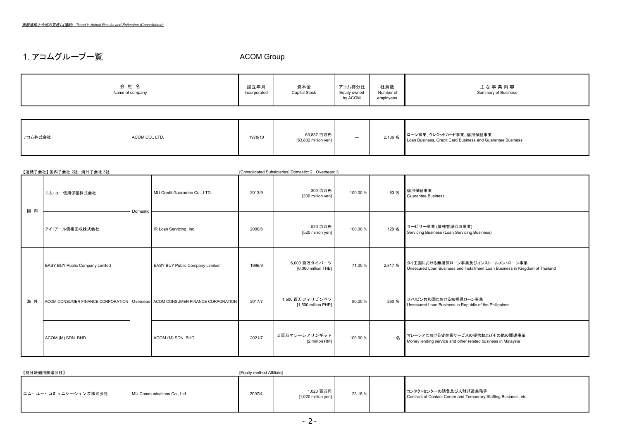# 1. アコムグループ一覧 そうしゃ ACOM Group

| 社員数<br>資本金<br>会 社 名<br>設立年月<br>アコム持分比<br>主な事業内容<br>Summary of Business<br>Number of<br>Capital Stock<br>Equity owned<br>Name of company<br>Incorporated<br>employees<br>by ACOM |
|---------------------------------------------------------------------------------------------------------------------------------------------------------------------------------|
|---------------------------------------------------------------------------------------------------------------------------------------------------------------------------------|

| アコム株式会社 | ACOM CO., LTD. | 1978/10 | 63,832 百万円<br>[63,832 million yen] | $\overline{\phantom{0}}$ | 2,136 名 | ローン事業、クレジットカード事業、信用保証事業<br>Loan Business, Credit Card Business and Guarantee Business |
|---------|----------------|---------|------------------------------------|--------------------------|---------|---------------------------------------------------------------------------------------|
|---------|----------------|---------|------------------------------------|--------------------------|---------|---------------------------------------------------------------------------------------|

|     | 【連結子会社】 国内子会社 2社 海外子会社 3社       |          |                                                                                  |        | [Consolidated Subsidiaries] Domestic: 2 Overseas: 3 |          |         |                                                                                                                  |
|-----|---------------------------------|----------|----------------------------------------------------------------------------------|--------|-----------------------------------------------------|----------|---------|------------------------------------------------------------------------------------------------------------------|
| 国内  | エム・ユー信用保証株式会社                   |          | MU Credit Guarantee Co., LTD.                                                    | 2013/9 | 300 百万円<br>[300 million yen]                        | 100.00 % | 83名     | 信用保証事業<br><b>Guarantee Business</b>                                                                              |
|     | アイ・アール債権回収株式会社                  | Domestic | IR Loan Servicing, Inc.                                                          | 2000/6 | 520 百万円<br>[520 million yen]                        | 100.00 % | 129名    | サービサー事業 (債権管理回収事業)<br>Servicing Business (Loan Servicing Business)                                               |
|     | EASY BUY Public Company Limited |          | EASY BUY Public Company Limited                                                  | 1996/9 | 6,000 百万タイバーツ<br>[6,000 million THB]                | 71.00 %  | 2.817 名 | タイ王国における無担保ローン事業及びインストールメントローン事業<br>Unsecured Loan Business and Installment Loan Business in Kingdom of Thailand |
| 海 外 |                                 |          | ACOM CONSUMER FINANCE CORPORATION   Overseas   ACOM CONSUMER FINANCE CORPORATION | 2017/7 | 1,500 百万フィリピンペソ<br>[1,500 million PHP]              | 80.00 %  | 260 名   | フィリピン共和国における無担保ローン事業<br>Unsecured Loan Business in Republic of the Philippines                                   |
|     | ACOM (M) SDN. BHD.              |          | ACOM (M) SDN. BHD.                                                               | 2021/7 | 2百万マレーシアリンギット<br>[2 million RM]                     | 100.00 % | $-42$   | マレーシアにおける貸金業サービスの提供およびその他の関連事業<br>Money lending service and other related business in Malaysia                   |

| 【持分法適用関連会社】           |                             | [Equity-method Affiliate] |                                    |         |                          |                                                                                            |
|-----------------------|-----------------------------|---------------------------|------------------------------------|---------|--------------------------|--------------------------------------------------------------------------------------------|
| ■エム・ユー・コミュニケーションズ株式会社 | MU Communications Co., Ltd. | 2007/4                    | 1,020 百万円<br>$[1,020$ million yen] | 23.15 % | $\overline{\phantom{0}}$ | ■コンタクトセンターの請負及び人財派遣業務等<br>Contract of Contact Center and Temporary Staffing Business, etc. |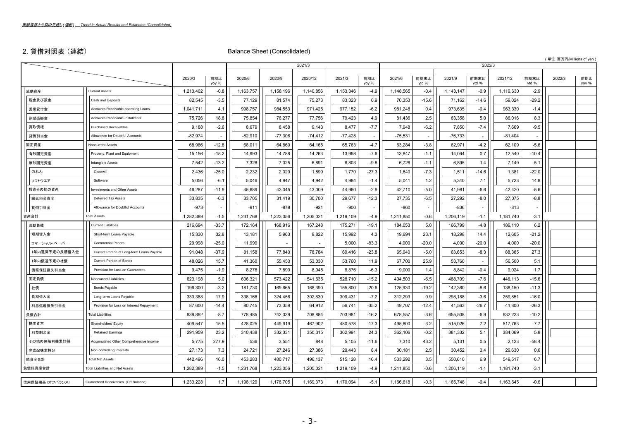# 2. 貸借対照表 (連結) Balance Sheet (Consolidated)

( 単位:百万円/Millions of yen )

|                 |                                            |           |                          |           |           | 2021/3    |           |                          |           |                          |           | 2022/3                   |           |               |        |              |
|-----------------|--------------------------------------------|-----------|--------------------------|-----------|-----------|-----------|-----------|--------------------------|-----------|--------------------------|-----------|--------------------------|-----------|---------------|--------|--------------|
|                 |                                            | 2020/3    | 前期比<br>yoy %             | 2020/6    | 2020/9    | 2020/12   | 2021/3    | 前期比<br>yoy %             | 2021/6    | 前期末比<br>ytd %            | 2021/9    | 前期末比<br>ytd %            | 2021/12   | 前期末比<br>ytd % | 2022/3 | 前期比<br>yoy % |
| 流動資産            | <b>Current Assets</b>                      | 1,213,402 | $-0.8$                   | 1,163,757 | 1,158,196 | 1,140,856 | 1,153,346 | $-4.9$                   | 1,148,565 | $-0.4$                   | 1,143,147 | $-0.9$                   | 1,119,630 | $-2.9$        |        |              |
| 現金及び預金          | Cash and Deposits                          | 82,545    | $-3.5$                   | 77,129    | 81,574    | 75,273    | 83,323    | 0.9                      | 70,353    | $-15.6$                  | 71,162    | $-14.6$                  | 59,024    | $-29.2$       |        |              |
| 営業貸付金           | Accounts Receivable-operating Loans        | 1,041,711 | 4.1                      | 998,757   | 984,553   | 971,425   | 977,152   | $-6.2$                   | 981,248   | 0.4                      | 973,635   | $-0.4$                   | 963,330   | $-1.4$        |        |              |
| 割賦売掛金           | Accounts Receivable-installment            | 75,726    | 18.8                     | 75,854    | 76,277    | 77,756    | 79,423    | 4.9                      | 81,436    | 2.5                      | 83.358    | 5.0                      | 86,016    | 8.3           |        |              |
| 買取債権            | <b>Purchased Receivables</b>               | 9,188     | $-2.6$                   | 8,679     | 8,458     | 9,143     | 8,477     | $-7.7$                   | 7,948     | $-6.2$                   | 7,850     | $-7.4$                   | 7,669     | $-9.5$        |        |              |
| 貸倒引当金           | Allowance for Doubtful Accounts            | $-82,974$ | $\overline{\phantom{a}}$ | $-82,910$ | $-77,306$ | $-74,412$ | $-77,428$ | $\overline{\phantom{a}}$ | $-75,531$ | $\overline{\phantom{a}}$ | $-76,733$ | $\overline{\phantom{a}}$ | $-81,404$ |               |        |              |
| 固定資産            | <b>Noncurrent Assets</b>                   | 68,986    | $-12.8$                  | 68,011    | 64,860    | 64,165    | 65.763    | $-4.7$                   | 63,284    | $-3.8$                   | 62.971    | $-4.2$                   | 62,109    | $-5.6$        |        |              |
| 有形固定資産          | Property, Plant and Equipment              | 15,156    | $-15.2$                  | 14,993    | 14,788    | 14,263    | 13,998    | $-7.6$                   | 13,847    | $-1.1$                   | 14,094    | 0.7                      | 12,540    | $-10.4$       |        |              |
| 無形固定資産          | Intangible Assets                          | 7,542     | $-13.2$                  | 7,328     | 7,025     | 6,891     | 6,803     | $-9.8$                   | 6,726     | $-1.1$                   | 6.895     | 1.4                      | 7,149     | 5.1           |        |              |
| のれん             | Goodwill                                   | 2,436     | $-25.0$                  | 2,232     | 2,029     | 1,899     | 1,770     | $-27.3$                  | 1,640     | $-7.3$                   | 1,511     | $-14.6$                  | 1,381     | $-22.0$       |        |              |
| ソフトウエア          | Software                                   | 5.056     | $-6.1$                   | 5,046     | 4,947     | 4,942     | 4,984     | $-1.4$                   | 5,041     | 1.2                      | 5,340     | 7.1                      | 5,723     | 14.8          |        |              |
| 投資その他の資産        | Investments and Other Assets               | 46,287    | $-11.9$                  | 45,689    | 43,045    | 43,009    | 44,960    | $-2.9$                   | 42,710    | $-5.0$                   | 41,981    | $-6.6$                   | 42,420    | $-5.6$        |        |              |
| 繰延税金資産          | Deferred Tax Assets                        | 33,835    | $-6.3$                   | 33,705    | 31,419    | 30,700    | 29,677    | $-12.3$                  | 27,735    | $-6.5$                   | 27,292    | $-8.0$                   | 27,075    | $-8.8$        |        |              |
| 貸倒引当金           | Allowance for Doubtful Accounts            | $-973$    |                          | $-911$    | $-878$    | $-921$    | $-900$    |                          | $-860$    |                          | $-836$    |                          | $-813$    |               |        |              |
| 資産合計            | <b>Total Assets</b>                        | 1,282,389 | $-1.5$                   | 1,231,768 | 1,223,056 | 1,205,021 | 1,219,109 | $-4.9$                   | 1,211,850 | $-0.6$                   | 1,206,119 | $-1.1$                   | 1,181,740 | $-3.1$        |        |              |
| 流動負債            | <b>Current Liabilities</b>                 | 216,694   | $-33.7$                  | 172,164   | 168,916   | 167,248   | 175,271   | $-19.1$                  | 184,053   | 5.0                      | 166,799   | $-4.8$                   | 186,110   | 6.2           |        |              |
| 短期借入金           | Short-term Loans Payable                   | 15,330    | 32.8                     | 13,181    | 5,963     | 9,822     | 15,992    | 4.3                      | 19,694    | 23.1                     | 18,298    | 14.4                     | 12,605    | $-21.2$       |        |              |
| コマーシャル・ペーパー     | <b>Commercial Papers</b>                   | 29,998    | $-25.0$                  | 11,999    |           |           | 5,000     | $-83.3$                  | 4,000     | $-20.0$                  | 4,000     | $-20.0$                  | 4,000     | $-20.0$       |        |              |
| 1年内返済予定の長期借入金   | Current Portion of Long-term Loans Payable | 91,048    | $-37.9$                  | 81,158    | 77,840    | 78,784    | 69,416    | $-23.8$                  | 65,940    | $-5.0$                   | 63,653    | $-8.3$                   | 88,385    | 27.3          |        |              |
| 1年内償還予定の社債      | <b>Current Portion of Bonds</b>            | 48,026    | 15.7                     | 41,360    | 55,450    | 53,030    | 53,760    | 11.9                     | 67,700    | 25.9                     | 53,760    | $\overline{\phantom{a}}$ | 56,500    | 5.1           |        |              |
| 債務保証損失引当金       | Provision for Loss on Guarantees           | 9.475     | $-1.9$                   | 8,276     | 7,890     | 8,045     | 8,876     | $-6.3$                   | 9,000     | 1.4                      | 8,842     | $-0.4$                   | 9.024     | 1.7           |        |              |
| 固定負債            | Noncurrent Liabilities                     | 623,198   | 5.0                      | 606,321   | 573,422   | 541,635   | 528,710   | $-15.2$                  | 494,503   | $-6.5$                   | 488,709   | $-7.6$                   | 446,113   | $-15.6$       |        |              |
| 社債              | <b>Bonds Payable</b>                       | 196,300   | $-3.2$                   | 181,730   | 169,665   | 168,390   | 155,800   | $-20.6$                  | 125,930   | $-19.2$                  | 142,360   | $-8.6$                   | 138,150   | $-11.3$       |        |              |
| 長期借入金           | Long-term Loans Payable                    | 333,388   | 17.9                     | 338,166   | 324,456   | 302,830   | 309,431   | $-7.2$                   | 312,293   | 0.9                      | 298,188   | $-3.6$                   | 259,851   | $-16.0$       |        |              |
| 利息返還損失引当金       | Provision for Loss on Interest Repayment   | 87,600    | $-14.4$                  | 80,745    | 73,359    | 64,912    | 56,741    | $-35.2$                  | 49,707    | $-12.4$                  | 41,563    | $-26.7$                  | 41,800    | $-26.3$       |        |              |
| 負債合計            | <b>Total Liabilities</b>                   | 839,892   | $-8.7$                   | 778,485   | 742,339   | 708,884   | 703,981   | $-16.2$                  | 678,557   | $-3.6$                   | 655,508   | $-6.9$                   | 632,223   | $-10.2$       |        |              |
| 株主資本            | Shareholders' Equity                       | 409,547   | 15.5                     | 428,025   | 449,919   | 467,902   | 480,578   | 17.3                     | 495,800   | 3.2                      | 515,026   | 7.2                      | 517,763   | 7.7           |        |              |
| 利益剰余金           | <b>Retained Earnings</b>                   | 291,959   | 23.2                     | 310,438   | 332,331   | 350,315   | 362,991   | 24.3                     | 362,106   | $-0.2$                   | 381,332   | 5.1                      | 384,069   | 5.8           |        |              |
| その他の包括利益累計額     | Accumulated Other Comprehensive Income     | 5,775     | 277.9                    | 536       | 3,551     | 848       | 5,105     | $-11.6$                  | 7,310     | 43.2                     | 5,131     | 0.5                      | 2,123     | $-58.4$       |        |              |
| 非支配株主持分         | Non-controlling Interests                  | 27,173    | 7.3                      | 24,721    | 27,246    | 27,386    | 29,443    | 8.4                      | 30,181    | 2.5                      | 30,452    | 3.4                      | 29,630    | 0.6           |        |              |
| 純資産合計           | <b>Total Net Assets</b>                    | 442,496   | 16.0                     | 453,283   | 480,717   | 496,137   | 515,128   | 16.4                     | 533,292   | 3.5                      | 550,610   | 6.9                      | 549,517   | 6.7           |        |              |
| 負債純資産合計         | <b>Total Liabilities and Net Assets</b>    | 1,282,389 | $-1.5$                   | 1,231,768 | 1,223,056 | 1,205,021 | 1,219,109 | $-4.9$                   | 1,211,850 | $-0.6$                   | 1,206,119 | $-1.1$                   | 1,181,740 | $-3.1$        |        |              |
| 信用保証残高 (オフバランス) | Guaranteed Receivables (Off Balance)       | 1,233,228 | 1.7                      | 1,198,129 | 1,178,705 | 1,169,373 | 1,170,094 | $-5.1$                   | 1,166,618 | $-0.3$                   | 1,165,748 | $-0.4$                   | 1,163,645 | $-0.6$        |        |              |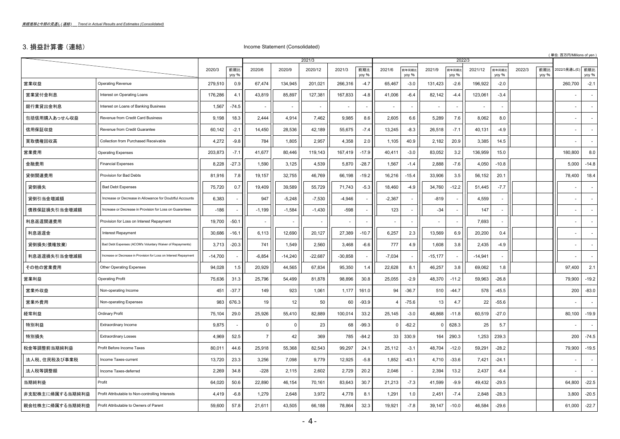# 3. 損益計算書 (連結) Income Statement (Consolidated)

|                 |                                                                  |           |              |                |           |           |           |              |                |                          |           | 2022/3                   |           |                          |        |              | (単位:百万円/Millions of yen |                          |
|-----------------|------------------------------------------------------------------|-----------|--------------|----------------|-----------|-----------|-----------|--------------|----------------|--------------------------|-----------|--------------------------|-----------|--------------------------|--------|--------------|-------------------------|--------------------------|
|                 |                                                                  |           |              |                |           | 2021/3    |           |              |                |                          |           |                          |           |                          |        |              |                         |                          |
|                 |                                                                  | 2020/3    | 前期比<br>yoy % | 2020/6         | 2020/9    | 2020/12   | 2021/3    | 前期比<br>yoy % | 2021/6         | 前年同期比<br>yoy %           | 2021/9    | 前年同期比<br>yoy %           | 2021/12   | 前年同期比<br>yoy %           | 2022/3 | 前期比<br>yoy % | 2022/3見通し(E)            | 前期比<br>yoy %             |
| 営業収益            | <b>Operating Revenue</b>                                         | 279,510   | 0.9          | 67,474         | 134,945   | 201,021   | 266,316   | $-4.7$       | 65,467         | $-3.0$                   | 131,423   | $-2.6$                   | 196,922   | $-2.0$                   |        |              | 260,700                 | $-2.1$                   |
| 営業貸付金利息         | Interest on Operating Loans                                      | 176,286   | 4.1          | 43,819         | 85,897    | 127,381   | 167,833   | $-4.8$       | 41,006         | $-6.4$                   | 82,142    | $-4.4$                   | 123,061   | $-3.4$                   |        |              |                         |                          |
| 銀行業貸出金利息        | Interest on Loans of Banking Business                            | 1,567     | $-74.5$      |                |           |           |           |              |                |                          |           |                          |           |                          |        |              |                         |                          |
| 包括信用購入あっせん収益    | Revenue from Credit Card Business                                | 9,198     | 18.3         | 2.444          | 4,914     | 7,462     | 9,985     | 8.6          | 2,605          | 6.6                      | 5,289     | 7.6                      | 8,062     | 8.0                      |        |              |                         |                          |
| 信用保証収益          | Revenue from Credit Guarantee                                    | 60,142    | $-2.1$       | 14,450         | 28,536    | 42,189    | 55,675    | $-7.4$       | 13,245         | $-8.3$                   | 26,518    | $-7.1$                   | 40,131    | $-4.9$                   |        |              |                         |                          |
| 買取債権回収高         | Collection from Purchased Receivable                             | 4,272     | $-9.8$       | 784            | 1,805     | 2,957     | 4,358     | 2.0          | 1,105          | 40.9                     | 2,182     | 20.9                     | 3,385     | 14.5                     |        |              |                         | $\overline{\phantom{a}}$ |
| 営業費用            | <b>Operating Expenses</b>                                        | 203,873   | $-7.1$       | 41,677         | 80,446    | 119,143   | 167,419   | $-17.9$      | 40,411         | $-3.0$                   | 83,052    | 3.2                      | 136,959   | 15.0                     |        |              | 180,800                 | 8.0                      |
| 金融費用            | <b>Financial Expenses</b>                                        | 8,228     | $-27.3$      | 1,590          | 3,125     | 4,539     | 5,870     | $-28.7$      | 1,567          | $-1.4$                   | 2,888     | $-7.6$                   | 4,050     | $-10.8$                  |        |              | 5,000                   | $-14.8$                  |
| 貸倒関連費用          | Provision for Bad Debts                                          | 81,916    | 7.8          | 19,157         | 32,755    | 46,769    | 66,198    | $-19.2$      | 16,216         | $-15.4$                  | 33,906    | 3.5                      | 56,152    | 20.1                     |        |              | 78,400                  | 18.4                     |
| 貸倒損失            | <b>Bad Debt Expenses</b>                                         | 75,720    | 0.7          | 19,409         | 39,589    | 55,729    | 71,743    | $-5.3$       | 18,460         | $-4.9$                   | 34,760    | $-12.2$                  | 51,445    | $-7.7$                   |        |              |                         | $\overline{\phantom{a}}$ |
| 貸倒引当金増減額        | Increase or Decrease in Allowance for Doubtful Accounts          | 6,383     | $\sim$       | 947            | $-5,248$  | $-7,530$  | $-4,946$  |              | $-2,367$       | $\overline{\phantom{a}}$ | $-819$    | $\overline{\phantom{a}}$ | 4,559     | $\overline{\phantom{a}}$ |        |              |                         |                          |
| 債務保証損失引当金増減額    | Increase or Decrease in Provision for Loss on Guarantees         | $-186$    |              | $-1,199$       | $-1,584$  | $-1,430$  | $-598$    |              | 123            |                          | $-34$     | J.                       | 147       |                          |        |              |                         |                          |
| 利息返還関連費用        | Provision for Loss on Interest Repayment                         | 19,700    | $-50.1$      |                |           |           |           |              |                |                          |           |                          | 7,693     |                          |        |              |                         |                          |
| 利息返還金           | Interest Repayment                                               | 30,686    | $-16.1$      | 6,113          | 12,690    | 20,127    | 27,389    | $-10.7$      | 6,257          | 2.3                      | 13,569    | 6.9                      | 20,200    | 0.4                      |        |              |                         |                          |
| 貸倒損失(債権放棄)      | Bad Debt Expenses (ACOM's Voluntary Waiver of Repayments)        | 3,713     | $-20.3$      | 741            | 1,549     | 2,560     | 3,468     | $-6.6$       | 777            | 4.9                      | 1,608     | 3.8                      | 2,435     | $-4.9$                   |        |              |                         |                          |
| 利息返還損失引当金増減額    | Increase or Decrease in Provision for Loss on Interest Repayment | $-14,700$ | $\sim$       | $-6,854$       | $-14,240$ | $-22,687$ | $-30,858$ |              | $-7,034$       |                          | $-15,177$ | $\sim$                   | $-14,941$ |                          |        |              |                         |                          |
| その他の営業費用        | Other Operating Expenses                                         | 94,028    | 1.5          | 20,929         | 44,565    | 67,834    | 95,350    | 1.4          | 22,628         | 8.1                      | 46,257    | 3.8                      | 69,062    | 1.8                      |        |              | 97,400                  | 2.1                      |
| 営業利益            | <b>Operating Profit</b>                                          | 75,636    | 31.3         | 25,796         | 54,499    | 81,878    | 98,896    | 30.8         | 25,055         | $-2.9$                   | 48,370    | $-11.2$                  | 59,963    | $-26.8$                  |        |              | 79,900                  | $-19.2$                  |
| 営業外収益           | Non-operating Income                                             | 451       | $-37.7$      | 149            | 923       | 1,061     | 1,177     | 161.0        | 94             | $-36.7$                  | 510       | $-44.7$                  | 578       | $-45.5$                  |        |              | 200                     | $-83.0$                  |
| 営業外費用           | Non-operating Expenses                                           | 983       | 676.3        | 19             | 12        | 50        | 60        | $-93.9$      | $\overline{4}$ | $-75.6$                  | 13        | 4.7                      | 22        | $-55.6$                  |        |              |                         | $\overline{a}$           |
| 経常利益            | Ordinary Profit                                                  | 75,104    | 29.0         | 25,926         | 55,410    | 82,889    | 100,014   | 33.2         | 25,145         | $-3.0$                   | 48,868    | $-11.8$                  | 60,519    | $-27.0$                  |        |              | 80,100                  | $-19.9$                  |
| 特別利益            | <b>Extraordinary Income</b>                                      | 9,875     | $\sim$       | $\mathbf 0$    | 0         | 23        | 68        | $-99.3$      | - 0            | $-62.2$                  | 0         | 628.3                    | 25        | 5.7                      |        |              |                         |                          |
| 特別損失            | <b>Extraordinary Losses</b>                                      | 4,969     | 52.5         | $\overline{7}$ | 42        | 369       | 785       | $-84.2$      | 33             | 330.9                    | 164       | 290.3                    | 1,253     | 239.3                    |        |              | 200                     | $-74.5$                  |
| 税金等調整前当期純利益     | Profit Before Income Taxes                                       | 80,011    | 44.6         | 25,918         | 55,368    | 82,543    | 99,297    | 24.1         | 25,112         | $-3.1$                   | 48,704    | $-12.0$                  | 59,291    | $-28.2$                  |        |              | 79,900                  | $-19.5$                  |
| 法人税、住民税及び事業税    | Income Taxes-current                                             | 13,720    | 23.3         | 3,256          | 7,098     | 9,779     | 12,925    | $-5.8$       | 1,852          | $-43.1$                  | 4,710     | $-33.6$                  | 7,421     | $-24.1$                  |        |              |                         | $\overline{\phantom{a}}$ |
| 法人税等調整額         | Income Taxes-deferred                                            | 2,269     | 34.8         | $-228$         | 2,115     | 2,602     | 2,729     | 20.2         | 2,046          | $\sim$                   | 2,394     | 13.2                     | 2,437     | $-6.4$                   |        |              |                         |                          |
| 当期純利益           | Profit                                                           | 64,020    | 50.6         | 22,890         | 46,154    | 70,161    | 83,643    | 30.7         | 21,213         | $-7.3$                   | 41,599    | $-9.9$                   | 49,432    | $-29.5$                  |        |              | 64,800                  | $-22.5$                  |
| 非支配株主に帰属する当期純利益 | Profit Attributable to Non-controlling Interests                 | 4,419     | $-6.8$       | 1,279          | 2,648     | 3,972     | 4,778     | 8.1          | 1,291          | 1.0                      | 2,451     | $-7.4$                   | 2,848     | $-28.3$                  |        |              | 3,800                   | $-20.5$                  |
| 親会社株主に帰属する当期純利益 | Profit Attributable to Owners of Parent                          | 59,600    | 57.8         | 21,611         | 43,505    | 66,188    | 78,864    | 32.3         | 19,921         | $-7.8$                   | 39,147    | $-10.0$                  | 46,584    | $-29.6$                  |        |              | 61,000                  | $-22.7$                  |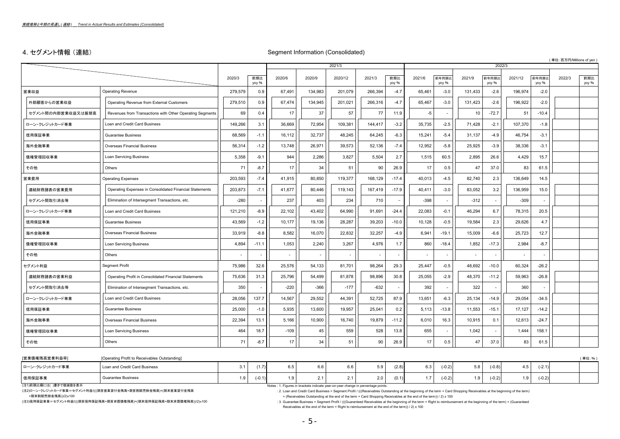# 4. セグメント情報(連結) いちのことについて Segment Information (Consolidated)

( 単位:百万円/Millions of yen )

|                    |                                                          |         |              |        |         | 2021/3  |                          |              |        |                |         | 2022/3         |                          |                |        |              |
|--------------------|----------------------------------------------------------|---------|--------------|--------|---------|---------|--------------------------|--------------|--------|----------------|---------|----------------|--------------------------|----------------|--------|--------------|
|                    |                                                          | 2020/3  | 前期比<br>yoy % | 2020/6 | 2020/9  | 2020/12 | 2021/3                   | 前期比<br>yoy % | 2021/6 | 前年同期比<br>yoy % | 2021/9  | 前年同期比<br>yoy % | 2021/12                  | 前年同期比<br>yoy % | 2022/3 | 前期比<br>yoy % |
| 営業収益               | <b>Operating Revenue</b>                                 | 279,579 | 0.9          | 67,491 | 134,983 | 201,079 | 266,394                  | $-4.7$       | 65,461 | $-3.0$         | 131,433 | $-2.6$         | 196,974                  | $-2.0$         |        |              |
| 外部顧客からの営業収益        | Operating Revenue from External Customers                | 279,510 | 0.9          | 67,474 | 134,945 | 201,021 | 266,316                  | $-4.7$       | 65,467 | $-3.0$         | 131,423 | $-2.6$         | 196,922                  | $-2.0$         |        |              |
| セグメント間の内部営業収益又は振替高 | Revenues from Transactions with Other Operating Segments | 69      | 0.4          | 17     | 37      | 57      | 77                       | 11.9         | $-5$   |                | 10      | $-72.7$        | 51                       | $-10.4$        |        |              |
| ローン・クレジットカード事業     | Loan and Credit Card Business                            | 149,266 | 3.1          | 36,669 | 72,954  | 109,381 | 144.417                  | $-3.2$       | 35,735 | $-2.5$         | 71,428  | $-2.1$         | 107,370                  | $-1.8$         |        |              |
| 信用保証事業             | <b>Guarantee Business</b>                                | 68,569  | $-1.1$       | 16,112 | 32,737  | 48,245  | 64,245                   | $-6.3$       | 15,241 | $-5.4$         | 31,137  | $-4.9$         | 46,754                   | $-3.1$         |        |              |
| 海外金融事業             | <b>Overseas Financial Business</b>                       | 56,314  | $-1.2$       | 13,748 | 26,971  | 39,573  | 52,136                   | $-7.4$       | 12,952 | $-5.8$         | 25,925  | $-3.9$         | 38,336                   | $-3.1$         |        |              |
| 債権管理回収事業           | Loan Servicing Business                                  | 5,358   | $-9.1$       | 944    | 2,286   | 3,827   | 5,504                    | 2.7          | 1,515  | 60.5           | 2,895   | 26.6           | 4,429                    | 15.7           |        |              |
| その他                | Others                                                   | 71      | $-8.7$       | 17     | 34      | 51      | 90                       | 26.9         | 17     | 0.5            | 47      | 37.0           | 83                       | 61.5           |        |              |
| 営業費用               | <b>Operating Expenses</b>                                | 203,593 | $-7.4$       | 41.915 | 80,850  | 119,377 | 168,129                  | $-17.4$      | 40,013 | $-4.5$         | 82.740  | 2.3            | 136.649                  | 14.5           |        |              |
| 連結財務諸表の営業費用        | Operating Expenses in Consolidated Financial Statements  | 203,873 | $-7.1$       | 41,677 | 80,446  | 119,143 | 167,419                  | $-17.9$      | 40,411 | $-3.0$         | 83,052  | 3.2            | 136,959                  | 15.0           |        |              |
| セグメント間取引消去等        | Elimination of Intersegment Transactions, etc.           | $-280$  |              | 237    | 403     | 234     | 710                      |              | $-398$ |                | $-312$  |                | $-309$                   |                |        |              |
| ローン・クレジットカード事業     | Loan and Credit Card Business                            | 121,210 | $-8.9$       | 22,102 | 43,402  | 64,990  | 91,691                   | $-24.4$      | 22,083 | $-0.1$         | 46,294  | 6.7            | 78,315                   | 20.5           |        |              |
| 信用保証事業             | Guarantee Business                                       | 43,569  | $-1.2$       | 10.177 | 19.136  | 28,287  | 39.203                   | $-10.0$      | 10,128 | $-0.5$         | 19,584  | 2.3            | 29.626                   | 4.7            |        |              |
| 海外金融事業             | <b>Overseas Financial Business</b>                       | 33,919  | $-8.8$       | 8,582  | 16,070  | 22,832  | 32,257                   | $-4.9$       | 6,941  | $-19.1$        | 15,009  | $-6.6$         | 25,723                   | 12.7           |        |              |
| 債権管理回収事業           | <b>Loan Servicing Business</b>                           | 4,894   | $-11.1$      | 1,053  | 2,240   | 3,267   | 4,976                    | 1.7          | 860    | $-18.4$        | 1,852   | $-17.3$        | 2,984                    | $-8.7$         |        |              |
| その他                | Others                                                   |         |              |        |         |         | $\overline{\phantom{a}}$ |              |        |                |         |                | $\overline{\phantom{a}}$ |                |        |              |
| セグメント利益            | <b>Segment Profit</b>                                    | 75,986  | 32.6         | 25,576 | 54,133  | 81,701  | 98,264                   | 29.3         | 25,447 | $-0.5$         | 48,692  | $-10.0$        | 60,324                   | $-26.2$        |        |              |
| 連結財務諸表の営業利益        | Operating Profit in Consolidated Financial Statements    | 75,636  | 31.3         | 25,796 | 54,499  | 81,878  | 98,896                   | 30.8         | 25,055 | $-2.9$         | 48,370  | $-11.2$        | 59,963                   | $-26.8$        |        |              |
| セグメント間取引消去等        | Elimination of Intersegment Transactions, etc.           | 350     |              | $-220$ | $-366$  | $-177$  | $-632$                   |              | 392    |                | 322     |                | 360                      |                |        |              |
| ローン・クレジットカード事業     | Loan and Credit Card Business                            | 28,056  | 137.7        | 14,567 | 29,552  | 44,391  | 52,725                   | 87.9         | 13,651 | $-6.3$         | 25,134  | $-14.9$        | 29,054                   | $-34.5$        |        |              |
| 信用保証事業             | <b>Guarantee Business</b>                                | 25,000  | $-1.0$       | 5,935  | 13,600  | 19,957  | 25,041                   | 0.2          | 5,113  | $-13.8$        | 11,553  | $-15.1$        | 17,127                   | $-14.2$        |        |              |
| 海外金融事業             | <b>Overseas Financial Business</b>                       | 22,394  | 13.1         | 5,166  | 10,900  | 16,740  | 19,879                   | $-11.2$      | 6,010  | 16.3           | 10,915  | 0.1            | 12,613                   | $-24.7$        |        |              |
| 債権管理回収事業           | <b>Loan Servicing Business</b>                           | 464     | 18.7         | $-109$ | 45      | 559     | 528                      | 13.8         | 655    |                | 1,042   |                | 1,444                    | 158.1          |        |              |
| その他                | Others                                                   | 71      | $-8.7$       | 17     | 34      | 51      | 90                       | 26.9         | 17     | 0.5            | 47      | 37.0           | 83                       | 61.5           |        |              |

| [営業債権残高営業利益率]  | [Operating Profit to Receivables Outstanding] |                               |               |     |       |                      |          |     |          |     |          | (単位:%) |
|----------------|-----------------------------------------------|-------------------------------|---------------|-----|-------|----------------------|----------|-----|----------|-----|----------|--------|
| ローン・クレジットカード事業 | Loan and Credit Card Business                 | (1.7)                         | $\sim$ $\sim$ | 5.9 | (2.8) | $\sim$ $\sim$<br>ხ.პ | $(-0.2)$ | 5.8 | $(-0.8)$ | 4.D | $(-2.1)$ |        |
| 信用保証事業         | <b>Guarantee Business</b>                     | $\bigcap$ $\bigcap$<br>≔∪. ı. | $\sim$        | 2.0 | (0.1) |                      | $(-0.2)$ | າ ດ | $(-0.2)$ | 1.9 | $(-0.2)$ |        |

(注1)前期比欄には ( )書きで増減値を表示<br>(注2)ローン・クレジットカード事業=セグメント利益/(((期首営業貸付金残高+期首割賦売掛金残高)+(期末営業貸付金残高 Notes : Notes : 1. Figures in brackets indicate year-on-year change in percentage points.<br>(注2)ローン・クレジットカード事業=セグメント利益/(((期首営業貸付金残高+期首割賦

(注2)ローン・クレジットカード事業=セグメント利益/(((期首営業貸付金残高+期首割賦売掛金残高)+(期末営業貸付金残高 : 2. Loan and Credit Card Business = Segment Profit / (((Receivables Outstanding at the beginning of the term + Card Shopping Receivables at the beginning of the term)

: 3. Guarantee Business = Segment Profit / (((Guaranteed Receivables at the beginning of the term + Right to reimbursement at the beginning of the term) + (Guaranteed Receivables at the end of the term + Right to reimbursement at the end of the term)) / 2) x 100

+期末割賦売掛金残高))/2)x100 + (Receivables Outstanding at the end of the term + Card Shopping Receivables at the end of the term) / 2) x 100<br>(注3)慣用保証事業=セグメント利益//(期首信用保証残高+期首求償債権残高)+(期末信用保証残高+期末求償債権残高))/2)x100 → (20) {3 Guarantee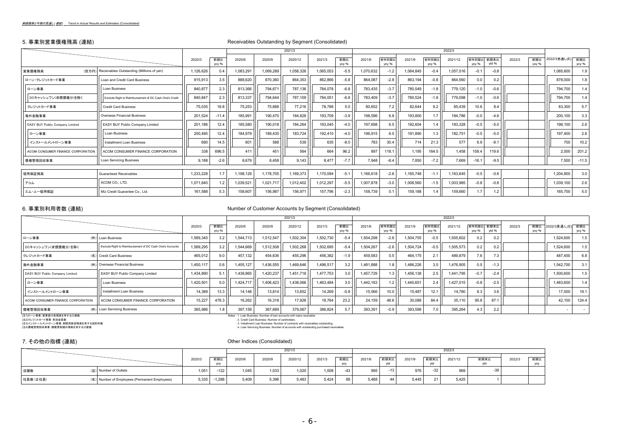$\bar{z}$ 

### 5. 事業別営業債権残高 (連結) Receivables Outstanding by Segment (Consolidated)

|                                   |                                                        |           |              |           |           | 2021/3    |           |              |           |                |           |               | 2022/3    |                     |        |        |              |              |              |
|-----------------------------------|--------------------------------------------------------|-----------|--------------|-----------|-----------|-----------|-----------|--------------|-----------|----------------|-----------|---------------|-----------|---------------------|--------|--------|--------------|--------------|--------------|
|                                   |                                                        | 2020/3    | 前期比<br>yoy % | 2020/6    | 2020/9    | 2020/12   | 2021/3    | 前期比<br>yoy % | 2021/6    | 前年同期比<br>yoy % | 2021/9    | 前年同期<br>yoy % | 2021/12   | 前年同期比 前期末比<br>yoy % | vtd %  | 2022/3 | 前期比<br>yoy % | 2022/3見通し(E) | 前期比<br>yoy % |
| 営業債権残高                            | (百万円) Receivables Outstanding (Millions of yen)        | 1,126,626 | 0.4          | 1,083,291 | 1,069,289 | 1,058,326 | 1,065,053 | $-5.5$       | 1,070,632 | $-1.2$         | 1,064,845 | $-0.4$        | 1,057,016 | $-0.1$              | $-0.8$ |        |              | 1,085,600    | 1.9          |
| ローン・クレジットカード事業                    | Loan and Credit Card Business                          | 915,913   | 3.5          | 888,620   | 870,360   | 864,353   | 862,866   | $-5.8$       | 864,087   | $-2.8$         | 863,194   | $-0.8$        | 864,560   | 0.0                 | 0.2    |        |              | 878,000      | 1.8          |
| ローン事業                             | Loan Business                                          | 840,877   | 2.3          | 813,366   | 794.671   | 787,136   | 784,078   | $-6.8$       | 783,435   | $-3.7$         | 780,549   | $-1.8$        | 779,120   | $-1.0$              | $-0.6$ |        |              | 794,700      | 1.4          |
| DCキャッシュワン(求償債権分)を除く               | Exclude Right to Reimbursement of DC Cash One's Credit | 840,847   | 2.3          | 813,337   | 794.644   | 787,109   | 784,051   | $-6.8$       | 783,409   | $-3.7$         | 780,524   | $-1.8$        | 779,098   | $-1.0$              | $-0.6$ |        |              | 794,700      | 1.4          |
| クレジットカード事業                        | Credit Card Business                                   | 75,035    | 18.8         | 75,253    | 75.688    | 77.216    | 78,788    | 5.0          | 80.652    | 7.2            | 82.644    | 9.2           | 85,439    | 10.6                | 8.4    |        |              | 83,300       | 5.7          |
| 海外金融事業                            | <b>Overseas Financial Business</b>                     | 201,524   | $-11.4$      | 185,991   | 190,470   | 184,828   | 193,709   | $-3.9$       | 198,596   | 6.8            | 193,800   | 1.7           | 184,786   | $-0.0$              | $-4.6$ |        |              | 200,100      | 3.3          |
| EASY BUY Public Company Limited   | EASY BUY Public Company Limited                        | 201,186   | 12.4         | 185,580   | 190,018   | 184,264   | 193,045   | -4.0         | 197.698   | 6.5            | 192,604   | 1.4           | 183,328   | $-0.5$              | $-5.0$ |        |              | 198,100      | 2.6          |
| ローン事業                             | <b>Loan Business</b>                                   | 200,495   | 12.4         | 184,979   | 189,430   | 183,724   | 192,410   | $-4.0$       | 196,915   | 6.5            | 191,890   | 13            | 182,751   | $-0.5$              | $-5.0$ |        |              | 197,400      | 2.6          |
| インストールメントローン事業                    | Installment Loan Business                              | 690       | 14.5         | 601       | 588       | 539       | 635       | $-8.0$       | 783       | 30.4           | 714       | 21.3          | 577       | 6.9                 | $-9.1$ |        |              | 700          | 10.2         |
| ACOM CONSUMER FINANCE CORPORATION | ACOM CONSUMER FINANCE CORPORATION                      | 338       | 696.5        | 411       | 451       | 564       | 664       | 96.2         | 897       | 118.1          | 1,195     | 164.5         | 1,458     | 158.4               | 119.6  |        |              | 2,000        | 201.2        |
| 債権管理回収事業                          | Loan Servicing Business                                | 9,188     | $-2.6$       | 8,679     | 8.458     | 9,143     | 8,477     | $-7.7$       | 7,948     | $-8.4$         | 7,850     | $-7.2$        | 7,669     | $-16.1$             | $-9.5$ |        |              | 7,500        | $-11.5$      |
|                                   |                                                        |           |              |           |           |           |           |              |           |                |           |               |           |                     |        |        |              |              |              |
| 信用保証残高                            | <b>Guaranteed Receivables</b>                          | 1,233,228 | 1.7          | 1,198,129 | 1,178,705 | 1,169,373 | 1,170,094 | $-5.1$       | 1,166,618 | $-2.6$         | 1,165,748 | $-1.1$        | 1,163,645 | $-0.5$              | $-0.6$ |        |              | 1,204,800    | 3.0          |
| アコム                               | ACOM CO., LTD.                                         | 1,071,640 | 1.2          | 1,039,521 | 1,021,717 | 1,012,402 | 1,012,297 | $-5.5$       | 1,007,878 | $-3.0$         | 1,006,560 | $-1.5$        | 1,003,985 | $-0.8$              | $-0.8$ |        |              | 1,039,100    | 2.6          |
| エム・ユー信用保証                         | MU Credit Guarantee Co., Ltd.                          | 161,588   | 5.3          | 158,607   | 156,987   | 156,971   | 157,796   | $-2.3$       | 158,739   | 0.1            | 159,188   | 1.4           | 159.660   | 1.7                 | 1.2    |        |              | 165,700      | 5.0          |

### 6. 事業別利用者数 (連結) Number of Customer Accounts by Segment (Consolidated)

|                                   |                                                          |           |              |          |           | 2021/3    |           |                  |           |                |           |                | 2022/3    |                     |        |        |              |                  |       |
|-----------------------------------|----------------------------------------------------------|-----------|--------------|----------|-----------|-----------|-----------|------------------|-----------|----------------|-----------|----------------|-----------|---------------------|--------|--------|--------------|------------------|-------|
|                                   |                                                          | 2020/3    | 前期比<br>yoy % | 2020/6   | 2020/9    | 2020/12   | 2021/3    | 前期比<br>yoy %     | 2021/6    | 前年同期比<br>yoy % | 2021/9    | 前年同期比<br>yoy % | 2021/12   | 前年同期比 前期末比<br>yoy % | ytd %  | 2022/3 | 前期比<br>yoy % | 2022/3見通し(E) 前期比 | yoy % |
| ローン事業                             | (件) Loan Business                                        | 1,589,340 | 3.2          | .544,713 | 1,512,547 | 1,502,304 | 1,502,730 | $-5.4$           | 1,504,298 | $-2.6$         | 1,504,755 | $-0.5$         | 1,505,602 | 0.2                 |        |        |              | .524,600         | 1.5   |
| DCキャッシュワン(求償債権分)を除く               | Exclude Right to Reimbursement of DC Cash One's Accounts | 1,589,295 | 3.2          | ,544,669 | 1,512,508 | ,502,268  | 1,502,695 | $-5.4$           | 1,504,267 | $-2.6$         | 1,504,724 | $-0.5$         | 1,505,573 | 0.2                 |        |        |              | .524,600         | 1.5   |
| クレジットカード事業                        | (名) Credit Card Business                                 | 465,012   | 9.0          | 457,132  | 454.636   | 455.296   | 456,382   | $-1.9$           | 459,583   | 0.5            | 464.175   | 2.1            | 489.879   | 7.6                 | 7.3    |        |              | 487.400          | 6.8   |
| 海外金融事業                            | (件) Overseas Financial Business                          | 1,450,117 | 0.6          | ,455,127 | 1,436,555 | 1,469,646 | 1,496,517 | 3.2              | 1,481,888 | 1.8            | 1,486,226 | 3.5            | 1,476,905 | 0.5                 | $-1.3$ |        |              | 1,542,700        | 3.1   |
| EASY BUY Public Company Limited   | EASY BUY Public Company Limited                          | 434,890   | 5.1          | ,438,865 | 1,420,237 | 1,451,718 | 1.477.753 | 3.0 <sub>1</sub> | 1,457,729 | $\cdot$ 3      | 1,456,138 | 2.5            | 1.441.795 | $-0.7$              | $-2.4$ |        |              | ,500,600         | 1.5   |
| ローン事業                             | Loan Business                                            | 420,501   | 5.0          | ,424,717 | 1,406,423 | 1,438,066 | 1,463,484 | 3.0              | 1,442,163 |                | 1,440,651 | 2.4            | 1,427,015 | $-0.8$              | $-2.5$ |        |              | 483,600          | 1.4   |
| インストールメントローン事業                    | Installment Loan Business                                | 14.389    | 13.3         | 14.148   | 13.814    | 13.652    | 14,269    | $-0.8$ $  $      | 15.566    | 10.0           | 15.487    | 12.1           | 14.780    | 8.3                 | 3.6    |        |              | 17,000           | 19.1  |
| ACOM CONSUMER FINANCE CORPORATION | ACOM CONSUMER FINANCE CORPORATION                        | 15.227    | 478.3        | 16,262   | 16.318    | 17.928    | 18,764    | 23.2             | 24,159    | 48.6           | 30,088    | 84.4           | 35,110    | 95.8                | 87.1   |        |              | 42,100           | 124.4 |
| 債権管理回収事業                          | (件) Loan Servicing Business                              | 365,986   | 1.8          | 397,159  | 367,689   | 379,067   | 386,824   | 5.7              | 393,391   | $-0.9$         | 393,598   | 7.0            | 395,264   | 4.3                 | 2.2    |        |              |                  |       |

-<br>(注1)ローン事業: 営業貸付金残高を有する口座数<br>(注2)クレジットカード事業: 有効会員数<br>(注4)債権管理回収事業: 債権買取額の残高を有する口座数<br>(注4)債権管理回収事業: 債権買取額の残高を有する口座数

(注1)ローン事業: 営業貸付金残高を有する口座数 Notes : 1. Loan Business: Number of loan accounts with loans receivable.

(注3)インストールメントローン事業:割賦売掛金残高を有する契約件数 : 3. Installment Loan Business: Number of contracts with receivables outstanding. (注4)債権管理回収事業:債権買取額の残高を有する口座数 : 4. Loan Servicing Business: Number of accounts with outstanding purchased receivables.

### 7. その他の指標 (連結) Other Indices (Consolidated)

|           |                                               |        |            |        |        | 2021/3  |        |            |        |             |        |      | 2022/3  |              |        |            |
|-----------|-----------------------------------------------|--------|------------|--------|--------|---------|--------|------------|--------|-------------|--------|------|---------|--------------|--------|------------|
|           |                                               | 2020/3 | 前期比<br>yoy | 2020/6 | 2020/9 | 2020/12 | 2021/3 | 前期比<br>yoy | 2021/6 | 前期末比<br>ytd | 2021/9 | 前期末比 | 2021/12 | 前期末比<br>h-hr | 2022/3 | 前期比<br>yoy |
| 店舗数       | (店) Number of Outlets                         | 1,051  | $-122$     | 1,045  | 1,033  | 1,020   | 1,008  | $-43$      | 995    | $-13$       | 976    | -32  | 969     | -39          |        |            |
| 社員数 (正社員) | (名) Number of Employees (Permanent Employees) | 5,335  | 1,288      | 5,409  | 5,396  | 5,483   | 5,424  | 90         | 5,468  | 44          | 5,445  |      | 5,425   |              |        |            |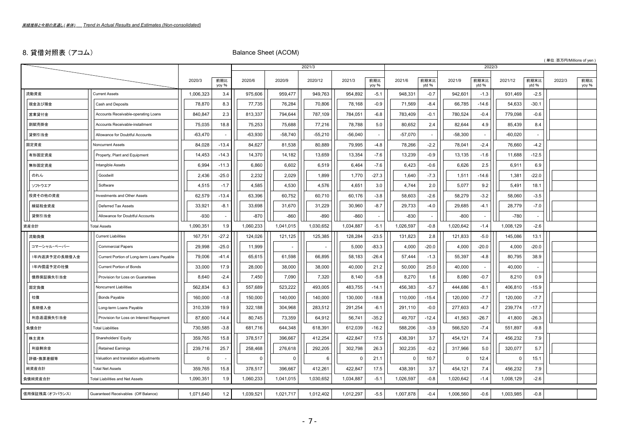# 8. 貸借対照表 (アコム) Balance Sheet (ACOM)

|                 |                                            |           |              |           |           |           |           |                          |           |                |           |               |            |               | (単位:百万円/Millions of yen) |              |
|-----------------|--------------------------------------------|-----------|--------------|-----------|-----------|-----------|-----------|--------------------------|-----------|----------------|-----------|---------------|------------|---------------|--------------------------|--------------|
|                 |                                            |           |              |           |           | 2021/3    |           |                          |           |                |           | 2022/3        |            |               |                          |              |
|                 |                                            | 2020/3    | 前期比<br>yoy % | 2020/6    | 2020/9    | 2020/12   | 2021/3    | 前期比<br>yoy %             | 2021/6    | 前期末比<br>ytd %  | 2021/9    | 前期末比<br>ytd % | 2021/12    | 前期末比<br>ytd % | 2022/3                   | 前期比<br>yoy % |
| 流動資産            | <b>Current Assets</b>                      | 1,006,323 | 3.4          | 975,606   | 959,477   | 949,763   | 954,892   | $-5.1$                   | 948,331   | $-0.7$         | 942,601   | $-1.3$        | 931,469    | $-2.5$        |                          |              |
| 現金及び預金          | Cash and Deposits                          | 78,870    | 8.3          | 77,735    | 76,284    | 70,806    | 78,168    | $-0.9$                   | 71,569    | $-8.4$         | 66,785    | $-14.6$       | 54,633     | $-30.1$       |                          |              |
| 営業貸付金           | Accounts Receivable-operating Loans        | 840,847   | 2.3          | 813,337   | 794,644   | 787,109   | 784,051   | $-6.8$                   | 783,409   | $-0.1$         | 780,524   | $-0.4$        | 779,098    | $-0.6$        |                          |              |
| 割賦売掛金           | Accounts Receivable-installment            | 75,035    | 18.8         | 75,253    | 75,688    | 77,216    | 78,788    | 5.0                      | 80,652    | 2.4            | 82,644    | 4.9           | 85,439     | 8.4           |                          |              |
| 貸倒引当金           | Allowance for Doubtful Accounts            | $-63.470$ |              | $-63,930$ | $-58,740$ | $-55,210$ | $-56.040$ |                          | $-57.070$ | $\blacksquare$ | $-58.300$ |               | $-60.020$  |               |                          |              |
| 固定資産            | <b>Noncurrent Assets</b>                   | 84,028    | $-13.4$      | 84,627    | 81,538    | 80,889    | 79,995    | $-4.8$                   | 78,266    | $-2.2$         | 78,041    | $-2.4$        | 76,660     | $-4.2$        |                          |              |
| 有形固定資産          | Property, Plant and Equipment              | 14,453    | $-14.3$      | 14,370    | 14,182    | 13,659    | 13,354    | $-7.6$                   | 13,239    | $-0.9$         | 13,135    | $-1.6$        | 11,688     | $-12.5$       |                          |              |
| 無形固定資産          | Intangible Assets                          | 6,994     | $-11.3$      | 6,860     | 6,602     | 6,519     | 6,464     | $-7.6$                   | 6,423     | $-0.6$         | 6,626     | 2.5           | 6,911      | 6.9           |                          |              |
| のれん             | Goodwill                                   | 2,436     | $-25.0$      | 2,232     | 2,029     | 1,899     | 1,770     | $-27.3$                  | 1,640     | $-7.3$         | 1,511     | $-14.6$       | 1,381      | $-22.0$       |                          |              |
| ソフトウエア          | Software                                   | 4,515     | $-1.7$       | 4,585     | 4,530     | 4,576     | 4,651     | 3.0                      | 4,744     | 2.0            | 5,077     | 9.2           | 5,491      | 18.1          |                          |              |
| 投資その他の資産        | <b>Investments and Other Assets</b>        | 62,579    | $-13.4$      | 63,396    | 60,752    | 60,710    | 60,176    | -3.8                     | 58,603    | -2.6           | 58,279    | $-3.2$        | 58,060     | $-3.5$        |                          |              |
| 繰延税金資産          | Deferred Tax Assets                        | 33,921    | $-8.1$       | 33,698    | 31,670    | 31,229    | 30,960    | $-8.7$                   | 29,733    | $-4.0$         | 29,685    | $-4.1$        | 28,779     | $-7.0$        |                          |              |
| 貸倒引当金           | Allowance for Doubtful Accounts            | $-930$    |              | $-870$    | $-860$    | $-890$    | $-860$    | $\overline{\phantom{a}}$ | $-830$    |                | $-800$    |               | $-780$     |               |                          |              |
| 資産合計            | <b>Total Assets</b>                        | 1,090,351 | 1.9          | 1,060,233 | 1,041,015 | 1,030,652 | 1,034,887 | $-5.1$                   | 1,026,597 | $-0.8$         | 1,020,642 | $-1.4$        | 1,008,129  | $-2.6$        |                          |              |
| 流動負債            | <b>Current Liabilities</b>                 | 167,751   | $-27.2$      | 124,026   | 121,125   | 125,385   | 128,284   | $-23.5$                  | 131,823   | 2.8            | 121,833   | $-5.0$        | 145,086    | 13.1          |                          |              |
| コマーシャル・ペーパー     | <b>Commercial Papers</b>                   | 29,998    | $-25.0$      | 11,999    |           |           | 5,000     | $-83.3$                  | 4,000     | $-20.0$        | 4,000     | $-20.0$       | 4,000      | $-20.0$       |                          |              |
| 年内返済予定の長期借入金    | Current Portion of Long-term Loans Payable | 79,006    | $-41.4$      | 65,615    | 61,598    | 66,895    | 58,183    | $-26.4$                  | 57,444    | $-1.3$         | 55,397    | $-4.8$        | 80,795     | 38.9          |                          |              |
| 年内償還予定の社債       | <b>Current Portion of Bonds</b>            | 33,000    | 17.9         | 28,000    | 38,000    | 38,000    | 40,000    | 21.2                     | 50,000    | 25.0           | 40,000    |               | 40,000     |               |                          |              |
| 債務保証損失引当金       | Provision for Loss on Guarantees           | 8,640     | $-2.4$       | 7,450     | 7,090     | 7,320     | 8,140     | $-5.8$                   | 8,270     | 1.6            | 8,080     | $-0.7$        | 8,210      | 0.9           |                          |              |
| 固定負債            | Noncurrent Liabilities                     | 562,834   | 6.3          | 557,689   | 523,222   | 493,005   | 483,755   | $-14.1$                  | 456,383   | $-5.7$         | 444,686   | $-8.1$        | 406,810    | $-15.9$       |                          |              |
| 社債              | <b>Bonds Payable</b>                       | 160,000   | $-1.8$       | 150,000   | 140,000   | 140,000   | 130,000   | $-18.8$                  | 110,000   | $-15.4$        | 120,000   | $-7.7$        | 120,000    | $-7.7$        |                          |              |
| 長期借入金           | Long-term Loans Payable                    | 310,339   | 19.9         | 322,188   | 304,968   | 283,512   | 291,254   | $-6.1$                   | 291,110   | $-0.0$         | 277,603   | $-4.7$        | 239,774    | $-17.7$       |                          |              |
| 利息返還損失引当金       | Provision for Loss on Interest Repayment   | 87,600    | $-14.4$      | 80,745    | 73,359    | 64,912    | 56,741    | $-35.2$                  | 49,707    | $-12.4$        | 41,563    | $-26.7$       | 41,800     | $-26.3$       |                          |              |
| 負債合計            | <b>Total Liabilities</b>                   | 730,585   | $-3.8$       | 681,716   | 644,348   | 618,391   | 612,039   | $-16.2$                  | 588,206   | $-3.9$         | 566,520   | $-7.4$        | 551,897    | $-9.8$        |                          |              |
| 株主資本            | Shareholders' Equity                       | 359,765   | 15.8         | 378,517   | 396,667   | 412,254   | 422,847   | 17.5                     | 438,391   | 3.7            | 454,121   | 7.4           | 456,232    | 7.9           |                          |              |
| 利益剰余金           | <b>Retained Earnings</b>                   | 239,716   | 25.7         | 258,468   | 276,618   | 292,205   | 302,798   | 26.3                     | 302,235   | $-0.2$         | 317,966   | 5.0           | 320,077    | 5.7           |                          |              |
| 評価・換算差額等        | Valuation and translation adjustments      | $\Omega$  |              | $\Omega$  | $\Omega$  | 6         |           | 21.1                     | - 0       | 10.7           | $\Omega$  | 12.4          | $^{\circ}$ | 15.1          |                          |              |
| 純資産合計           | <b>Total Net Assets</b>                    | 359,765   | 15.8         | 378,517   | 396,667   | 412,261   | 422,847   | 17.5                     | 438,391   | 3.7            | 454,121   | 7.4           | 456,232    | 7.9           |                          |              |
| 負債純資産合計         | <b>Total Liabilities and Net Assets</b>    | 1,090,351 | 1.9          | 1,060,233 | 1,041,015 | 1,030,652 | 1,034,887 | $-5.1$                   | 1,026,597 | $-0.8$         | 1,020,642 | $-1.4$        | 1,008,129  | $-2.6$        |                          |              |
| 信用保証残高 (オフバランス) | Guaranteed Receivables (Off Balance)       | 1,071,640 | 1.2          | 1,039,521 | 1,021,717 | 1,012,402 | 1,012,297 | $-5.5$                   | 1,007,878 | $-0.4$         | 1,006,560 | $-0.6$        | 1,003,985  | $-0.8$        |                          |              |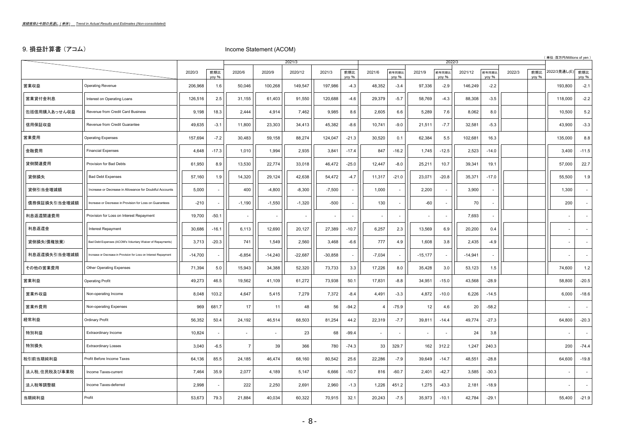# 9. 損益計算書 (アコム) Income Statement (ACOM)

|              |                                                                  |           |              |                |                          | 2021/3                   |           |              |                          |                |                          |                | 2022/3    |                          |        |              | 単位:百万円/Millions of yen)  |              |
|--------------|------------------------------------------------------------------|-----------|--------------|----------------|--------------------------|--------------------------|-----------|--------------|--------------------------|----------------|--------------------------|----------------|-----------|--------------------------|--------|--------------|--------------------------|--------------|
|              |                                                                  | 2020/3    | 前期比<br>yoy % | 2020/6         | 2020/9                   | 2020/12                  | 2021/3    | 前期比<br>yoy % | 2021/6                   | 前年同期比<br>yoy % | 2021/9                   | 前年同期比<br>yoy % | 2021/12   | 前年同期比<br>yoy %           | 2022/3 | 前期比<br>yoy % | 2022/3見通し(E)             | 前期比<br>yoy % |
| 営業収益         | <b>Operating Revenue</b>                                         | 206,968   | 1.6          | 50,046         | 100,268                  | 149,547                  | 197,986   | $-4.3$       | 48,352                   | $-3.4$         | 97,336                   | $-2.9$         | 146,249   | $-2.2$                   |        |              | 193,800                  | $-2.1$       |
| 営業貸付金利息      | Interest on Operating Loans                                      | 126,516   | 2.5          | 31,155         | 61,403                   | 91,550                   | 120,688   | $-4.6$       | 29,379                   | $-5.7$         | 58,769                   | $-4.3$         | 88,308    | $-3.5$                   |        |              | 118,000                  | $-2.2$       |
| 包括信用購入あっせん収益 | Revenue from Credit Card Business                                | 9,198     | 18.3         | 2,444          | 4,914                    | 7,462                    | 9,985     | 8.6          | 2,605                    | 6.6            | 5,289                    | 7.6            | 8,062     | 8.0                      |        |              | 10,500                   | 5.2          |
| 信用保証収益       | Revenue from Credit Guarantee                                    | 49,635    | $-3.1$       | 11,800         | 23,303                   | 34,413                   | 45,382    | $-8.6$       | 10,741                   | $-9.0$         | 21,511                   | $-7.7$         | 32,581    | $-5.3$                   |        |              | 43,900                   | $-3.3$       |
| 営業費用         | <b>Operating Expenses</b>                                        | 157,694   | $-7.2$       | 30,483         | 59,158                   | 88,274                   | 124,047   | $-21.3$      | 30,520                   | 0.1            | 62,384                   | 5.5            | 102,681   | 16.3                     |        |              | 135,000                  | 8.8          |
| 金融費用         | <b>Financial Expenses</b>                                        | 4,648     | $-17.3$      | 1,010          | 1,994                    | 2,935                    | 3,841     | $-17.4$      | 847                      | $-16.2$        | 1,745                    | $-12.5$        | 2,523     | $-14.0$                  |        |              | 3,400                    | $-11.5$      |
| 貸倒関連費用       | Provision for Bad Debts                                          | 61,950    | 8.9          | 13,530         | 22,774                   | 33,018                   | 46,472    | $-25.0$      | 12,447                   | $-8.0$         | 25,211                   | 10.7           | 39,341    | 19.1                     |        |              | 57,000                   | 22.7         |
| 貸倒損失         | <b>Bad Debt Expenses</b>                                         | 57,160    | 1.9          | 14,320         | 29,124                   | 42,638                   | 54,472    | $-4.7$       | 11,317                   | $-21.0$        | 23,071                   | $-20.8$        | 35,371    | $-17.0$                  |        |              | 55,500                   | 1.9          |
| 貸倒引当金増減額     | Increase or Decrease in Allowance for Doubtful Accounts          | 5,000     |              | 400            | $-4,800$                 | $-8,300$                 | $-7,500$  |              | 1,000                    |                | 2,200                    |                | 3,900     | $\blacksquare$           |        |              | 1,300                    |              |
| 債務保証損失引当金増減額 | Increase or Decrease in Provision for Loss on Guarantees         | $-210$    |              | $-1,190$       | $-1,550$                 | $-1,320$                 | $-500$    |              | 130                      |                | $-60$                    |                | 70        | $\blacksquare$           |        |              | 200                      |              |
| 利息返還関連費用     | Provision for Loss on Interest Repayment                         | 19,700    | $-50.1$      |                | $\overline{\phantom{a}}$ | $\overline{\phantom{a}}$ | $\sim$    |              | $\overline{\phantom{a}}$ |                |                          |                | 7,693     | $\overline{\phantom{a}}$ |        |              | ٠                        |              |
| 利息返還金        | Interest Repayment                                               | 30,686    | $-16.1$      | 6,113          | 12,690                   | 20,127                   | 27,389    | $-10.7$      | 6,257                    | 2.3            | 13,569                   | 6.9            | 20,200    | 0.4                      |        |              | $\overline{\phantom{0}}$ |              |
| 貸倒損失(債権放棄)   | Bad Debt Expenses (ACOM's Voluntary Waiver of Repayments)        | 3,713     | $-20.3$      | 741            | 1,549                    | 2,560                    | 3,468     | $-6.6$       | 777                      | 4.9            | 1,608                    | 3.8            | 2,435     | $-4.9$                   |        |              | ÷,                       |              |
| 利息返還損失引当金増減額 | Increase or Decrease in Provision for Loss on Interest Repayment | $-14,700$ |              | $-6,854$       | $-14,240$                | $-22,687$                | $-30,858$ |              | $-7,034$                 |                | $-15,177$                |                | $-14,941$ | $\blacksquare$           |        |              |                          |              |
| その他の営業費用     | Other Operating Expenses                                         | 71,394    | 5.0          | 15,943         | 34,388                   | 52,320                   | 73,733    | 3.3          | 17,226                   | 8.0            | 35,428                   | 3.0            | 53,123    | 1.5                      |        |              | 74,600                   | 1.2          |
| 営業利益         | <b>Operating Profit</b>                                          | 49,273    | 46.5         | 19,562         | 41,109                   | 61,272                   | 73,938    | 50.1         | 17,831                   | $-8.8$         | 34,951                   | $-15.0$        | 43,568    | $-28.9$                  |        |              | 58,800                   | $-20.5$      |
| 営業外収益        | Non-operating Income                                             | 8,048     | 103.2        | 4,647          | 5,415                    | 7,279                    | 7,372     | $-8.4$       | 4,491                    | $-3.3$         | 4,872                    | $-10.0$        | 6,226     | $-14.5$                  |        |              | 6,000                    | $-18.6$      |
| 営業外費用        | Non-operating Expenses                                           | 969       | 681.7        | 17             | 11                       | 48                       | 56        | $-94.2$      | $\overline{4}$           | $-75.9$        | 12                       | 4.6            | 20        | $-58.2$                  |        |              |                          |              |
| 経常利益         | <b>Ordinary Profit</b>                                           | 56,352    | 50.4         | 24,192         | 46,514                   | 68,503                   | 81,254    | 44.2         | 22,319                   | $-7.7$         | 39,811                   | $-14.4$        | 49,774    | $-27.3$                  |        |              | 64,800                   | $-20.3$      |
| 特別利益         | Extraordinary Income                                             | 10,824    |              |                |                          | 23                       | 68        | $-99.4$      | $\overline{\phantom{a}}$ |                | $\overline{\phantom{a}}$ |                | 24        | 3.8                      |        |              |                          |              |
| 特別損失         | <b>Extraordinary Losses</b>                                      | 3,040     | $-6.5$       | $\overline{7}$ | 39                       | 366                      | 780       | $-74.3$      | 33                       | 329.7          | 162                      | 312.2          | 1,247     | 240.3                    |        |              | 200                      | $-74.4$      |
| 税引前当期純利益     | Profit Before Income Taxes                                       | 64,136    | 85.5         | 24,185         | 46,474                   | 68,160                   | 80,542    | 25.6         | 22,286                   | $-7.9$         | 39,649                   | $-14.7$        | 48,551    | $-28.8$                  |        |              | 64,600                   | $-19.8$      |
| 法人税、住民税及び事業税 | Income Taxes-current                                             | 7,464     | 35.9         | 2,077          | 4,189                    | 5,147                    | 6,666     | $-10.7$      | 816                      | $-60.7$        | 2,401                    | $-42.7$        | 3,585     | $-30.3$                  |        |              |                          |              |
| 法人税等調整額      | Income Taxes-deferred                                            | 2,998     |              | 222            | 2,250                    | 2,691                    | 2,960     | $-1.3$       | 1,226                    | 451.2          | 1,275                    | $-43.3$        | 2,181     | $-18.9$                  |        |              |                          |              |
| 当期純利益        | Profit                                                           | 53,673    | 79.3         | 21,884         | 40,034                   | 60,322                   | 70,915    | 32.1         | 20,243                   | $-7.5$         | 35,973                   | $-10.1$        | 42,784    | $-29.1$                  |        |              | 55,400                   | $-21.9$      |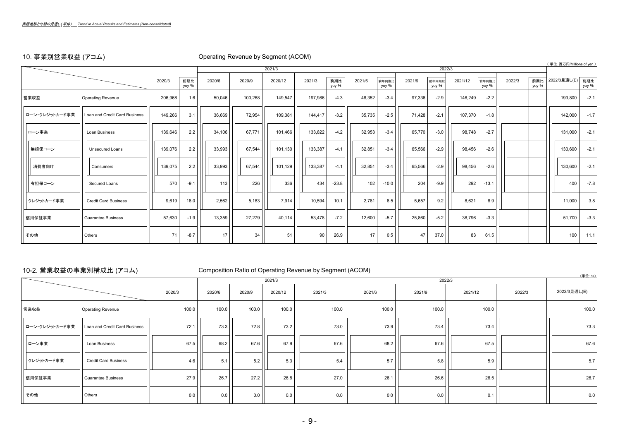# 10. 事業別営業収益 (アコム) Operating Revenue by Segment (ACOM)

|                |                               |         |              |        |         |         |         |              |        |                |        |                |         |                |        |              | (単位:百万円/Millions of yen) |              |
|----------------|-------------------------------|---------|--------------|--------|---------|---------|---------|--------------|--------|----------------|--------|----------------|---------|----------------|--------|--------------|--------------------------|--------------|
|                |                               |         |              |        |         | 2021/3  |         |              |        |                |        | 2022/3         |         |                |        |              |                          |              |
|                |                               | 2020/3  | 前期比<br>yoy % | 2020/6 | 2020/9  | 2020/12 | 2021/3  | 前期比<br>yoy % | 2021/6 | 前年同期比<br>yoy % | 2021/9 | 前年同期比<br>yoy % | 2021/12 | 前年同期比<br>yoy % | 2022/3 | 前期比<br>yoy % | 2022/3見通し(E)             | 前期比<br>yoy % |
| 営業収益           | <b>Operating Revenue</b>      | 206,968 | 1.6          | 50,046 | 100,268 | 149,547 | 197,986 | $-4.3$       | 48,352 | $-3.4$         | 97,336 | $-2.9$         | 146,249 | $-2.2$         |        |              | 193,800                  | $-2.1$       |
| ローン・クレジットカード事業 | Loan and Credit Card Business | 149,266 | 3.1          | 36,669 | 72,954  | 109,381 | 144,417 | $-3.2$       | 35,735 | $-2.5$         | 71,428 | $-2.1$         | 107,370 | $-1.8$         |        |              | 142,000                  | $-1.7$       |
| ローン事業          | Loan Business                 | 139,646 | 2.2          | 34,106 | 67,771  | 101,466 | 133,822 | $-4.2$       | 32,953 | $-3.4$         | 65,770 | $-3.0$         | 98,748  | $-2.7$         |        |              | 131,000                  | $-2.1$       |
| 無担保ローン         | <b>Unsecured Loans</b>        | 139,076 | 2.2          | 33,993 | 67,544  | 101,130 | 133,387 | $-4.1$       | 32,851 | $-3.4$         | 65,566 | $-2.9$         | 98,456  | $-2.6$         |        |              | 130,600                  | $-2.1$       |
| 消費者向け          | Consumers                     | 139,075 | 2.2          | 33,993 | 67,544  | 101,129 | 133,387 | $-4.1$       | 32,851 | $-3.4$         | 65,566 | $-2.9$         | 98,456  | $-2.6$         |        |              | 130,600                  | $-2.1$       |
| 有担保ローン         | Secured Loans                 | 570     | $-9.1$       | 113    | 226     | 336     | 434     | $-23.8$      | 102    | $-10.0$        | 204    | $-9.9$         | 292     | $-13.1$        |        |              | 400                      | $-7.8$       |
| クレジットカード事業     | <b>Credit Card Business</b>   | 9,619   | 18.0         | 2,562  | 5,183   | 7,914   | 10,594  | 10.1         | 2,781  | 8.5            | 5,657  | 9.2            | 8,621   | 8.9            |        |              | 11,000                   | 3.8          |
| 信用保証事業         | <b>Guarantee Business</b>     | 57,630  | $-1.9$       | 13,359 | 27,279  | 40,114  | 53,478  | $-7.2$       | 12,600 | $-5.7$         | 25,860 | $-5.2$         | 38,796  | $-3.3$         |        |              | 51,700                   | $-3.3$       |
| その他            | Others                        | 71      | $-8.7$       | 17     | 34      | 51      | 90      | 26.9         | 17     | 0.5            | 47     | 37.0           | 83      | 61.5           |        |              | 100                      | 11.1         |

# 10-2. 営業収益の事業別構成比 (アコム) Composition Ratio of Operating Revenue by Segment (ACOM)

|                |                               |        |        |        | 2021/3  |        |        | 2022/3 |         |        | (早立: 1/0)    |
|----------------|-------------------------------|--------|--------|--------|---------|--------|--------|--------|---------|--------|--------------|
|                |                               | 2020/3 | 2020/6 | 2020/9 | 2020/12 | 2021/3 | 2021/6 | 2021/9 | 2021/12 | 2022/3 | 2022/3見通し(E) |
| 営業収益           | <b>Operating Revenue</b>      | 100.0  | 100.0  | 100.0  | 100.0   | 100.0  | 100.0  | 100.0  | 100.0   |        | 100.0        |
| ローン・クレジットカード事業 | Loan and Credit Card Business | 72.1   | 73.3   | 72.8   | 73.2    | 73.0   | 73.9   | 73.4   | 73.4    |        | 73.3         |
| ローン事業          | Loan Business                 | 67.5   | 68.2   | 67.6   | 67.9    | 67.6   | 68.2   | 67.6   | 67.5    |        | 67.6         |
| クレジットカード事業     | <b>Credit Card Business</b>   | 4.6    | 5.1    | 5.2    | 5.3     | 5.4    | 5.7    | 5.8    | 5.9     |        | 5.7          |
| 信用保証事業         | Guarantee Business            | 27.9   | 26.7   | 27.2   | 26.8    | 27.0   | 26.1   | 26.6   | 26.5    |        | 26.7         |
| その他            | Others                        | 0.0    | 0.0    | 0.0    | 0.0     | 0.0    | 0.0    | 0.0    | 0.1     |        | 0.0          |

(単位:%)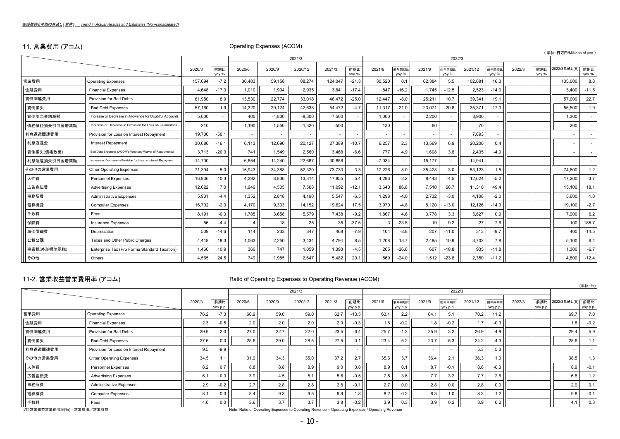# 11. 営業費用 (アコム) Operating Expenses (ACOM)

|              |                                                                  |           |              |          |           |           |           |              |                          |                |           |                |           |                          |        |              | (単位:百万円/Millions of yen) |              |
|--------------|------------------------------------------------------------------|-----------|--------------|----------|-----------|-----------|-----------|--------------|--------------------------|----------------|-----------|----------------|-----------|--------------------------|--------|--------------|--------------------------|--------------|
|              |                                                                  |           |              |          |           | 2021/3    |           |              |                          |                |           | 2022/3         |           |                          |        |              |                          |              |
|              |                                                                  | 2020/3    | 前期比<br>vov % | 2020/6   | 2020/9    | 2020/12   | 2021/3    | 前期比<br>yoy % | 2021/6                   | 前年同期比<br>vov % | 2021/9    | 前年同期比<br>yoy % | 2021/12   | 前年同期比<br>vov %           | 2022/3 | 前期比<br>vov % | 2022/3見通し(E)             | 前期比<br>yoy % |
| 営業費用         | <b>Operating Expenses</b>                                        | 157.694   | $-7.2$       | 30,483   | 59.158    | 88.274    | 124,047   | $-21.3$      | 30,520                   | 0.1            | 62,384    | 5.5            | 102,681   | 16.3                     |        |              | 135,000                  | 8.8          |
| 金融費用         | <b>Financial Expenses</b>                                        | 4,648     | $-17.3$      | 1,010    | 1,994     | 2,935     | 3,841     | $-17.4$      | 847                      | $-16.2$        | 1.745     | $-12.5$        | 2,523     | $-14.0$                  |        |              | 3,400                    | $-11.5$      |
| 貸倒関連費用       | Provision for Bad Debts                                          | 61,950    | 8.9          | 13,530   | 22,774    | 33,018    | 46,472    | $-25.0$      | 12,447                   | $-8.0$         | 25,211    | 10.7           | 39,341    | 19.1                     |        |              | 57,000                   | 22.7         |
| 貸倒損失         | <b>Bad Debt Expenses</b>                                         | 57,160    | 1.9          | 14,320   | 29.124    | 42.638    | 54.472    | $-4.7$       | 11,317                   | $-21.0$        | 23.071    | $-20.8$        | 35,371    | $-17.0$                  |        |              | 55,500                   | 1.9          |
| 貸倒引当金増減額     | Increase or Decrease in Allowance for Doubtful Accounts          | 5,000     |              | 400      | $-4.800$  | $-8.300$  | $-7.500$  |              | 1.000                    |                | 2,200     |                | 3,900     | $\overline{\phantom{a}}$ |        |              | 1,300                    | $\sim$       |
| 債務保証損失引当金増減額 | Increase or Decrease in Provision for Loss on Guarantees         | $-210$    |              | $-1,190$ | $-1,550$  | $-1,320$  | $-500$    |              | 130                      |                | $-60$     |                | 70        | $\overline{a}$           |        |              | 200                      |              |
| 利息返還関連費用     | Provision for Loss on Interest Repayment                         | 19,700    | $-50.1$      |          |           |           | ٠         |              | $\overline{\phantom{a}}$ |                |           |                | 7,693     |                          |        |              |                          |              |
| 利息返還金        | Interest Repayment                                               | 30,686    | $-16.1$      | 6,113    | 12,690    | 20,127    | 27,389    | $-10.7$      | 6,257                    | 2.3            | 13,569    | 6.9            | 20,200    | 0.4                      |        |              | $\sim$                   |              |
| 貸倒損失(債権放棄)   | Bad Debt Expenses (ACOM's Voluntary Waiver of Repayments)        | 3,713     | $-20.3$      | 741      | 1,549     | 2,560     | 3.468     | $-6.6$       | 777                      | 4.9            | 1.608     | 3.8            | 2,435     | $-4.9$                   |        |              |                          |              |
| 利息返還損失引当金増減額 | Increase or Decrease in Provision for Loss on Interest Repayment | $-14.700$ |              | $-6,854$ | $-14.240$ | $-22.687$ | $-30.858$ |              | $-7.034$                 |                | $-15.177$ |                | $-14,941$ | $\sim$                   |        |              |                          | $\sim$       |
| その他の営業費用     | Other Operating Expenses                                         | 71,394    | 5.0          | 15,943   | 34,388    | 52,320    | 73,733    | 3.3          | 17,226                   | 8.0            | 35,428    | 3.0            | 53,123    | 1.5                      |        |              | 74,600                   | 1.2          |
| 人件費          | <b>Personnel Expenses</b>                                        | 16,936    | 10.3         | 4,392    | 8.836     | 13.314    | 17.855    | 5.4          | 4.296                    | $-2.2$         | 8.443     | $-4.5$         | 12,624    | $-5.2$                   |        |              | 17,200                   | $-3.7$       |
| 広告宣伝費        | <b>Advertising Expenses</b>                                      | 12,622    | 7.0          | 1,949    | 4.505     | 7.568     | 11.092    | $-12.1$      | 3.640                    | 86.8           | 7,510     | 66.7           | 11,310    | 49.4                     |        |              | 13,100                   | 18.1         |
| 事務所費         | <b>Administrative Expenses</b>                                   | 5,931     | $-4.4$       | 1,352    | 2,818     | 4,190     | 5,547     | $-6.5$       | 1,298                    | $-4.0$         | 2,732     | $-3.0$         | 4,106     | $-2.0$                   |        |              | 5,600                    | 1.0          |
| 電算機費         | <b>Computer Expenses</b>                                         | 16,702    | $-2.0$       | 4.170    | 9.333     | 14.152    | 19.624    | 17.5         | 3.970                    | $-4.8$         | 8.120     | $-13.0$        | 12,126    | $-14.3$                  |        |              | 19,100                   | $-2.7$       |
| 手数料          | Fees                                                             | 8,191     | $-0.3$       | 1,785    | 3,658     | 5,579     | 7,438     | $-9.2$       | 1,867                    | 4.6            | 3,778     | 3.3            | 5,627     | 0.9                      |        |              | 7,900                    | 6.2          |
| 保険料          | Insurance Expenses                                               | 56        | $-4.4$       | 4        | 18        | 25        | 35        | $-37.5$      | ÷                        | $-23.5$        | 19        | 9.2            | 27        | 7.6                      |        |              | 100                      | 185.7        |
| 減価償却費        | Depreciation                                                     | 509       | $-14.6$      | 114      | 233       | 347       | 468       | $-7.9$       | 104                      | $-8.8$         | 207       | $-11.0$        | 313       | $-9.7$                   |        |              | 400                      | $-14.5$      |
| 公租公課         | Taxes and Other Public Charges                                   | 4,418     | 18.3         | 1,063    | 2,250     | 3,434     | 4,794     | 8.5          | 1,208                    | 13.7           | 2,495     | 10.9           | 3,702     | 7.8                      |        |              | 5,100                    | 6.4          |
| 事業税(外形標準課税)  | Enterprise Tax (Pro Forma Standard Taxation)                     | 1,460     | 10.9         | 360      | 747       | 1.059     | 1.393     | $-4.5$       | 265                      | $-26.6$        | 607       | $-18.8$        | 935       | $-11.8$                  |        |              | 1,300                    | $-6.7$       |
| その他          | Others                                                           | 4,565     | 24.5         | 749      | 1,985     | 2,647     | 5,482     | 20.1         | 569                      | $-24.0$        | 1,512     | $-23.8$        | 2,350     | $-11.2$                  |        |              | 4,800                    | $-12.4$      |

# 11-2. 営業収益営業費用率 (アコム) Ratio of Operating Expenses to Operating Revenue (ACOM)

| — <del>— .</del>          |                                          |        |                 |        |        |                                                                                                 |        |                  |        |                   |        |                   |         |                   |        |                 |                  | (単位:%)   |
|---------------------------|------------------------------------------|--------|-----------------|--------|--------|-------------------------------------------------------------------------------------------------|--------|------------------|--------|-------------------|--------|-------------------|---------|-------------------|--------|-----------------|------------------|----------|
|                           |                                          |        |                 |        |        | 2021/3                                                                                          |        |                  |        |                   |        |                   | 2022/3  |                   |        |                 |                  |          |
|                           |                                          | 2020/3 | 前期比<br>yoy p.p. | 2020/6 | 2020/9 | 2020/12                                                                                         | 2021/3 | 前期比<br>yoy p.p.  | 2021/6 | 前年同期比<br>yoy p.p. | 2021/9 | 前年同期比<br>yoy p.p. | 2021/12 | 前年同期比<br>yoy p.p. | 2022/3 | 前期比<br>yoy p.p. | 2022/3見通し(E) 前期比 | yoy p.p. |
| 営業費用                      | <b>Operating Expenses</b>                | 76.2   | $-7.3$          | 60.9   | 59.0   | 59.0                                                                                            | 62.7   | $-13.5$          | 63.1   | 2.2               | 64.1   | 5.1               | 70.2    | 11.2              |        |                 | 69.7             | 7.0      |
| 金融費用                      | <b>Financial Expenses</b>                | 2.3    | $-0.5$          | 2.0    | 2.0    | 2.0                                                                                             | 2.0    | $-0.3$           | 1.8    | $-0.2$            | 1.8    | $-0.2$            | 1.7     | $-0.3$            |        |                 | 1.8              | $-0.2$   |
| 貸倒関連費用                    | Provision for Bad Debts                  | 29.9   | 2.0             | 27.0   | 22.7   | 22.0                                                                                            | 23.5   | $-6.4$           | 25.7   | $-1.3$            | 25.9   | 3.2               | 26.9    | 4.9               |        |                 | 29.4             | 5.9      |
| 貸倒損失                      | <b>Bad Debt Expenses</b>                 | 27.6   | 0.0             | 28.6   | 29.0   | 28.5                                                                                            | 27.5   | $-0.1$           | 23.4   | $-5.2$            | 23.7   | $-5.3$            | 24.2    | $-4.3$            |        |                 | 28.6             | 1.1      |
| 利息返還関連費用                  | Provision for Loss on Interest Repayment | 9.5    | $-9.9$          |        |        | . .                                                                                             |        |                  |        |                   | . .    |                   | 5.3     | 5.3               |        |                 | $\sim$           |          |
| その他の営業費用                  | Other Operating Expenses                 | 34.5   | 1.1             | 31.9   | 34.3   | 35.0                                                                                            | 37.2   | 2.7 <sub>1</sub> | 35.6   | 3.7               | 36.4   | 2.1               | 36.3    | 1.3               |        |                 | 38.5             | 1.3      |
| 人件費                       | Personnel Expenses                       | 8.2    | 0.7             | 8.8    | 8.8    | 8.9                                                                                             | 9.0    | 0.8              | 8.9    |                   | 8.7    | $-0.1$            | 8.6     | $-0.3$            |        |                 | 8.9              | $-0.1$   |
| 広告宣伝費                     | <b>Advertising Expenses</b>              | 6.1    | 0.3             | 3.9    | 4.5    | 5.1                                                                                             | 5.6    | $-0.5$           | 7.5    | 3.6               | 7.7    | 3.2               | 7.7     | 2.6               |        |                 | 6.8              | 1.2      |
| 事務所費                      | <b>Administrative Expenses</b>           | 2.9    | -0.2            | 2.7    | 2.8    | 2.8                                                                                             | 2.8    |                  | 2.7    | 0.0               | 2.8    | 0.0               | 2.8     | 0.0               |        |                 | 2.9              | 0.1      |
| 電算機費                      | <b>Computer Expenses</b>                 | 8.1    | $-0.3$          | 8.4    | 9.3    | 9.5                                                                                             | 9.9    | 1.8              | 8.2    | $-0.2$            | 8.3    | $-1.0$            | 8.3     | $-1.2$            |        |                 | 9.8              | $-0.1$   |
| 手数料                       | Fees                                     | 4.0    | 0.0             | 3.6    | 3.7    | 3.7                                                                                             | 3.8    | $-0.2$           | 3.9    | 0.3               | 3.9    | 0.2               | 3.9     | 0.2               |        |                 | 4.1              | 0.3      |
| (注)営業収益営業費用率(%)=営業費用/営業収益 |                                          |        |                 |        |        | Note: Ratio of Operating Expenses to Operating Revenue = Operating Expenses / Operating Revenue |        |                  |        |                   |        |                   |         |                   |        |                 |                  |          |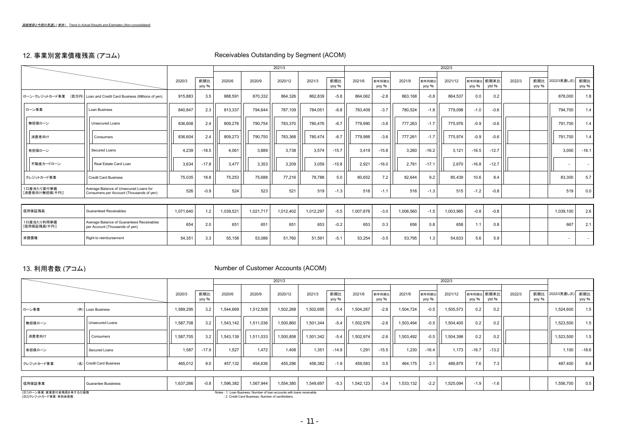$\sim$ 

# 12. 事業別営業債権残高 (アコム) Receivables Outstanding by Segment (ACOM)

|                              |                                                                                    |           |              |           |           | 2021/3    |           |             |           |                |           |                | 2022/3    |               |               |        |              |                  |                          |
|------------------------------|------------------------------------------------------------------------------------|-----------|--------------|-----------|-----------|-----------|-----------|-------------|-----------|----------------|-----------|----------------|-----------|---------------|---------------|--------|--------------|------------------|--------------------------|
|                              |                                                                                    | 2020/3    | 前期比<br>yoy % | 2020/6    | 2020/9    | 2020/12   | 2021/3    | 前期<br>yoy % | 2021/6    | 前年同期比<br>yoy % | 2021/9    | 前年同期比<br>yoy % | 2021/12   | 前年同期<br>yoy % | 前期末比<br>vtd % | 2022/3 | 前期比<br>yoy % | 2022/3見通し(E) 前期比 | yoy %                    |
|                              | ローン・クレジットカード事業 (百万円) Loan and Credit Card Business (Millions of yen)               | 915.883   | 3.5          | 888,591   | 870,332   | 864.326   | 862.839   | $-5.8$      | 864.062   | $-2.8$         | 863.168   | $-0.8$         | 864.537   | 0.0           | 0.2           |        |              | 878,000          | 1.8                      |
| ローン事業                        | Loan Business                                                                      | 840,847   | 2.3          | 813,337   | 794.644   | 787,109   | 784,051   | $-6.8$      | 783,409   | $-3.7$         | 780,524   | $-1.8$         | 779,098   | $-1.0$        | $-0.6$        |        |              | 794,700          | 1.4                      |
| 無担保ローン                       | Unsecured Loans                                                                    | 836,608   | 2.4          | 809,276   | 790,754   | 783,370   | 780.476   | $-6.7$      | 779,990   | $-3.6$         | 777.263   | $-1.7$         | 775,976   | $-0.9$        | $-0.6$        |        |              | 791,700          | 1.4                      |
| 消費者向け                        | Consumers                                                                          | 836,604   | 2.4          | 809,273   | 790,750   | 783,368   | 780.474   | $-6.7$      | 779,988   | $-3.6$         | 777.261   | $-1.7$         | 775.974   | $-0.9$        | $-0.6$        |        |              | 791,700          | 1.4                      |
| 有担保ローン                       | Secured Loans                                                                      | 4.239     | $-18.5$      | 4.061     | 3.889     | 3.738     | 3.574     | $-15.7$     | 3.419     | $-15.8$        | 3.260     | $-16.2$        | 3.121     | $-16.5$       | $-12.7$       |        |              | 3,000            | $-16.1$                  |
| 不動産カードローン                    | Real Estate Card Loan                                                              | 3.634     | $-17.8$      | 3.477     | 3,353     | 3,209     | 3.059     | $-15.8$     | 2,921     | $-16.0$        | 2.781     | $-17.1$        | 2,670     | $-16.8$       | $-12.7$       |        |              |                  | $\overline{\phantom{a}}$ |
| クレジットカード事業                   | <b>Credit Card Business</b>                                                        | 75,035    | 18.8         | 75,253    | 75,688    | 77,216    | 78,788    | 5.0         | 80,652    | 7.2            | 82,644    | 9.2            | 85.439    | 10.6          | 8.4           |        |              | 83,300           | 5.7                      |
| 1口座当たり貸付単価<br>[消費者向け無担保(千円)] | Average Balance of Unsecured Loans for<br>Consumers per Account (Thousands of yen) | 526       | $-0.9$       | 524       | 523       | 521       | 519       | $-1.3$      | 518       | $-1.1$         | 516       | $-1.3$         | 515       | $-1.2$        | $-0.8$        |        |              | 519              | 0.0                      |
|                              |                                                                                    |           |              |           |           |           |           |             |           |                |           |                |           |               |               |        |              |                  |                          |
| 信用保証残高                       | <b>Guaranteed Receivables</b>                                                      | 1.071.640 | 1.2          | 1,039,521 | 1.021.717 | 1,012,402 | 1,012,297 | $-5.5$      | 1.007.878 | $-3.0$         | 1,006,560 | $-1.5$         | 1,003,985 | $-0.8$        | $-0.8$        |        |              | 1,039,100        | 2.6                      |
| 1口座当たり利用単価<br>[信用保証残高(千円)]   | Average Balance of Guaranteed Receivables<br>per Account (Thousands of yen)        | 654       | 2.0          | 651       | 651       | 651       | 653       | $-0.2$      | 653       | 0.3            | 656       | 0.8            | 658       | 1.1           | 0.8           |        |              | 667              | 2.1                      |
| 求償債権                         | Right to reimbursement                                                             | 54,351    | 3.3          | 55,158    | 53,086    | 51,760    | 51,591    | $-5.1$      | 53,254    | $-3.5$         | 53,795    | 1.3            | 54,633    | 5.6           | 5.9           |        |              |                  |                          |

# 13. 利用者数 (アコム) Number of Customer Accounts (ACOM)

|                                        |           |              |           |           | 2021/3                                                                  |           |              |           |                |           |                | 2022/3    |         |                     |        |       |                      |         |
|----------------------------------------|-----------|--------------|-----------|-----------|-------------------------------------------------------------------------|-----------|--------------|-----------|----------------|-----------|----------------|-----------|---------|---------------------|--------|-------|----------------------|---------|
|                                        | 2020/3    | 前期比<br>yoy % | 2020/6    | 2020/9    | 2020/12                                                                 | 2021/3    | 前期比<br>yoy % | 2021/6    | 前年同期比<br>yoy % | 2021/9    | 前年同期比<br>yoy % | 2021/12   | yoy %   | 前年同期比 前期末比<br>ytd % | 2022/3 | yoy % | 前期比 2022/3見通し(E) 前期比 | yoy %   |
| ローン事業<br>(件) Loan Business             | 1,589,295 | 3.2          | 1,544,669 | 1,512,508 | 1,502,268                                                               | 1,502,695 | $-5.4$       | 1,504,267 | $-2.6$         | 1,504,724 | $-0.5$         | 1,505,573 | 0.2     | 0.2                 |        |       | 1,524,600            | 1.5     |
| 無担保ローン<br>Unsecured Loans              | 1,587,708 | 3.2          | 1,543,142 | 1,511,036 | 1,500,860                                                               | 1,501,344 | $-5.4$       | 1,502,976 | $-2.6$         | 1,503,494 | $-0.5$         | 1,504,400 | 0.2     | 0.2                 |        |       | 1,523,500            | 1.5     |
| 消費者向け<br>Consumers                     | 1,587,705 | 3.2          | 1,543,139 | 1,511,033 | 1,500,858                                                               | 1,501,342 | $-5.4$       | 1,502,974 | $-2.6$         | 1,503,492 | $-0.5$         | 1,504,398 | 0.2     | 0.2                 |        |       | 1,523,500            | 1.5     |
| Secured Loans<br>有担保ローン                | 1,587     | $-17.9$      | 1.527     | 1.472     | 1.408                                                                   | 1.351     | $-14.9$      | 1.291     | $-15.5$        | 1.230     | $-16.4$        | 1.173     | $-16.7$ | $-13.2$             |        |       | 1,100                | $-18.6$ |
| クレジットカード事業<br>(名) Credit Card Business | 465,012   | 9.0          | 457,132   | 454,636   | 455,296                                                                 | 456,382   | $-1.9$       | 459,583   | 0.5            | 464,175   | 2.1            | 489,879   | 7.6     | 7.3                 |        |       | 487,400              | 6.8     |
|                                        |           |              |           |           |                                                                         |           |              |           |                |           |                |           |         |                     |        |       |                      |         |
| 信用保証事業<br>Guarantee Bussiness          | 1,637,266 | $-0.8$       | 1,596,382 | 1,567,944 | 1,554,380                                                               | 1,549,697 | $-5.3$       | 1,542,123 | $-3.4$         | 1,533,132 | $-2.2$         | 1,525,094 | $-1.9$  | $-1.6$              |        |       | 1,556,700            | 0.5     |
| (注1)ローン事業:営業貸付金残高を有する口座数               |           |              |           |           | Notes: 1. Loan Business: Number of loan accounts with loans receivable. |           |              |           |                |           |                |           |         |                     |        |       |                      |         |

、2エリー 2 デポ - 自大学 : 2. Credit Card Business: Number of cardholders.<br>(注2)クレジットカード事業:有効会員数 : 2. Credit Card Business: Number of cardholders.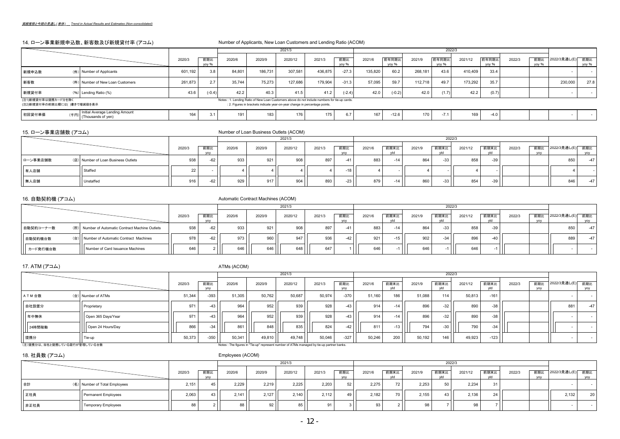### 14. ローン事業新規申込数、新客数及び新規貸付率 (アコム) インディング Number of Applicants, New Loan Customers and Lending Ratio (ACOM)

|                                                    |                                                           |         |              |                                                                                               |                                                                             | 2021/3  |         |              |         |                |         | 2022/3         |         |                |        |              |              |              |
|----------------------------------------------------|-----------------------------------------------------------|---------|--------------|-----------------------------------------------------------------------------------------------|-----------------------------------------------------------------------------|---------|---------|--------------|---------|----------------|---------|----------------|---------|----------------|--------|--------------|--------------|--------------|
|                                                    |                                                           | 2020/3  | 前期比<br>vov % | 2020/6                                                                                        | 2020/9                                                                      | 2020/12 | 2021/3  | 前期比<br>vov % | 2021/6  | 前年同期比<br>vov % | 2021/9  | 前年同期比<br>vov % | 2021/12 | 前年同期比<br>vov % | 2022/3 | 前期比<br>vov % | 2022/3見通し(E) | 前期比<br>vov % |
| 新規申込数                                              | (件) Number of Applicants                                  | 601.192 | 3.8          | 84.801                                                                                        | 186.731                                                                     | 307.581 | 436,875 | $-27.3$      | 135.820 | 60.2           | 268.181 | 43.6           | 410.409 | 33.4           |        |              |              |              |
| 新客数                                                | (件) Number of New Loan Customers                          | 261.873 |              | 35.744                                                                                        | 75,273                                                                      | 127,686 | 179,904 | $-31.3$      | 57.095  | 59.7           | 112.718 | 49.7           | 173,292 | 35.7           |        |              | 230,000      | 27.8         |
| 新規貸付率                                              | $(96)$ Lending Ratio $(%$                                 | 43.6    | $(-0.4)$     | 42.2                                                                                          | 40.3                                                                        | 41.5    | 41.2    | $(-2.4)$     | 42.0    | $(-0.2)$       | 42.0    | (1.7)          | 42.2    | (0.7)          |        |              |              |              |
| (注1)新規貸付率は提携カード分を除く<br>(注2)新規貸付率の前期比欄には()書きで増減値を表示 |                                                           |         |              | Notes : 1. Lending Ratio of New Loan Customers above do not include numbers for tie-up cards. | : 2. Figures in brackets indicate year-on-year change in percentage points. |         |         |              |         |                |         |                |         |                |        |              |              |              |
| 初回貸付単価                                             | Initial Average Lending Amount<br>(千円) (Thousands of yen) | 164     |              | 191                                                                                           | 183                                                                         | 176     | 175     | 6.7          | 167     | $-12.6$        | 170     | 74<br>$-1.1$   | 169     | $-4.0$         |        |              |              |              |

### 15. ローン事業店舗数 (アコム) Number of Loan Business Outlets (ACOM)

|                                                 |                             |        |        | 2021/3  |        |            |                |        |              | 2022/3  |       |        |            |                    |  |
|-------------------------------------------------|-----------------------------|--------|--------|---------|--------|------------|----------------|--------|--------------|---------|-------|--------|------------|--------------------|--|
|                                                 | 前期比<br>2020/3<br><b>VOV</b> | 2020/6 | 2020/9 | 2020/12 | 2021/3 | 前期比<br>yoy | 前期末比<br>2021/6 | 2021/9 | 前期末比         | 2021/12 | 前期末比  | 2022/3 | 前期比<br>VOV | ↓ 2022/3見通し(E) 前期比 |  |
| ローン事業店舗数<br>(店) Number of Loan Business Outlets | 938<br>$-62$                | 933    | 921    | 908     | 897    | $-4$       | 883            |        | 864<br>$-33$ | 858     | $-39$ |        |            | 850                |  |
| 有人店舗<br>Staffed                                 | 22                          |        |        |         |        | -18        |                |        |              |         |       |        |            |                    |  |
| Unstaffed<br>無人店舗                               | 916<br>62 I                 | 929    | 917    | 904     | 893    | $-23$      | 879            |        | 860<br>$-33$ | 854     | $-39$ |        |            | 846                |  |

# 16. 自動契約機 (アコム) Automatic Contract Machines (ACOM)

|            |                                                  |        |                   |        |        | 2021/3  |        |            |        |             |        | 2022/3 |         |       |        |            |              |        |
|------------|--------------------------------------------------|--------|-------------------|--------|--------|---------|--------|------------|--------|-------------|--------|--------|---------|-------|--------|------------|--------------|--------|
|            |                                                  | 2020/3 | 前期比<br><b>VOV</b> | 2020/6 | 2020/9 | 2020/12 | 2021/3 | 前期比<br>VOV | 2021/6 | 前期末比<br>vtd | 2021/9 | 前期末比   | 2021/12 | 前期末比  | 2022/3 | 前期比<br>VOV | 2022/3見通し(E) | 前期比    |
| 自動契約コーナー数  | (所) Number of Automatic Contract Machine Outlets | 938    | $-62$             | 933    | 921    | 908     | 897    |            | 883    | $-14$       | 864    | $-33$  | 858     | $-39$ |        |            | 850          | $-471$ |
| 自動契約機台数    | (台) Number of Automatic Contract Machines        | 978    |                   | 973    | 960    | 947     | 936    |            | 921    | -15         | 902    | -34    | 896     | $-40$ |        |            | 889          | $-47$  |
| ■ カード発行機台数 | Number of Card Issuance Machines                 | 646    |                   | 646    | 646    | 648     | 647    |            | 646    |             | 646    |        | 646     |       |        |            |              |        |

17. ATM  $(\mathcal{P} \Box \mathcal{L})$  ATMs (ACOM)

|                              |                    |        |                   |        |        | 2021/3                                                                                    |        |                   |        |       |        | 2022/3 |         |        |        |                   |              |            |
|------------------------------|--------------------|--------|-------------------|--------|--------|-------------------------------------------------------------------------------------------|--------|-------------------|--------|-------|--------|--------|---------|--------|--------|-------------------|--------------|------------|
|                              |                    | 2020/3 | 前期比<br><b>VOV</b> | 2020/6 | 2020/9 | 2020/12                                                                                   | 2021/3 | 前期比<br><b>VOV</b> | 2021/6 | 前期末比  | 2021/9 | 前期末比   | 2021/12 | 前期末比   | 2022/3 | 前期比<br><b>VOV</b> | 2022/3見通し(E) | 前期比<br>yoy |
| A T M 台数                     | (台) Number of ATMs | 51,344 | $-393$            | 51,305 | 50,762 | 50,687                                                                                    | 50,974 | $-370$            | 51,160 | 186   | 51,088 | 114    | 50,813  | $-161$ |        |                   |              | $\sim$     |
| 自社設置分                        | Proprietary        | 971    | $-43$             | 964    | 952    | 939                                                                                       | 928    | $-43$             | 914    |       | 896    | $-32$  | 890     | $-38$  |        |                   | 881          | $-47$      |
| 年中無休                         | Open 365 Days/Year | 971    | $-43$             | 964    | 952    | 939                                                                                       | 928    | $-43$             | 914    | $-14$ | 896    | $-32$  | 890     | $-38$  |        |                   |              | $\sim$     |
| 24時間稼働                       | Open 24 Hours/Day  | 866    | $-34$             | 861    | 848    | 835                                                                                       | 824    | $-42$             | 811    | -13   | 794    | $-30$  | 790     | $-34$  |        |                   |              | $\sim$     |
| 提携分                          | .   Tie-up         | 50,373 | $-350$            | 50,341 | 49,810 | 49,748                                                                                    | 50.046 | $-327$            | 50.246 | 200   | 50,192 | 146    | 49,923  | $-123$ |        |                   |              | $\sim$     |
| (注)提携分は、当社と提携している銀行が管理している台数 |                    |        |                   |        |        | Notes : The figures in "Tie-up" represent number of ATMs managed by tie-up partner banks. |        |                   |        |       |        |        |         |        |        |                   |              |            |

18. 社員数 (アコム) Employees (ACOM)

|      |                               |        |                   |        |        | 2021/3  |        |     |        |                 |           | 2022/3          |         |      |        |                   |              |     |
|------|-------------------------------|--------|-------------------|--------|--------|---------|--------|-----|--------|-----------------|-----------|-----------------|---------|------|--------|-------------------|--------------|-----|
|      |                               | 2020/3 | 前期比<br><b>VOV</b> | 2020/6 | 2020/9 | 2020/12 | 2021/3 | 前期比 | 2021/6 | 前期末比<br>vtd     | 2021/9    | 前期末比            | 2021/12 | 前期末比 | 2022/3 | 前期比<br><b>VOV</b> | 2022/3見通し(E) | 前期比 |
| 合計   | (名) Number of Total Employees | 2,151  |                   | 2,229  | 2,219  | 2,225   | 2,203  | 52  | 2,275  | 72 <sub>1</sub> | 2,253     | 50              | 2,234   | 3'   |        |                   |              |     |
| 正社員  | Permanent Employees           | 2,063  | 43 I              | 2.141  | 2.127  | 2.140   | 2.112  | 49  | 2,182  | 70 I            | 2,155     | 43 <sup>1</sup> | 2.136   | 24   |        |                   | 2,132        | 20  |
| 非正社員 | <b>Temporary Employees</b>    | 88     |                   | 88     | 92     | 85      |        |     | 93     |                 | <b>QR</b> |                 |         |      |        |                   |              |     |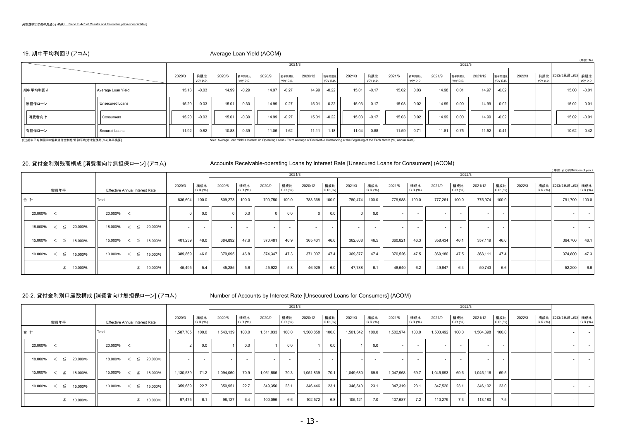# 19. 期中平均利回り (アコム) わたり インストランス Average Loan Yield (ACOM)

|                                        |                        |        |                 |                                                                                                                                                      |                   |        |                   |         |                   |        |                 |        |                   |        |                   |         |                   |        |          |                      | (単位: %)  |
|----------------------------------------|------------------------|--------|-----------------|------------------------------------------------------------------------------------------------------------------------------------------------------|-------------------|--------|-------------------|---------|-------------------|--------|-----------------|--------|-------------------|--------|-------------------|---------|-------------------|--------|----------|----------------------|----------|
|                                        |                        |        |                 |                                                                                                                                                      |                   |        | 2021/3            |         |                   |        |                 |        |                   |        | 2022/3            |         |                   |        |          |                      |          |
|                                        |                        | 2020/3 | 前期比<br>yoy p.p. | 2020/6                                                                                                                                               | 前年同期比<br>yoy p.p. | 2020/9 | 前年同期比<br>yoy p.p. | 2020/12 | 前年同期比<br>yoy p.p. | 2021/3 | 前期比<br>yoy p.p. | 2021/6 | 前年同期比<br>yoy p.p. | 2021/9 | 前年同期比<br>yoy p.p. | 2021/12 | 前年同期比<br>yoy p.p. | 2022/3 | yoy p.p. | 前期比 2022/3見通し(E) 前期比 | yoy p.p. |
| 期中平均利回り                                | Average Loan Yield     | 15.18  | $-0.03$         | 14.99                                                                                                                                                | $-0.29$           | 14.97  | $-0.27$           | 14.99   | $-0.22$           | 15.01  | $-0.17$         | 15.02  | 0.03              | 14.98  | 0.01              | 14.97   | $-0.02$           |        |          | 15.00                | $-0.01$  |
| 無担保ローン                                 | <b>Unsecured Loans</b> | 15.20  | $-0.03$         | 15.01                                                                                                                                                | $-0.30$           | 14.99  | $-0.27$           | 15.01   | $-0.22$           | 15.03  | $-0.17$         | 15.03  | 0.02              | 14.99  | 0.00              | 14.99   | $-0.02$           |        |          | 15.02                | $-0.01$  |
| 消費者向け                                  | Consumers              | 15.20  | $-0.03$         | 15.01                                                                                                                                                | $-0.30$           | 14.99  | $-0.27$           | 15.01   | $-0.22$           | 15.03  | $-0.17$         | 15.03  | 0.02              | 14.99  | 0.00              | 14.99   | $-0.02$           |        |          | 15.02                | $-0.01$  |
| 有担保ローン                                 | Secured Loans          | 11.92  | 0.82            | 10.88                                                                                                                                                | $-0.39$           | 11.06  | $-1.62$           | 11.11   | $-1.18$           | 11.04  | $-0.88$         | 11.59  | 0.71              | 11.81  | 0.75              | 11.52   | 0.41              |        |          | 10.62                | $-0.42$  |
| (注)期中平均利回り=営業貸付金利息/月初平均貸付金残高(%) [年率換算] |                        |        |                 | Note: Average Loan Yield = Interest on Operating Loans / Term Average of Receivable Outstanding at the Beginning of the Each Month (%, Annual Rate). |                   |        |                   |         |                   |        |                 |        |                   |        |                   |         |                   |        |          |                      |          |

### 20. 貸付金利別残高構成 [消費者向け無担保ローン] (アコム) Accounts Receivable-operating Loans by Interest Rate [Unsecured Loans for Consumers] (ACOM)

( 単位:百万円/Millions of yen )

|                                |                                       |                           |                      |                 |         | 2021/3          |         |                 |         |                 |         |                 |         | 2022/3          |                          |                 |        |          |                      |                      |
|--------------------------------|---------------------------------------|---------------------------|----------------------|-----------------|---------|-----------------|---------|-----------------|---------|-----------------|---------|-----------------|---------|-----------------|--------------------------|-----------------|--------|----------|----------------------|----------------------|
| 実質年率                           | <b>Effective Annual Interest Rate</b> | 構成比<br>2020/3<br>C.R.(96) | 2020/6               | 構成比<br>C.R.(96) | 2020/9  | 構成比<br>C.R.(96) | 2020/12 | 構成比<br>C.R.(96) | 2021/3  | 構成比<br>C.R.(96) | 2021/6  | 構成比<br>C.R.(96) | 2021/9  | 構成比<br>C.R.(96) | 2021/12                  | 構成比<br>C.R.(96) | 2022/3 | C.R.(96) | 構成比 2022/3見通し(E) 構成比 | C.R.(96)             |
| 合計                             | Total                                 | 836,604<br>100.0          | 809,273              | 100.0           | 790,750 | 100.0           | 783,368 | 100.0           | 780,474 | 100.0           | 779,988 | 100.0           | 777,261 | 100.0           | 775,974                  | 100.0           |        |          | 791,700              | 100.0                |
| 20.000% <                      | 20.000% <                             | $\Omega$                  | 0.0 <sub>1</sub>     | 0.0             |         | 0.0             |         | 0.0             |         | 0.0             | $\sim$  |                 | $\sim$  |                 |                          |                 |        |          | $\sim$               | <b>Contract</b>      |
| 20.000%<br>$18.000\%$ < $\leq$ | 20.000%<br>18.000%<br>$\lt$ $\leq$    | $\sim$                    | $\sim$               | $\sim$          | $\sim$  |                 | $\sim$  | $\sim$          | $\sim$  |                 | $\sim$  |                 | $\sim$  | $\sim$          | $\overline{\phantom{a}}$ |                 |        |          | $\sim$               | $\sim 100$ m $^{-1}$ |
| $15.000\%$ < $\leq$<br>18.000% | 15.000%<br>18.000%<br>$\lt$ $\leq$    | 401,239<br>48.0           | 384,892              | 47.6            | 370.481 | 46.9            | 365,431 | 46.6            | 362,808 | 46.5            | 360,821 | 46.3            | 358,434 | 46.1            | 357,119                  | 46.0            |        |          | 364,700 46.1         |                      |
| $10.000\%$ < $\leq$<br>15.000% | 10.000%<br>$\lt$ $\leq$<br>15.000%    | 389,869<br>46.6           | 379,095              | 46.8            | 374,347 | 47.3            | 371,007 | 47.4            | 369,877 | 47.4            | 370,526 | 47.5            | 369,180 | 47.5            | 368,111                  | 47.4            |        |          | 374,800              | 47.3                 |
| $\leq$ 10.000%                 | 10.000%<br>≦                          | 45,495                    | 45,285<br>$5.4 \mid$ | 5.6             | 45,922  | 5.8             | 46,929  | 6.0             | 47,788  | 6.1             | 48,640  | 6.2             | 49,647  | 6.4             | 50,743                   | 6.6             |        |          | 52,200               | 6.6                  |

20-2. 貸付金利別口座数構成 [消費者向け無担保ローン] (アコム) Number of Accounts by Interest Rate [Unsecured Loans for Consumers] (ACOM)

|                                   |                                       |           |                 |           |                 |           |                 | 2021/3    |                 |           |                          |           |                 |                          | 2022/3                   |           |                 |        |          |                          |                            |
|-----------------------------------|---------------------------------------|-----------|-----------------|-----------|-----------------|-----------|-----------------|-----------|-----------------|-----------|--------------------------|-----------|-----------------|--------------------------|--------------------------|-----------|-----------------|--------|----------|--------------------------|----------------------------|
| 実質年率                              | <b>Effective Annual Interest Rate</b> | 2020/3    | 構成比<br>C.R.(96) | 2020/6    | 構成比<br>C.R.(96) | 2020/9    | 構成比<br>C.R.(96) | 2020/12   | 構成比<br>C.R.(96) | 2021/3    | 構成比<br>C.R.(96)          | 2021/6    | 構成比<br>C.R.(96) | 2021/9                   | 構成比<br>C.R.(96)          | 2021/12   | 構成比<br>C.R.(96) | 2022/3 | C.R.(96) | 構成比 2022/3見通し(E) 構成比     | C.R.(96)                   |
| 合計                                | Total                                 | 1,587,705 | 100.0           | 1,543,139 | 100.0           | 1,511,033 | 100.0           | 1,500,858 | 100.0           | 1,501,342 | 100.0                    | 1,502,974 | 100.0           | 1,503,492                | 100.0                    | 1,504,398 | 100.0           |        |          |                          | $\sim$ 100 $\pm$ 100 $\pm$ |
| 20.000% <                         | 20.000% <                             | $\sim$    | 0.0             |           | 0.0             |           | 0.0             |           | 0.0             |           | 0.0                      |           |                 | $\overline{\phantom{a}}$ | $\sim$                   | $\sim$    |                 |        |          | $\overline{\phantom{a}}$ | $\sim 100$                 |
| 20.000%<br>18.000%<br>$\lt$ $\le$ | 20.000%<br>18.000%<br>$\lt$ $\le$     |           |                 |           |                 |           |                 |           | $\sim$          |           | $\overline{\phantom{a}}$ |           |                 |                          | $\overline{\phantom{a}}$ |           |                 |        |          | $\overline{\phantom{a}}$ | $\sim$ $-$                 |
| $15.000\%$ < $\leq$<br>18.000%    | 15.000%<br>$\lt$ $\leq$<br>18.000%    | 1,130,539 | 71.2            | 1,094,060 | 70.9            | 1,061,586 | 70.3            | 1,051,839 | 70.1            | 1,049,680 | 69.9                     | 1,047,968 | 69.7            | 1,045,693                | 69.6                     | 1,045,116 | 69.5            |        |          | $\overline{\phantom{a}}$ | $\sim$ 100 $\pm$ 100 $\pm$ |
| $10.000\%$ < $\leq$<br>15.000%    | 10.000%<br>$\lt$ $\leq$<br>15.000%    | 359,689   | 22.7            | 350,951   | 22.7            | 349,350   | 23.1            | 346,446   | 23.1            | 346,540   | 23.1                     | 347,319   | 23.1            | 347,520                  | 23.1                     | 346,102   | 23.0            |        |          | $\sim$                   | $\sim 100$                 |
| 10.000%                           | 10.000%<br>≦                          | 97,475    | 6.1             | 98,127    | 6.4             | 100,096   | 6.6             | 102,572   | 6.8             | 105,121   | 7.0                      | 107,687   | 7.2             | 110,279                  | 7.3                      | 113,180   | 7.5             |        |          | $\overline{\phantom{a}}$ | $\sim$ $\sim$              |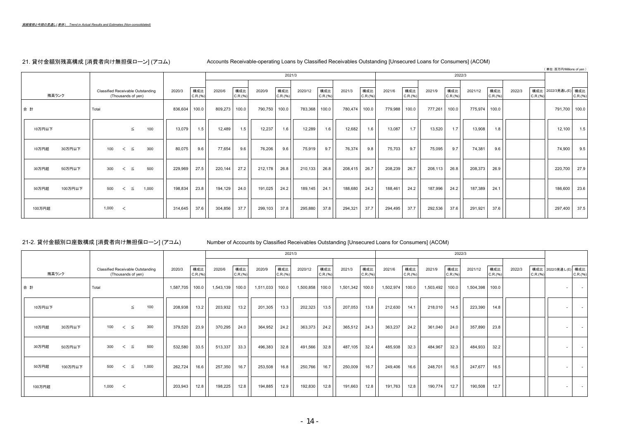# 21. 貸付金額別残高構成 [消費者向け無担保ローン] (アコム) Accounts Receivable-operating Loans by Classified Receivables Outstanding [Unsecured Loans for Consumers] (ACOM)

 $($   $($   $)$   $)$   $($   $)$   $($   $)$   $($   $)$   $($   $)$   $($   $)$   $($   $)$   $($   $)$   $($   $)$   $($   $)$   $($   $)$   $($   $)$   $($   $)$   $($   $)$   $($   $)$   $($   $)$   $($   $)$   $($   $)$   $($   $)$   $($   $)$   $($   $)$   $($   $)$   $($   $)$   $($   $)$   $($   $)$   $($   $)$   $($ 

|                  |                                                                |                           |         |                           | 2021/3          |         |                 |         |                 |         |                 |         | 2022/3          |         |                 |        |          | ∖ 単位:日刀門/Millions or yeni |          |
|------------------|----------------------------------------------------------------|---------------------------|---------|---------------------------|-----------------|---------|-----------------|---------|-----------------|---------|-----------------|---------|-----------------|---------|-----------------|--------|----------|---------------------------|----------|
| 残高ランク            | <b>Classified Receivable Outstanding</b><br>(Thousands of yen) | 構成比<br>2020/3<br>C.R.(96) | 2020/6  | 構成比<br>2020/9<br>C.R.(96) | 構成比<br>C.R.(96) | 2020/12 | 構成比<br>C.R.(96) | 2021/3  | 構成比<br>C.R.(96) | 2021/6  | 構成比<br>C.R.(96) | 2021/9  | 構成比<br>C.R.(96) | 2021/12 | 構成比<br>C.R.(96) | 2022/3 | C.R.(96) | 構成比 2022/3見通し(E) 構成比      | C.R.(96) |
| 合計               | Total                                                          | 836,604<br>100.0          | 809,273 | 100.0<br>790,750          | 100.0           | 783,368 | 100.0           | 780,474 | 100.0           | 779,988 | 100.0           | 777,261 | 100.0           | 775,974 | 100.0           |        |          | 791,700 100.0             |          |
| 10万円以下           | 100<br>$\leq$                                                  | 13,079<br>1.5             | 12,489  | 12,237<br>1.5             | 1.6             | 12,289  | 1.6             | 12,682  | 1.6             | 13,087  | 1.7             | 13,520  | 1.7             | 13,908  | 1.8             |        |          | 12,100                    | 1.5      |
| 10万円超<br>30万円以下  | 300<br>100<br>$\lt$ $\leq$                                     | 80,075<br>9.6             | 77,654  | 76,206<br>9.6             | 9.6             | 75,919  | 9.7             | 76,374  | 9.8             | 75,703  | 9.7             | 75,095  | 9.7             | 74,381  | 9.6             |        |          | 74,900                    | 9.5      |
| 30万円超<br>50万円以下  | 500<br>300<br>$\lt$ $\leq$                                     | 27.5<br>229,969           | 220,144 | 27.2<br>212,178           | 26.8            | 210,133 | 26.8            | 208,415 | 26.7            | 208,239 | 26.7            | 208,113 | 26.8            | 208,373 | 26.9            |        |          | 220,700 27.9              |          |
| 100万円以下<br>50万円超 | 1,000<br>500<br>$\lt$ $\leq$                                   | 23.8<br>198,834           | 194,129 | 191,025<br>24.0           | 24.2            | 189,145 | 24.1            | 188,680 | 24.2            | 188,461 | 24.2            | 187,996 | 24.2            | 187,389 | 24.1            |        |          | 186,600 23.6              |          |
| 100万円超           | 1,000<br>$\prec$                                               | 37.6<br>314,645           | 304,856 | 37.7<br>299,103           | 37.8            | 295,880 | 37.8            | 294,321 | 37.7            | 294,495 | 37.7            | 292,536 | 37.6            | 291,921 | 37.6            |        |          | 297,400                   | 37.5     |

21-2. 貸付金額別口座数構成 [消費者向け無担保ローン] (アコム) Number of Accounts by Classified Receivables Outstanding [Unsecured Loans for Consumers] (ACOM)

|                  |                                                                |                           |           |                 |           |                 | 2021/3    |                 |           |                 |           |                 |           | 2022/3          |           |                 |        |          |                          |                  |
|------------------|----------------------------------------------------------------|---------------------------|-----------|-----------------|-----------|-----------------|-----------|-----------------|-----------|-----------------|-----------|-----------------|-----------|-----------------|-----------|-----------------|--------|----------|--------------------------|------------------|
| 残高ランク            | <b>Classified Receivable Outstanding</b><br>(Thousands of yen) | 構成比<br>2020/3<br>C.R.(96) | 2020/6    | 構成比<br>C.R.(96) | 2020/9    | 構成比<br>C.R.(96) | 2020/12   | 構成比<br>C.R.(96) | 2021/3    | 構成比<br>C.R.(96) | 2021/6    | 構成比<br>C.R.(96) | 2021/9    | 構成比<br>C.R.(96) | 2021/12   | 構成比<br>C.R.(96) | 2022/3 | C.R.(96) | 構成比 2022/3見通し(E) 構成比     | C.R.(%)          |
| 合計               | Total                                                          | 100.0<br>1,587,705        | 1,543,139 | 100.0           | 1,511,033 | 100.0           | 1,500,858 | 100.0           | 1,501,342 | 100.0           | 1,502,974 | 100.0           | 1,503,492 | 100.0           | 1,504,398 | 100.0           |        |          | $\sim$                   | $\sim 100$       |
| 10万円以下           | 100<br>$\leq$                                                  | 208,938<br>13.2           | 203,932   | 13.2            | 201,305   | 13.3            | 202,323   | 13.5            | 207,053   | 13.8            | 212,630   | 14.1            | 218,010   | 14.5            | 223,390   | 14.8            |        |          | $\sim$                   | $\sim 100$       |
| 10万円超<br>30万円以下  | 300<br>100<br>$\lt$ $\leq$                                     | 23.9<br>379,520           | 370,295   | 24.0            | 364,952   | 24.2            | 363,373   | 24.2            | 365,512   | 24.3            | 363,237   | 24.2            | 361,040   | 24.0            | 357,890   | 23.8            |        |          | $\overline{\phantom{a}}$ | $\sim$ 100 $\pm$ |
| 30万円超<br>50万円以下  | 500<br>300<br>$\lt$ $\leq$                                     | 33.5<br>532,580           | 513,337   | 33.3            | 496,383   | 32.8            | 491,566   | 32.8            | 487,105   | 32.4            | 485,938   | 32.3            | 484,967   | 32.3            | 484,933   | 32.2            |        |          | $\sim$                   | $\sim$           |
| 50万円超<br>100万円以下 | 1,000<br>500<br>$\lt$ $\leq$                                   | 262,724<br>16.6           | 257,350   | 16.7            | 253,508   | 16.8            | 250,766   | 16.7            | 250,009   | 16.7            | 249,406   | 16.6            | 248,701   | 16.5            | 247,677   | 16.5            |        |          |                          | $\sim 100$       |
| 100万円超           | 1,000<br>$\prec$                                               | 203,943<br>12.8           | 198,225   | 12.8            | 194,885   | 12.9            | 192,830   | 12.8            | 191,663   | 12.8            | 191,763   | 12.8            | 190,774   | 12.7            | 190,508   | 12.7            |        |          | $\sim$                   | $\sim 100$       |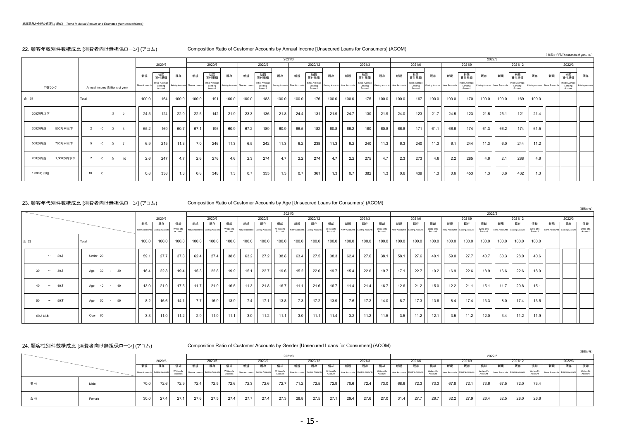### 22. 顧客年収別件数構成比 [消費者向け無担保ローン] (アコム) Composition Ratio of Customer Accounts by Annual Income [Unsecured Loans for Consumers] (ACOM)

| $  \frac{1}{2}$ $\frac{1}{2}$ $\frac{1}{2}$ $\frac{1}{2}$ $\frac{1}{2}$ $\frac{1}{2}$ $\frac{1}{2}$ $\frac{1}{2}$ $\frac{1}{2}$ $\frac{1}{2}$ $\frac{1}{2}$ $\frac{1}{2}$ $\frac{1}{2}$ $\frac{1}{2}$ $\frac{1}{2}$ $\frac{1}{2}$ $\frac{1}{2}$ $\frac{1}{2}$ $\frac{1}{2}$ $\frac{1}{2}$ $\frac{1}{2}$ $\frac$ |                                 |                          |              |                                      |                                |       |                                      |                                |       |                                      |                                |        |                                       |                                |       |                                      | $\cdots$                       |       |                                      |                                |       |                                      |                                |       |                                      |                                |    |                                      |                          |
|-----------------------------------------------------------------------------------------------------------------------------------------------------------------------------------------------------------------------------------------------------------------------------------------------------------------|---------------------------------|--------------------------|--------------|--------------------------------------|--------------------------------|-------|--------------------------------------|--------------------------------|-------|--------------------------------------|--------------------------------|--------|---------------------------------------|--------------------------------|-------|--------------------------------------|--------------------------------|-------|--------------------------------------|--------------------------------|-------|--------------------------------------|--------------------------------|-------|--------------------------------------|--------------------------------|----|--------------------------------------|--------------------------|
|                                                                                                                                                                                                                                                                                                                 |                                 |                          |              |                                      |                                |       |                                      |                                |       |                                      |                                |        |                                       |                                |       |                                      |                                |       |                                      |                                |       |                                      |                                |       |                                      |                                |    | (単位:千円/Thousands of yen, %)          |                          |
|                                                                                                                                                                                                                                                                                                                 |                                 |                          |              |                                      |                                |       |                                      |                                |       |                                      |                                | 2021/3 |                                       |                                |       |                                      |                                |       |                                      |                                |       |                                      | 2022/3                         |       |                                      |                                |    |                                      |                          |
|                                                                                                                                                                                                                                                                                                                 |                                 |                          |              | 2020/3                               |                                |       | 2020/6                               |                                |       | 2020/9                               |                                |        | 2020/12                               |                                |       | 2021/3                               |                                |       | 2021/6                               |                                |       | 2021/9                               |                                |       | 2021/12                              |                                |    | 2022/3                               |                          |
|                                                                                                                                                                                                                                                                                                                 |                                 |                          |              |                                      |                                |       |                                      |                                |       |                                      |                                |        |                                       |                                |       |                                      |                                |       |                                      |                                |       |                                      |                                |       |                                      |                                |    |                                      |                          |
|                                                                                                                                                                                                                                                                                                                 |                                 |                          | 新規           | 初回<br>貸付単価                           | 既存                             | 新規    | 初回<br>貸付単価                           | 既存                             | 新規    | 初回<br>貸付単価                           | 既存                             | 新規     | 初回<br>貸付単価                            | 既存                             | 新規    | 初回<br>貸付単価                           | 既存                             | 新規    | 初回<br>貸付単価                           | 既存                             | 新規    | 初回<br>貸付単価                           | 既存                             | 新規    | 初回<br>貸付単価                           | 既存                             | 新規 | 初回<br>貸付単価                           | 既存                       |
| 年収ランク                                                                                                                                                                                                                                                                                                           | Annual Income (Millions of ven) |                          | New Accounts | Initial Average<br>Lending<br>Amount | Existing Accounts New Accounts |       | Initial Average<br>Lending<br>Amount | Existing Accounts New Accounts |       | Initial Average<br>Lending<br>Amount | Existing Accounts New Accounts |        | Initial Average<br>Lending<br>Amount. | Existing Accounts New Accounts |       | Initial Average<br>Lending<br>Amount | Existing Accounts New Accounts |       | Initial Average<br>Lending<br>Amount | Existing Accounts New Accounts |       | Initial Average<br>Lending<br>Amount | Existing Accounts New Accounts |       | Initial Average<br>Lending<br>Amount | Existing Accounts New Accounts |    | Initial Average<br>Lending<br>Amount | <b>Existing Accounts</b> |
| 合計                                                                                                                                                                                                                                                                                                              | Total                           |                          | 100.0        | 164                                  | 100.0                          | 100.0 | 191                                  | 100.0                          | 100.0 | 183                                  | 100.0                          | 100.0  | 176                                   | 100.0                          | 100.0 | 175                                  | 100.0                          | 100.0 | 167                                  | 100.0                          | 100.0 | 170                                  | 100.0                          | 100.0 | 169                                  | 100.0                          |    |                                      |                          |
| 200万円以下                                                                                                                                                                                                                                                                                                         |                                 | $\leq$<br>$\overline{2}$ | 24.5         | 124                                  | 22.0                           | 22.5  | 142                                  | 21.9                           | 23.3  | 136                                  | 21.8                           | 24.4   | 131                                   | 21.9                           | 24.7  | 130                                  | 21.9                           | 24.0  | 123                                  | 21.7                           | 24.5  | 123                                  | 21.5                           | 25.1  | 121                                  | 21.4                           |    |                                      |                          |
| 500万円以下<br>200万円超                                                                                                                                                                                                                                                                                               | 2<br>$\prec$                    | $\leq$<br>- 5            | 65.2         | 169                                  | 60.7                           | 67.1  | 196                                  | 60.9                           | 67.2  | 189                                  | 60.9                           | 66.5   | 182                                   | 60.8                           | 66.2  | 180                                  | 60.8                           | 66.8  | 171                                  | 61.1                           | 66.6  | 174                                  | 61.3                           | 66.2  | 174                                  | 61.5                           |    |                                      |                          |
| 700万円以下<br>500万円超                                                                                                                                                                                                                                                                                               | 5<br>$\tilde{\phantom{a}}$      | $\leq$<br>$\overline{7}$ | 6.9          | 215                                  | 11.3                           | 7.0   | 246                                  | 11.3                           | 6.5   | 242                                  | 11.3                           | 6.2    | 238                                   | 11.3                           | 6.2   | 240                                  | 11.3                           | 6.3   | 240                                  | 11.3                           | 6.1   | 244                                  | 11.3                           | 6.0   | 244                                  | 11.2                           |    |                                      |                          |
| 1,000万円以下<br>700万円超                                                                                                                                                                                                                                                                                             | 7<br>$\prec$                    | $\leq$<br>10             | 2.6          | 247                                  | 4.7                            | 2.6   | 276                                  | 4.6                            | 2.3   | 274                                  | 4.7                            | 2.2    | 274                                   | 4.7                            | 2.2   | 275                                  | 4.7                            | 2.3   | 273                                  | 4.6                            | 2.2   | 285                                  | 4.6                            | 2.1   | 288                                  | 4.6                            |    |                                      |                          |
| 1,000万円超                                                                                                                                                                                                                                                                                                        | 10 <sub>1</sub><br>$\sim$       |                          | 0.8          | 338                                  | 1.3                            | 0.8   | 348                                  | 1.3                            | 0.7   | 355                                  | 1.3                            | 0.7    | 361                                   | 1.3                            | 0.7   | 382                                  | 1.3                            | 0.6   | 439                                  | 1.3                            | 0.6   | 453                                  | 1.3                            | 0.6   | 432                                  | 1.3                            |    |                                      |                          |

### 23. 顧客年代別件数構成比 [消費者向け無担保ローン] (アコム) Composition Ratio of Customer Accounts by Age [Unsecured Loans for Consumers] (ACOM)

|                  |             |                 |                                |                       |                                |                        |                       |                                |        | 2021/3  |                                           |         |             |       |                                           |         |       |                                           |         |       |                                           |                       | 2022/3 |                                |                       |                                |        |                       |
|------------------|-------------|-----------------|--------------------------------|-----------------------|--------------------------------|------------------------|-----------------------|--------------------------------|--------|---------|-------------------------------------------|---------|-------------|-------|-------------------------------------------|---------|-------|-------------------------------------------|---------|-------|-------------------------------------------|-----------------------|--------|--------------------------------|-----------------------|--------------------------------|--------|-----------------------|
|                  |             |                 | 2020/3                         |                       |                                | 2020/6                 |                       |                                | 2020/9 |         |                                           | 2020/12 |             |       | 2021/3                                    |         |       | 2021/6                                    |         |       | 2021/9                                    |                       |        | 2021/12                        |                       |                                | 2022/3 |                       |
|                  |             | 新規              | 既存                             | 信却                    | 新規                             | 既存                     | 償却                    | 新規                             | 既存     | 償却      | 新規                                        | 既存      | 償却          | 新規    | 既存                                        | 償却      | 新規    | 既存                                        | 償却      | 新規    | 既存                                        | 償却                    | 新規     | 既存                             | 償却                    | 新規                             | 既存     | 信却                    |
|                  |             |                 | New Accounts Existing Accounts | Write-offs<br>Account | New Accounts Existing Accounts |                        | Write-offs<br>Account | New Accounts Existing Accounts |        | Account | Write-offs New Accounts Existing Accounts |         | Account     |       | Write-offs New Accounts Existing Accounts | Account |       | Write-offs New Accounts Existing Accounts | Account |       | Write-offs New Accounts Existing Accounts | Write-offs<br>Account |        | New Accounts Existing Accounts | Write-offs<br>Account | New Accounts Existing Accounts |        | Write-offs<br>Account |
| 合計               | Total       | 100.0           | 100.0                          | 100.0                 | 100.0                          | 100.0                  | 100.0                 | 100.0                          | 100.0  | 100.0   | 100.0                                     | 100.0   | 100.0       | 100.0 | 100.0                                     | 100.0   | 100.0 | 100.0                                     | 100.0   | 100.0 | 100.0                                     | 100.0                 | 100.0  | 100.0                          | 100.0                 |                                |        |                       |
| $\sim$ 297       | Under 29    | 59.1            | 27.7                           | 37.8                  | 62.4                           | 27.4                   | 38.6                  | 63.2                           | 27.2   | 38.8    | 63.4                                      | 27.5    | 38.3        | 62.4  | 27.6                                      | 38.1    | 58.1  | 27.6                                      | 40.1    | 59.0  | 27.7                                      | 40.7                  | 60.3   | 28.0                           | 40.6                  |                                |        |                       |
| $\sim$ 397<br>30 | Age 30 - 39 | 16.4            | 22.8                           | 19.4                  | 15.3                           | 22.8                   | 19.9                  | 15.1                           | 22.7   | 19.6    | 15.2                                      | 22.6    | 19.7        | 15.4  | 22.6                                      | 19.7    | 17.1  | 22.7                                      | 19.2    | 16.9  | 22.6                                      | 18.9                  | 16.6   | 22.6                           | 18.9                  |                                |        |                       |
| $\sim$ 497<br>40 | Age 40 - 49 | 13.0            | 21.9                           | 17.5                  | 11.7                           | 21.9                   | 16.5                  | 11.3                           | 21.8   | 16.7    | 11.1                                      | 21.6    | 16.7        | 11.4  | 21.4                                      | 16.7    | 12.6  | 21.2                                      | 15.0    | 12.2  | 21.1                                      | 15.1                  | 11.7   | 20.8                           | 15.1                  |                                |        |                       |
| $\sim$ 597<br>50 | Age 50 - 59 | 8.2             | 16.6                           | 14.1                  | 7.7                            | 16.9                   | 13.9                  | 7.4                            | 17.1   | 13.8    | 7.3                                       | 17.2    | 13.9        | 7.6   | 17.2                                      | 14.0    | $8.7$ | 17.3                                      | 13.6    | 8.4   | 17.4                                      | 13.3                  | 8.0    | 17.4                           | 13.5                  |                                |        |                       |
| 60才以上            | Over 60     | $3.3 \parallel$ | 11.0                           | 11.2                  | 2.9                            | $\vert$ 11.0 $\vert$ 1 | 11.1                  | 3.0                            | 11.2   | 11.1    | 3.0                                       |         | $11.1$ 11.4 | 3.2   | 11.2                                      | 11.5    | 3.5   | 11.2                                      | 12.1    | 3.5   | 11.2                                      | 12.0                  | 3.4    |                                | $11.2$ 11.9           |                                |        |                       |

(単位:%)

(単位:%)

### 24. 顧客性別件数構成比 [消費者向け無担保ローン] (アコム) Composition Ratio of Customer Accounts by Gender [Unsecured Loans for Consumers] (ACOM)

|    |        |      |                                |                       |      |                                |                       |      |                                |      | 2021/3                                                 |         |                       |      |                                |      |      |                                                          |      |      |                                                   |                       | 2022/3 |                                |                       |                                |        |                       |
|----|--------|------|--------------------------------|-----------------------|------|--------------------------------|-----------------------|------|--------------------------------|------|--------------------------------------------------------|---------|-----------------------|------|--------------------------------|------|------|----------------------------------------------------------|------|------|---------------------------------------------------|-----------------------|--------|--------------------------------|-----------------------|--------------------------------|--------|-----------------------|
|    |        |      | 2020/3                         |                       |      | 2020/6                         |                       |      | 2020/9                         |      |                                                        | 2020/12 |                       |      | 2021/3                         |      |      | 2021/6                                                   |      |      | 2021/9                                            |                       |        | 2021/12                        |                       |                                | 2022/3 |                       |
|    |        |      | 既存                             |                       |      |                                |                       |      |                                |      |                                                        | 既存      | 價却                    |      |                                |      |      |                                                          |      |      | 既存                                                |                       |        | 既存                             | 價却                    |                                |        | 償却                    |
|    |        |      | New Accounts Existing Accounts | Write-offs<br>Account |      | New Accounts Existing Accounts | Write-offs<br>Account |      | New Accounts Existing Accounts |      | -munts Write-offs New Accounts Existing Accounts   *** |         | Write-offs<br>Account |      | New Accounts Existing Accounts |      |      | - - - counts Write-offs New Accounts Existing Accounts - |      |      | -mounts Write-offs New Accounts Existing Accounts | Write-offs<br>Account |        | New Accounts Existing Accounts | Write-offs<br>Account | New Accounts Existing Accounts |        | Write-offs<br>Account |
| 男性 | Male   | 70.0 | 72.6                           | 72.9                  | 72.4 | 72.5                           | 72.6                  | 72.3 | 72.6                           | 72.7 | 71.2                                                   | 72.5    | 72.9                  | 70.6 | 72.4                           | 73.0 | 68.6 | 72.3                                                     | 73.3 | 67.8 | 72.1                                              | 73.6                  | 67.5   | 72.0                           | 73.4                  |                                |        |                       |
| 女性 | Female | 30.0 | 27.4                           | 27.1                  | 27.6 | 27.5                           | 27.4                  | 27.7 | 27.4                           | 27.3 | 28.8                                                   | 27.5    | 27.1                  | 29.4 | 27.6                           | 27.0 | 31.4 | 27.7                                                     | 26.7 | 32.2 | 27.9                                              | 26.4                  | 32.5   | 28.0                           | 26.6                  |                                |        |                       |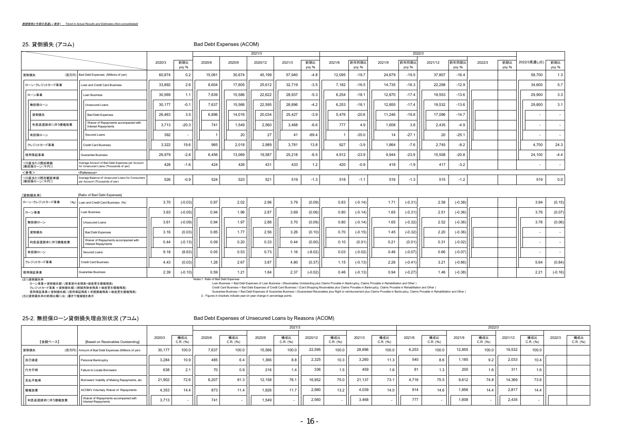### 25. 貸倒損失 (アコム) Bad Debt Expenses (ACOM)

|                              |                                                                                           |        |              |        |        | 2021/3  |        |              |                |                |        | 2022/3         |         |                |        |              |              |              |
|------------------------------|-------------------------------------------------------------------------------------------|--------|--------------|--------|--------|---------|--------|--------------|----------------|----------------|--------|----------------|---------|----------------|--------|--------------|--------------|--------------|
|                              |                                                                                           | 2020/3 | 前期比<br>yoy % | 2020/6 | 2020/9 | 2020/12 | 2021/3 | 前期比<br>yoy % | 2021/6         | 前年同期比<br>yoy % | 2021/9 | 前年同期比<br>yoy % | 2021/12 | 前年同期比<br>yoy % | 2022/3 | 前期比<br>yoy % | 2022/3見通し(E) | 前期比<br>yoy % |
| 貸倒損失<br>(百万円)                | Bad Debt Expenses (Millions of yen)                                                       | 60.874 | 0.2          | 15,061 | 30,674 | 45,199  | 57.940 | $-4.8$       | 12,095         | $-19.7$        | 24,679 | $-19.5$        | 37,807  | $-16.4$        |        |              | 58,700       | 1.3          |
| ローン・クレジットカード事業               | Loan and Credit Card Business                                                             | 33,892 | 2.6          | 8,604  | 17,605 | 25,612  | 32,719 | $-3.5$       | 7,182          | $-16.5$        | 14,735 | $-16.3$        | 22,298  | $-12.9$        |        |              | 34,600       | 5.7          |
| ローン事業                        | Loan Business                                                                             | 30,569 | 1.1          | 7,639  | 15,586 | 22,622  | 28,937 | $-5.3$       | 6,254          | $-18.1$        | 12,870 | $-17.4$        | 19,553  | $-13.6$        |        |              | 29,900       | 3.3          |
| 無担保ローン                       | Unsecured Loans                                                                           | 30,177 | $-0.1$       | 7,637  | 15,566 | 22,595  | 28,896 | $-4.2$       | 6,253          | $-18.1$        | 12,855 | $-17.4$        | 19,532  | $-13.6$        |        |              | 29,800       | 3.1          |
| 貸倒損失                         | <b>Bad Debt Expenses</b>                                                                  | 26,463 | 3.5          | 6,896  | 14,016 | 20,034  | 25,427 | $-3.9$       | 5.476          | $-20.6$        | 11.246 | $-19.8$        | 17,096  | $-14.7$        |        |              | $\sim$       | $\sim$       |
| 利息返還請求に伴う債権放棄                | Waiver of Repayments accompanied with<br>Interest Repayments                              | 3,713  | $-20.3$      | 741    | 1,549  | 2,560   | 3,468  | $-6.6$       | 777            | 4.9            | 1.608  | 3.8            | 2,435   | $-4.9$         |        |              | $\sim$       | $\sim$       |
| 有担保ローン                       | Secured Loans                                                                             | 392    |              |        | 20     | 27      | 41     | $-89.4$      | $\overline{1}$ | $-35.0$        | 14     | $-27.1$        | 20      | $-25.1$        |        |              | $\sim$       | $\sim$       |
| クレジットカード事業                   | <b>Credit Card Business</b>                                                               | 3,322  | 19.6         | 965    | 2,018  | 2,989   | 3.781  | 13.8         | 927            | $-3.9$         | 1,864  | $-7.6$         | 2.745   | $-8.2$         |        |              | 4.700        | 24.3         |
| 信用保証事業                       | <b>Guarantee Business</b>                                                                 | 26,979 | $-2.8$       | 6,456  | 13,069 | 19,587  | 25,218 | $-6.5$       | 4,912          | $-23.9$        | 9,944  | $-23.9$        | 15,508  | $-20.8$        |        |              | 24,100       | $-4.4$       |
| 1口座当たり償却単価<br>[無担保ローン(千円)]   | Average Amount of Bad Debt Expenses per Account<br>for Unsecured Loans (Thousands of ven) | 428    | $-1.6$       | 424    | 426    | 431     | 433    | 1.2          | 420            | $-0.9$         | 418    | $-1.9$         | 417     | $-3.2$         |        |              | $\sim$       | $\sim$       |
| <参考>                         | <reference></reference>                                                                   |        |              |        |        |         |        |              |                |                |        |                |         |                |        |              |              |              |
| 1口座当たり既存顧客単価<br>[無担保ローン(千円)] | Average Balance of Unsecured Loans for Consumers<br>per Account (Thousands of yen)        | 526    | $-0.9$       | 524    | 523    | 521     | 519    | $-1.3$       | 518            | $-1.1$         | 516    | $-1.3$         | 515     | $-1.2$         |        |              | 519          | 0.0          |
| [貸倒損失率]                      | [Ratio of Bad Debt Expenses]                                                              |        |              |        |        |         |        |              |                |                |        |                |         |                |        |              |              |              |
| ローン・クレジットカード事業               | (%) Loan and Credit Card Business (%)                                                     | 3.70   | $(-0.03)$    | 0.97   | 2.02   | 2.96    | 3.79   | (0.09)       | 0.83           | $(-0.14)$      | 1.71   | $(-0.31)$      | 2.58    | $(-0.38)$      |        |              | 3.94         | (0.15)       |
| ローン事業                        | Loan Business                                                                             | 3.63   | $(-0.05)$    | 0.94   | 1.96   | 2.87    | 3.69   | (0.06)       | 0.80           | $(-0.14)$      | 1.65   | $(-0.31)$      | 2.51    | $(-0.36)$      |        |              | 3.76         | (0.07)       |
| 無担保ローン                       | Unsecured Loans                                                                           | 3.61   | $(-0.09)$    | 0.94   | 1.97   | 2.88    | 3.70   | (0.09)       | 0.80           | $(-0.14)$      | 1.65   | $(-0.32)$      | 2.52    | $(-0.36)$      |        |              | 3.76         | (0.06)       |
| 貸倒損失                         | <b>Bad Debt Expenses</b>                                                                  | 3.16   | (0.03)       | 0.85   | 1.77   | 2.56    | 3.26   | (0.10)       | 0.70           | $(-0.15)$      | 1.45   | $(-0.32)$      | 2.20    | $(-0.36)$      |        |              | $\sim$       | $\sim$       |
| 利息返還請求に伴う債権放棄                | Waiver of Repayments accompanied with<br><b>Interest Repayments</b>                       | 0.44   | $(-0.13)$    | 0.09   | 0.20   | 0.33    | 0.44   | (0.00)       | 0.10           | (0.01)         | 0.21   | (0.01)         | 0.31    | $(-0.02)$      |        |              | $\sim$       | $\sim$       |
| 有担保ローン                       | Secured Loans                                                                             | 9.18   | (8.63)       | 0.05   | 0.53   | 0.73    | 1.16   | $(-8.02)$    | 0.03           | $(-0.02)$      | 0.46   | $(-0.07)$      | 0.66    | $(-0.07)$      |        |              | $\sim$       | $\sim$       |
| クレジットカード事業                   | <b>Credit Card Business</b>                                                               | 4.43   | (0.03)       | 1.28   | 2.67   | 3.87    | 4.80   | (0.37)       | 1.15           | $(-0.13)$      | 2.26   | $(-0.41)$      | 3.21    | $(-0.66)$      |        |              | 5.64         | (0.84)       |
| 信用保証事業                       | <b>Guarantee Business</b>                                                                 | 2.39   | $(-0.10)$    | 0.59   | 1.21   | 1.84    | 2.37   | $(-0.02)$    | 0.46           | $(-0.13)$      | 0.94   | $(-0.27)$      | 1.46    | $(-0.38)$      |        |              | 2.21         | $(-0.16)$    |

(注1)貸倒損失率 Notes:1. Ratio of Bad Debt Expenses

ローン事業=貸倒損失額 / 営業貸付金残高+破産更生債権残高) Loan Business = Bad Debt Expenses of Loan Business = Bad Debt Expenses of Loan Business /(Receivables Outstanding plus Claims Provable in Bankruptcy, Claim

(注2)貸倒損失率の前期比欄には( )書きで増減値を表示 :2. Figures in brackets indicate year-on-year change in percentage points.

|               |                                                              |        |                   |        |                   |        | 2021/3          |         |                  |        |                    |        |                 | 2022/3 |                 |         |                  |        |                 |
|---------------|--------------------------------------------------------------|--------|-------------------|--------|-------------------|--------|-----------------|---------|------------------|--------|--------------------|--------|-----------------|--------|-----------------|---------|------------------|--------|-----------------|
| 【金額ベース】       | [Based on Receivables Outstanding]                           | 2020/3 | 構成比<br>$C.R.$ (%) | 2020/6 | 構成比<br>$C.R.$ (%) | 2020/9 | 構成比<br>C.R. (%) | 2020/12 | 構成比<br>C.R. (96) | 2021/3 | 構成比<br>C.R. (96)   | 2021/6 | 構成比<br>C.R. (%) | 2021/9 | 構成比<br>C.R. (%) | 2021/12 | 構成比<br>C.R. (96) | 2022/3 | 構成比<br>C.R. (%) |
| 貸倒損失          | (百万円) Amount of Bad Debt Expenses (Millions of yen)          | 30.177 | 100.0             | 7.637  | 100.0             | 15,566 | 100.0           | 22.595  | 100.0            | 28,896 | 100.0              | 6.253  | 100.0           | 12.855 | 100.0           | 19.532  | 100.0            |        |                 |
| 自己破産          | Personal Bankruptcy                                          | 3.284  | 10.9 <sub>1</sub> | 485    |                   | 1,366  | 8.8             | 2.325   | 10.3             | 3.260  | $11.3$             | 540    | 8.6             | 1.185  | 9.2             | 2.033   | 10.4             |        |                 |
| 行方不明          | Failure to Locate Borrowers                                  | 638    | 2.1               | 70     |                   | 216    | 1.4             | 336     | $1.5$            | 459    | $1.6$   $\sqrt{ }$ | 81     | 1.3             | 200    | 1.6             | 311     | 1.6 <sub>1</sub> |        |                 |
| 支払不能等         | Borrowers' Inability of Making Repayments, etc.              | 21.902 | 72.6              | 6.207  | 81.3              | 12.158 | 78.1            | 16.952  | 75.0             | 21.137 | 73.1               | 4.716  | 75.5            | 9.612  | 74.8            | 14,369  | 73.6             |        |                 |
| 債権放棄          | ACOM's Voluntary Waiver of Repayments                        | 4.353  | 14.4              | 873    | 11.4              | 1.826  | 11.7            | 2.980   | 13.2             | 4.039  | 14.0               | 914    | 14.6            | 1.856  | 14.4            | 2.817   | 14.4             |        |                 |
| 利息返還請求に伴う債権放棄 | Waiver of Repayments accompanied with<br>Interest Repayments | 3.713  |                   | 741    |                   | 1.549  |                 | 2.560   |                  | 3.468  |                    | 777    |                 | 1,608  |                 | 2.435   | $\sim$           |        |                 |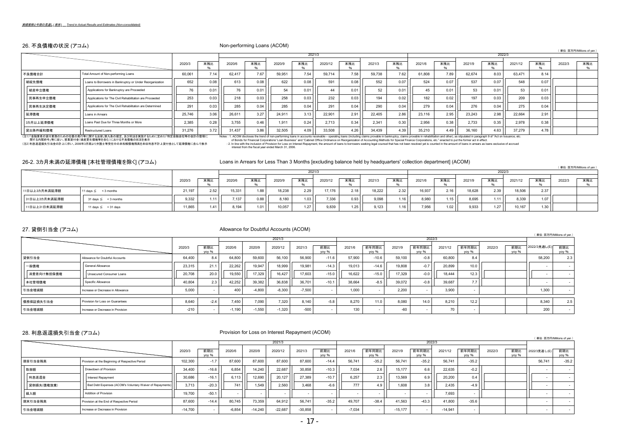### 26. 不良債権の状況 (アコム) Non-performing Loans (ACOM)

### ( 単位:百万円/Millions of yen )

( 単位:百万円/Millions of yen )

|           |                                                          |               |      |        |      |        | 2021/3 |         |      |        |      |        |      |        | 2022/3 |         |      |        |     |
|-----------|----------------------------------------------------------|---------------|------|--------|------|--------|--------|---------|------|--------|------|--------|------|--------|--------|---------|------|--------|-----|
|           |                                                          | 2020/3        | 末残比  | 2020/6 | 末残比  | 2020/9 | 末残比    | 2020/12 | 末残比  | 2021/3 | 末残比  | 2021/6 | 末残比  | 2021/9 | 末残比    | 2021/12 | 末残比  | 2022/3 | 末残比 |
| 不良債権合計    | Total Amount of Non-performing Loans                     | 60.061        | 7.14 | 62.417 | 7.67 | 59.951 | 7.54   | 59.714  | 7.58 | 59.738 | 7.62 | 61.808 | 7.89 | 62.674 | 8.03   | 63.471  | 8.14 |        |     |
| 破綻先債権     | Loans to Borrowers in Bankruptcy or Under Reorganization | 652           | 0.08 | 613    | 0.08 | 622    | 0.08   | 591     | 0.08 | 552    | 0.07 | 524    | 0.07 | 537    | 0.07   | 548     | 0.07 |        |     |
| 破産申立債権    | Applications for Bankruptcy are Proceeded                | $\rightarrow$ |      | 76     |      | 54     | 0.01   | 44      | 0.01 | 52     | 0.01 | 45     | 0.01 | 53     | 0.01   | 53      | 0.01 |        |     |
| 民事再生申立債権  | Applications for The Civil Rehabilitation are Proceeded  | 253           | 0.03 | 218    | 0.03 | 258    | 0.03   | 232     | 0.03 | 194    | 0.02 | 182    | 0.02 | 197    | 0.03   | 209     | 0.03 |        |     |
| 民事再生決定債権  | Applications for The Civil Rehabilitation are Determined | 291           | 0.03 | 285    | 0.04 | 285    | 0.04   | 291     | 0.04 | 290    | 0.04 | 279    | 0.04 | 276    | 0.04   | 275     | 0.04 |        |     |
| 延滞債権      | Loans in Arrears                                         | 25,746        | 3.06 | 26,611 | 3.27 | 24,911 | 3.13   | 22.901  | 2.91 | 22.405 | 2.86 | 23,116 | 2.95 | 23.243 | 2.98   | 22.664  | 2.91 |        |     |
| 3カ月以上延滞債権 | Loans Past Due for Three Months or More                  | 2.385         | 0.28 | 3.755  | 0.46 | 1.911  | 0.24   | 2.713   | 0.34 | 2.341  | 0.30 | 2.956  | 0.38 | 2.733  | 0.35   | 2.978   | 0.38 |        |     |
| 貸出条件緩和債権  | Restructured Loans                                       | 31,276        | 3.72 | 31,437 | 3.86 | 32,505 | 4.09   | 33,508  | 4.26 | 34,439 | 4.39 | 35,210 | 4.49 | 36,160 | 4.63   | 37,279  | 4.78 |        |     |

 $\mathcal{L}_{\mathcal{A}}$ 

(注1)「金融業者の貸付業務のための社債の発行等に関する法律」第九条の規定、及び同法を実施するために定めた「特定金融会社等の会計の整理に<br>| 関する内閣府令」等に従い、営業資付金( 破産更生債権等を含む)における不良債権の状況を表示<br>(注2) 利息返還損失引当金の計上に伴い、2006年3月期より弁護士等受任中の未和解債権残高を未収利息不計上貸付金として延滞債権に含んで表示

Notes : 1. ACOM discloses the trend of non-performing bans in accounts receivable – operating bans (including claims provable in bankruptor, claims provable in tenhabilitation and other), as stipulated in paragraph 9 of "A

 $\sim 10^{-11}$ 

 $\mathbb{R}^2$ 

interest from the fiscal year ended March 31, 2006.

 $\sim 10^{-1}$ 

 $\sim 10^{-1}$ 

26-2. 3カ月未満の延滞債権 [本社管理債権を除く] (アコム) Loans in Arrears for Less Than 3 Months [excluding balance held by headquarters' collection department] (ACOM)

|               |                                         |        |         |        |      |        |      | 2021/3  |      |        |      |        |                   |        | 2022   |         |      |        |     |
|---------------|-----------------------------------------|--------|---------|--------|------|--------|------|---------|------|--------|------|--------|-------------------|--------|--------|---------|------|--------|-----|
|               |                                         | 2020/  | 末残比     | 2020/6 | 末残比  | 2020/9 | 末残比  | 2020/12 | 末残比  | 2021/3 | 末残比  | 2021/6 | 末残比               | 2021/9 | 末残比    | 2021/12 | 末残比  | 2022/3 | 末残比 |
| 11日以上3カ月未満延滞額 | 11 days $\leq$ < 3 months               | 21.197 | 2.52    | 15,331 | 1.88 | 18,238 | 2.29 | 17,176  | 2.18 | 18,222 | 2.32 | 16,937 | 2.16 <sub>1</sub> | 18,628 | 2.39   | 18,506  | 2.37 |        |     |
| 31日以上3カ月未満延滞額 | $31 \text{ days} \leq 3 \text{ months}$ | 9.332  | 1 1 1 I | 7.137  | 0.88 | 8,180  | 1.03 | 7,336   | 0.93 | 9,098  | 1.16 | 8.980  | 1.15              | 8.695  | 1.11 I | 8.339   | 1.07 |        |     |
| 11日以上31日未満延滞額 | 11 days $\leq$ < 31 days                | 11,865 | 1.41    | 8,194  | 1.01 | 10,057 | 1.27 | 9,839   | 1.25 | 9,123  | 1.16 | 7,956  | 1.02              | 9,933  | 1.27   | 10.167  | 1.30 |        |     |

### 27. 貸倒引当金 (アコム) しゅうしょう しゅうしょう Allowance for Doubtful Accounts (ACOM)

| -----------                                                                                                                                                                                                                                                                                                                                                                 |                                   |        |                     |          |          |          |          |              |        |                |        |                |         |                |        |              | (単位:百万円/Millions of yen) |                          |
|-----------------------------------------------------------------------------------------------------------------------------------------------------------------------------------------------------------------------------------------------------------------------------------------------------------------------------------------------------------------------------|-----------------------------------|--------|---------------------|----------|----------|----------|----------|--------------|--------|----------------|--------|----------------|---------|----------------|--------|--------------|--------------------------|--------------------------|
| $\begin{picture}(20,20) \put(0,0){\dashbox{0.5}(5,0){ }} \put(15,0){\dashbox{0.5}(5,0){ }} \put(15,0){\dashbox{0.5}(5,0){ }} \put(15,0){\dashbox{0.5}(5,0){ }} \put(15,0){\dashbox{0.5}(5,0){ }} \put(15,0){\dashbox{0.5}(5,0){ }} \put(15,0){\dashbox{0.5}(5,0){ }} \put(15,0){\dashbox{0.5}(5,0){ }} \put(15,0){\dashbox{0.5}(5,0){ }} \put(15,0){\dashbox{0.5}(5,0){ }}$ |                                   |        |                     |          |          | 2021/3   |          |              |        |                |        | 2022/3         |         |                |        |              |                          |                          |
|                                                                                                                                                                                                                                                                                                                                                                             | $\overbrace{\hspace{27mm}}^{}$    | 2020/3 | 前期比<br><b>VOV %</b> | 2020/6   | 2020/9   | 2020/12  | 2021/3   | 前期比<br>vov % | 2021/6 | 前年同期比<br>VOV % | 2021/9 | 前年同期比<br>vov % | 2021/12 | 前年同期比<br>yoy % | 2022/3 | 前期比<br>vov % | 2022/3見通し(E)             | 前期比<br>yoy %             |
| 貸倒引当金                                                                                                                                                                                                                                                                                                                                                                       | Allowance for Doubtful Accounts   | 64.400 |                     | 64.800   | 59,600   | 56,100   | 56,900   | $-11.6$      | 57,900 | $-10.6$        | 59,100 | $-0.8$         | 60,800  | 8.4            |        |              | 58,200                   | 2.3                      |
| 一般債権                                                                                                                                                                                                                                                                                                                                                                        | General Allowance                 | 23.315 | 21.1                | 22.262   | 19.947   | 18,999   | 19.981   | $-14.3$      | 19.013 | $-14.6$        | 19,808 | $-0.7$         | 20,899  | 10.0           |        |              |                          | $\overline{\phantom{a}}$ |
| 消費者向け無担保債権                                                                                                                                                                                                                                                                                                                                                                  | <b>Unsecured Consumer Loans</b>   | 20,708 | 20.0                | 19.550   | 17,329   | 16.427   | 17,603   | $-15.0$      | 16.622 | $-15.0$        | 17.329 | $-0.0$         | 18.444  | 12.3           |        |              |                          |                          |
| 本社管理債権                                                                                                                                                                                                                                                                                                                                                                      | Specific Allowance                | 40.804 | 2.3                 | 42,252   | 39,382   | 36,838   | 36,701   | $-10.1$      | 38,664 | $-8.5$         | 39,072 | $-0.8$         | 39,687  | 7.7            |        |              |                          |                          |
| 引当金增減額                                                                                                                                                                                                                                                                                                                                                                      | Increase or Decrease in Allowance | 5.000  |                     | 400      | $-4,800$ | $-8,300$ | $-7.500$ |              | 1.000  |                | 2.200  |                | 3.900   |                |        |              | 1.300                    |                          |
|                                                                                                                                                                                                                                                                                                                                                                             |                                   |        |                     |          |          |          |          |              |        |                |        |                |         |                |        |              |                          |                          |
| 債務保証損失引当金                                                                                                                                                                                                                                                                                                                                                                   | Provision for Loss on Guarantees  | 8.640  |                     | 7.450    | 7,090    | 7.320    | 8.140    | $-5.8$       | 8.270  | 11.0           | 8.080  | 14.0           | 8.210   | 12.2           |        |              | 8.340                    | 2.5                      |
| 引当金増減額                                                                                                                                                                                                                                                                                                                                                                      | Increase or Decrease in Provision | $-210$ |                     | $-1,190$ | $-1,550$ | $-1.320$ | $-500$   |              | 130    |                | $-60$  |                | 70      |                |        |              | 200                      | $\sim$                   |

### 28. 利息返還損失引当金 (アコム) Provision for Loss on Interest Repayment (ACOM)

|            |                                                           |           |                     |          |           |           |           | $\cdots$     |          |                |           |                |           |                |        |              | (単位:百万円/Millions of yen) |              |
|------------|-----------------------------------------------------------|-----------|---------------------|----------|-----------|-----------|-----------|--------------|----------|----------------|-----------|----------------|-----------|----------------|--------|--------------|--------------------------|--------------|
|            |                                                           |           |                     |          |           | 2021/3    |           |              |          |                |           | 2022/3         |           |                |        |              |                          |              |
|            |                                                           | 2020/3    | 前期比<br><b>VOV %</b> | 2020/6   | 2020/9    | 2020/12   | 2021/3    | 前期比<br>vov % | 2021/6   | 前年同期比<br>vov % | 2021/9    | 前年同期比<br>vov % | 2021/12   | 前年同期比<br>yoy % | 2022/3 | 前期比<br>vov % | 2022/3見通し(E)             | 前期比<br>yoy % |
| 期首引当金残高    | Provision at the Beginning of Respective Period           | 102,300   | $-1.7$              | 87.600   | 87,600    | 87,600    | 87,600    | $-14.4$      | 56.741   | $-35.2$        | 56.741    | $-35.2$        | 56,741    | $-35.2$        |        |              | 56.741                   | $-35.2$      |
| 取崩額        | Drawdown of Provision                                     | 34.400    | $-16.6$             | 6.854    | 14.240    | 22.687    | 30,858    | $-10.3$      | 7.034    | 2.6            | 15.177    | 6.6            | 22.635    | $-0.2$         |        |              |                          |              |
| 利息返還金      | Interest Repayment                                        | 30,686    | $-16.$              | 6.113    | 12.690    | 20.127    | 27,389    | $-10.7$      | 6.257    | 2.3            | 13.569    | 6.9            | 20,200    | 0.4            |        |              |                          |              |
| 貸倒損失(債権放棄) | Bad Debt Expenses (ACOM's Voluntary Waiver of Repayments) | 3.713     | $-20.3$             | 741      | 1.549     | 2.560     | 3.468     | $-6.6$       | 777      | 4.9            | 1.608     | 3.8            | 2.435     | $-4.9$         |        |              |                          |              |
| 繰入額        | Addition of Provision                                     | 19,700    | $-50.7$             |          |           |           |           |              |          | -              |           |                | 7,693     |                |        |              |                          |              |
| 期末引当金残高    | Provision at the End of Respective Period                 | 87,600    | $-14.4$             | 80.745   | 73.359    | 64.912    | 56.741    | $-35.2$      | 49.707   | $-38.4$        | 41.563    | $-43.3$        | 41.800    | $-35.6$        |        |              |                          |              |
| 引当金增減額     | Increase or Decrease in Provision                         | $-14.700$ |                     | $-6.854$ | $-14.240$ | $-22,687$ | $-30,858$ |              | $-7.034$ |                | $-15,177$ |                | $-14.941$ |                |        |              |                          |              |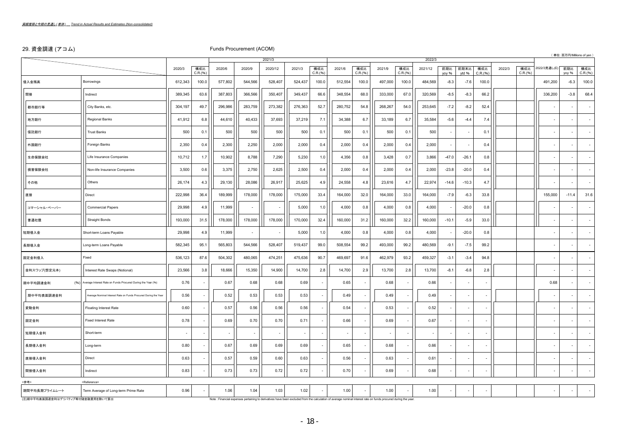### 29. 資金調達 (アコム) わけのことにはない Funds Procurement (ACOM)

| $\sim$ $\sim$ $\sim$ $\sim$ $\sim$ |                                                                 |         |                 |                                                                                                                                                                 |                |         |         |                 |         |                          |         |                          |         |              |                          |                 |        |                 |              |                | (単位:百万円/Millions of yen) |
|------------------------------------|-----------------------------------------------------------------|---------|-----------------|-----------------------------------------------------------------------------------------------------------------------------------------------------------------|----------------|---------|---------|-----------------|---------|--------------------------|---------|--------------------------|---------|--------------|--------------------------|-----------------|--------|-----------------|--------------|----------------|--------------------------|
|                                    |                                                                 |         |                 |                                                                                                                                                                 |                | 2021/3  |         |                 |         |                          |         |                          | 2022/3  |              |                          |                 |        |                 |              |                |                          |
|                                    |                                                                 | 2020/3  | 構成比<br>C.R.(96) | 2020/6                                                                                                                                                          | 2020/9         | 2020/12 | 2021/3  | 構成比<br>C.R.(96) | 2021/6  | 構成比<br>C.R.(96)          | 2021/9  | 構成比<br>C.R.(96)          | 2021/12 | 前期比<br>vov % | 前期末比<br>vtd %            | 構成比<br>C.R.(96) | 2022/3 | 構成比<br>C.R.(96) | 2022/3見通し(E) | 前期比<br>yoy %   | 構成比<br>C.R.(96)          |
| 借入金残高                              | Borrowings                                                      | 612,343 | 100.0           | 577,802                                                                                                                                                         | 544,566        | 528,407 | 524,437 | 100.0           | 512,554 | 100.0                    | 497,000 | 100.0                    | 484,569 | $-8.3$       | $-7.6$                   | 100.0           |        |                 | 491,200      | $-6.3$         | 100.0                    |
| 間接                                 | Indirect                                                        | 389,345 | 63.6            | 387,803                                                                                                                                                         | 366,566        | 350,407 | 349,437 | 66.6            | 348,554 | 68.0                     | 333,000 | 67.0                     | 320,569 | $-8.5$       | $-8.3$                   | 66.2            |        |                 | 336,200      | $-3.8$         | 68.4                     |
| 都市銀行等                              | City Banks, etc.                                                | 304,197 | 49.7            | 296,986                                                                                                                                                         | 283,759        | 273,382 | 276,363 | 52.7            | 280,752 | 54.8                     | 268,267 | 54.0                     | 253,645 | $-7.2$       | $-8.2$                   | 52.4            |        |                 |              |                |                          |
| 地方銀行                               | Regional Banks                                                  | 41,912  | 6.8             | 44,610                                                                                                                                                          | 40,433         | 37,693  | 37,219  | 7.1             | 34,388  | 6.7                      | 33,189  | 6.7                      | 35,584  | $-5.6$       | $-4.4$                   | 7.4             |        |                 |              |                |                          |
| 信託銀行                               | <b>Trust Banks</b>                                              | 500     | 0.1             | 500                                                                                                                                                             | 500            | 500     | 500     | 0.1             | 500     | 0.1                      | 500     | 0.1                      | 500     |              |                          | 0.1             |        |                 |              |                |                          |
| 外国銀行                               | Foreign Banks                                                   | 2,350   | 0.4             | 2,300                                                                                                                                                           | 2,250          | 2,000   | 2,000   | 0.4             | 2,000   | 0.4                      | 2,000   | 0.4                      | 2,000   |              |                          | 0.4             |        |                 |              |                |                          |
| 生命保険会社                             | Life Insurance Companies                                        | 10,712  | 1.7             | 10,902                                                                                                                                                          | 8,788          | 7,290   | 5,230   | 1.0             | 4,356   | 0.8                      | 3,428   | 0.7                      | 3,866   | $-47.0$      | $-26.1$                  | 0.8             |        |                 |              |                |                          |
| 損害保険会社                             | Non-life Insurance Companies                                    | 3,500   | 0.6             | 3,375                                                                                                                                                           | 2,750          | 2,625   | 2,500   | 0.4             | 2,000   | 0.4                      | 2,000   | 0.4                      | 2,000   | $-23.8$      | $-20.0$                  | 0.4             |        |                 |              |                |                          |
| その他                                | Others                                                          | 26,174  | 4.3             | 29,130                                                                                                                                                          | 28,086         | 26,917  | 25,625  | 4.9             | 24,558  | 4.8                      | 23,616  | 4.7                      | 22,974  | $-14.6$      | $-10.3$                  | 4.7             |        |                 |              |                |                          |
| 直接                                 | Direct                                                          | 222,998 | 36.4            | 189,999                                                                                                                                                         | 178,000        | 178,000 | 175,000 | 33.4            | 164,000 | 32.0                     | 164,000 | 33.0                     | 164,000 | $-7.9$       | $-6.3$                   | 33.8            |        |                 | 155,000      | $-11.4$        | 31.6                     |
| コマーシャル・ペーパー                        | <b>Commercial Papers</b>                                        | 29,998  | 4.9             | 11,999                                                                                                                                                          | $\blacksquare$ |         | 5,000   | 1.0             | 4,000   | 0.8                      | 4,000   | 0.8                      | 4,000   |              | $-20.0$                  | 0.8             |        |                 |              |                |                          |
| 普通社債                               | <b>Straight Bonds</b>                                           | 193,000 | 31.5            | 178,000                                                                                                                                                         | 178,000        | 178,000 | 170,000 | 32.4            | 160,000 | 31.2                     | 160,000 | 32.2                     | 160,000 | $-10.1$      | $-5.9$                   | 33.0            |        |                 |              |                |                          |
| 短期借入金                              | Short-term Loans Payable                                        | 29,998  | 4.9             | 11,999                                                                                                                                                          | $\sim$         |         | 5,000   | 1.0             | 4,000   | 0.8                      | 4,000   | 0.8                      | 4,000   |              | $-20.0$                  | 0.8             |        |                 |              |                |                          |
| 長期借入金                              | Long-term Loans Payable                                         | 582,345 | 95.1            | 565,803                                                                                                                                                         | 544,566        | 528,407 | 519,437 | 99.0            | 508,554 | 99.2                     | 493,000 | 99.2                     | 480,569 | $-9.1$       | $-7.5$                   | 99.2            |        |                 |              |                |                          |
| 固定金利借入                             | Fixed                                                           | 536,123 | 87.6            | 504,302                                                                                                                                                         | 480,065        | 474,251 | 475,636 | 90.7            | 469,697 | 91.6                     | 462,979 | 93.2                     | 459,327 | $-3.1$       | $-3.4$                   | 94.8            |        |                 |              |                |                          |
| 金利スワップ(想定元本)                       | Interest Rate Swaps (Notional)                                  | 23,566  | 3.8             | 18,666                                                                                                                                                          | 15,350         | 14,900  | 14,700  | 2.8             | 14,700  | 2.9                      | 13,700  | 2.8                      | 13,700  | $-8.1$       | $-6.8$                   | 2.8             |        |                 |              |                |                          |
| 期中平均調達金利                           | (%) Average Interest Rate on Funds Procured During the Year (%) | 0.76    |                 | 0.67                                                                                                                                                            | 0.68           | 0.68    | 0.69    |                 | 0.65    |                          | 0.68    | $\overline{\phantom{a}}$ | 0.66    |              | $\sim$                   |                 |        |                 | 0.68         |                |                          |
| 期中平均表面調達金利                         | Average Nominal Interest Rate on Funds Procured During the Year | 0.56    |                 | 0.52                                                                                                                                                            | 0.53           | 0.53    | 0.53    |                 | 0.49    |                          | 0.49    | ÷,                       | 0.49    |              | ÷,                       |                 |        |                 |              |                |                          |
| 変動金利                               | Floating Interest Rate                                          | 0.60    |                 | 0.57                                                                                                                                                            | 0.56           | 0.56    | 0.56    |                 | 0.54    |                          | 0.53    | $\overline{\phantom{a}}$ | 0.52    |              | $\blacksquare$           |                 |        |                 |              |                |                          |
| 固定金利                               | <b>Fixed Interest Rate</b>                                      | 0.78    |                 | 0.69                                                                                                                                                            | 0.70           | 0.70    | 0.71    |                 | 0.66    |                          | 0.69    | $\overline{\phantom{a}}$ | 0.67    |              |                          |                 |        |                 |              |                |                          |
| 短期借入金利                             | Short-term                                                      |         |                 |                                                                                                                                                                 | ÷,             |         |         |                 |         |                          |         |                          |         |              |                          |                 |        |                 |              |                |                          |
| 長期借入金利                             | Long-term                                                       | 0.80    |                 | 0.67                                                                                                                                                            | 0.69           | 0.69    | 0.69    |                 | 0.65    |                          | 0.68    | $\overline{\phantom{a}}$ | 0.66    |              | $\overline{\phantom{a}}$ |                 |        |                 |              |                |                          |
| 直接借入金利                             | Direct                                                          | 0.63    |                 | 0.57                                                                                                                                                            | 0.59           | 0.60    | 0.63    |                 | 0.56    |                          | 0.63    | $\overline{\phantom{a}}$ | 0.61    |              | $\overline{\phantom{a}}$ |                 |        |                 |              |                |                          |
| 間接借入金利                             | Indirect                                                        | 0.83    |                 | 0.73                                                                                                                                                            | 0.73           | 0.72    | 0.72    |                 | 0.70    |                          | 0.69    |                          | 0.68    |              | $\overline{\phantom{a}}$ |                 |        |                 |              |                |                          |
| <参考>                               | <reference></reference>                                         |         |                 |                                                                                                                                                                 |                |         |         |                 |         |                          |         |                          |         |              |                          |                 |        |                 |              |                |                          |
| 期間平均長期プライムレート                      | Term Average of Long-term Prime Rate                            | 0.96    |                 | 1.06                                                                                                                                                            | 1.04           | 1.03    | 1.02    |                 | 1.00    | $\overline{\phantom{a}}$ | 1.00    | $\overline{\phantom{a}}$ | 1.00    |              | $\sim$                   |                 |        |                 |              | $\blacksquare$ |                          |
| (注)期中平均表面調達金利はデリバティブ等付随金融費用を除いて算出  |                                                                 |         |                 | Note : Financial expenses pertaining to derivatives have been excluded from the calculation of average nominal interest rate on funds procured during the year. |                |         |         |                 |         |                          |         |                          |         |              |                          |                 |        |                 |              |                |                          |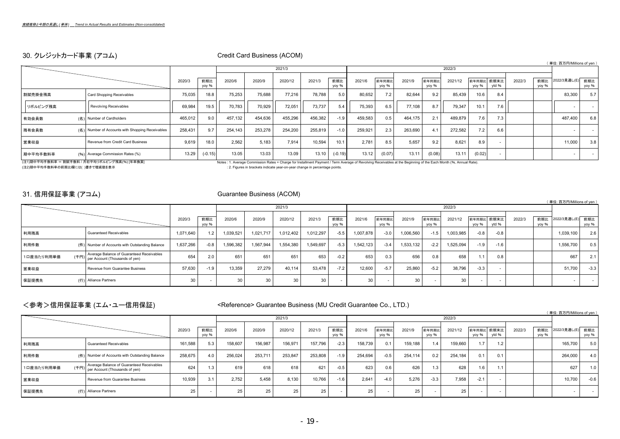# 30. クレジットカード事業 (アコム) Credit Card Business (ACOM)

|          |                                                  |         |              |         |         |         |         |              |         |                |         |                |         |        |                     |        |              | (単位:百万円/Millions of yen) |              |
|----------|--------------------------------------------------|---------|--------------|---------|---------|---------|---------|--------------|---------|----------------|---------|----------------|---------|--------|---------------------|--------|--------------|--------------------------|--------------|
|          |                                                  |         |              |         |         | 2021/3  |         |              |         |                |         |                | 2022/3  |        |                     |        |              |                          |              |
|          |                                                  | 2020/3  | 前期比<br>yoy % | 2020/6  | 2020/9  | 2020/12 | 2021/3  | 前期比<br>yoy % | 2021/6  | 前年同期比<br>yoy % | 2021/9  | 前年同期上<br>yoy % | 2021/12 | yoy %  | 前年同期比 前期末比<br>ytd % | 2022/3 | 前期比<br>yoy % | 2022/3見通し(E)             | 前期比<br>yoy % |
| 割賦売掛金残高  | Card Shopping Receivables                        | 75,035  | 18.8         | 75,253  | 75,688  | 77,216  | 78,788  | 5.0          | 80,652  | 7.2            | 82,644  | 9.2            | 85,439  | 10.6   | 8.4                 |        |              | 83,300                   | 5.7          |
| リボルビング残高 | Revolving Receivables                            | 69,984  | 19.5         | 70.783  | 70,929  | 72,051  | 73.737  | 5.4          | 75,393  | 6.5            | 77.108  | 8.7            | 79.347  | 10.1   | 7.6                 |        |              |                          | $\sim$       |
| 有効会員数    | (名) Number of Cardholders                        | 465,012 | 9.0          | 457,132 | 454,636 | 455,296 | 456,382 | $-1.9$       | 459,583 | 0.5            | 464.175 | 2.1            | 489,879 | 7.6    | 7.3                 |        |              | 487,400                  | 6.8          |
| 残有会員数    | (名) Number of Accounts with Shopping Receivables | 258,431 | 9.7          | 254,143 | 253,278 | 254,200 | 255,819 | $-1.0$       | 259,921 | 2.3            | 263,690 | 4.1            | 272,582 | 7.2    | 6.6                 |        |              |                          | $\sim$       |
| 営業収益     | Revenue from Credit Card Business                | 9,619   | 18.0         | 2.562   | 5.183   | 7,914   | 10.594  | 10.1         | 2.781   | 8.5            | 5.657   | 9.2            | 8.621   | 8.9    |                     |        |              | 11,000                   | 3.8          |
| 期中平均手数料率 | (%) Average Commission Rates (%)                 | 13.29   | $(-0.15)$    | 13.05   | 13.03   | 13.09   | 13.10   | $(-0.19)$    | 13.12   | (0.07)         | 13.11   | (0.08)         | 13.11   | (0.02) |                     |        |              | $\sim$                   | $\sim$       |

(注1)期中平均手数料率 = 割賦手数料 / 月初平均リボルビング残高(%) [年率換算] Notes : 1. Average Commission Rates = Charge for Installment Payment / Term Average of Revolving Receivables at the Beginning of the Each Month (%, Annual Rate). : 2. Figures in brackets indicate year-on-year change in percentage points.

 $($   $\mathbb{R}$   $\mathbb{H}$  :  $\mathbb{F}$   $\mathbb{F}$   $\mathbb{H}$   $\mathbb{M}$   $\mathbb{H}$  is so of year  $\mathbb{N}$ 

# 31. 信用保証事業 (アコム) Cuarantee Business (ACOM)

|            |                                                                                     |           |              |          |           |           |                 |              |           |                |           |                |           |                     |        |        |              | \ 뿌™ : 남겨버/Millions or yen_ |              |
|------------|-------------------------------------------------------------------------------------|-----------|--------------|----------|-----------|-----------|-----------------|--------------|-----------|----------------|-----------|----------------|-----------|---------------------|--------|--------|--------------|-----------------------------|--------------|
|            |                                                                                     |           |              |          |           | 2021/3    |                 |              |           |                |           |                | 2022/3    |                     |        |        |              |                             |              |
|            |                                                                                     | 2020/3    | 前期比<br>vov % | 2020/6   | 2020/9    | 2020/12   | 2021/3          | 前期比<br>yoy % | 2021/6    | 前年同期比<br>yoy % | 2021/9    | 前年同期比<br>yoy % | 2021/12   | 前年同期比 前期末比<br>vov % | vtd %  | 2022/3 | 前期比<br>yoy % | 2022/3見通し(E)                | 前期比<br>yoy % |
| 利用残高       | <b>Guaranteed Receivables</b>                                                       | 1.071.640 | 1.2          | ,039,521 | 1,021,717 | 1,012,402 | 1.012.297       | $-5.5$       | 1.007.878 | $-3.0$         | 1,006,560 | $-1.5$         | 1,003,985 | $-0.8$              | $-0.8$ |        |              | 1,039,100                   | 2.6          |
| 利用件数       | (件) Number of Accounts with Outstanding Balance                                     | 1,637,266 | $-0.8$       | 596,382  | 1,567,944 | .554,380  | 549,697         | $-5.3$       | 1.542.123 | $-3.4$         | 1,533,132 | $-2.2$         | 1,525,094 | $-1.9$              | $-1.6$ |        |              | 1,556,700                   | 0.5          |
| 1口座当たり利用単価 | Average Balance of Guaranteed Receivables<br>(千円)<br>per Account (Thousands of yen) | 654       | 2.0          | 651      | 651       | 651       | 653             | $-0.2$       | 653       | 0.3            | 656       | 0.8            | 658       | 1.1                 | 0.8    |        |              | 667                         |              |
| 営業収益       | Revenue from Guarantee Business                                                     | 57.630    | $-1.9$       | 13.359   | 27.279    | 40.114    | 53.478          | $-7.2$       | 12.600    | $-5.7$         | 25.860    | $-5.2$         | 38.796    | $-3.3$              |        |        |              | 51,700                      | $-3.3$       |
| 保証提携先      | (行) Alliance Partners                                                               | 30        |              | 30       | 30        | 30        | 30 <sub>1</sub> | $\sim$       | 30        |                | 301       | $\sim$         | 30        | . .                 |        |        |              |                             |              |

# <参考>信用保証事業 (エム・ユー信用保証) <>>>>>>><Reference> Guarantee Business (MU Credit Guarantee Co., LTD.)

|            |                                                                                     |         |              |         |         |         |         |              |         |                |                 |                |         |                  |                     |        |              | (単位:百万円/Millions of yen ) |              |
|------------|-------------------------------------------------------------------------------------|---------|--------------|---------|---------|---------|---------|--------------|---------|----------------|-----------------|----------------|---------|------------------|---------------------|--------|--------------|---------------------------|--------------|
|            |                                                                                     |         |              |         |         | 2021/3  |         |              |         |                |                 |                | 2022/3  |                  |                     |        |              |                           |              |
|            |                                                                                     | 2020/3  | 前期比<br>vov % | 2020/6  | 2020/9  | 2020/12 | 2021/3  | 前期比<br>vov % | 2021/6  | 前年同期比<br>vov % | 2021/9          | 前年同期比<br>vov % | 2021/12 | yoy %            | 前年同期比 前期末比<br>vtd % | 2022/3 | 前期比<br>vov % | 2022/3見通し(E)              | 前期比<br>yoy % |
| 利用残高       | <b>Guaranteed Receivables</b>                                                       | 161.588 | 5.3          | 158.607 | 156,987 | 156.971 | 157.796 | $-2.3$       | 158.739 | 0.1            | 159.188         | 1.4            | 159,660 | 1.7              | 1.2                 |        |              | 165,700                   | 5.0          |
| 利用件数       | (件) Number of Accounts with Outstanding Balance                                     | 258,675 | 4.0          | 256,024 | 253,711 | 253,847 | 253,808 | $-1.9$       | 254,694 | $-0.5$         | 254.114         | 0.2            | 254.184 | 0.1              | 0.1                 |        |              | 264,000                   | 4.0          |
| 1口座当たり利用単価 | Average Balance of Guaranteed Receivables<br>(千円)<br>per Account (Thousands of yen) | 624     |              | 619     | 618     | 618     | 621     | $-0.5$       | 623     | 0.6            | 626             | 1.3            | 628     | 1.6 <sub>1</sub> | 1.1                 |        |              | 627                       | 1.0          |
| 営業収益       | Revenue from Guarantee Business                                                     | 10,939  | 3.1          | 2.752   | 5.458   | 8,130   | 10.766  | $-1.6$       | 2.641   | $-4.0$         | 5,276           | $-3.3$         | 7,958   | $-2.1$           |                     |        |              | 10,700                    | $-0.6$       |
| 保証提携先      | (行) Alliance Partners                                                               | 25      |              | 25      | 25      | 25      | 25      |              | 25      |                | 25 <sub>1</sub> |                | 25      |                  |                     |        |              |                           | $\sim$       |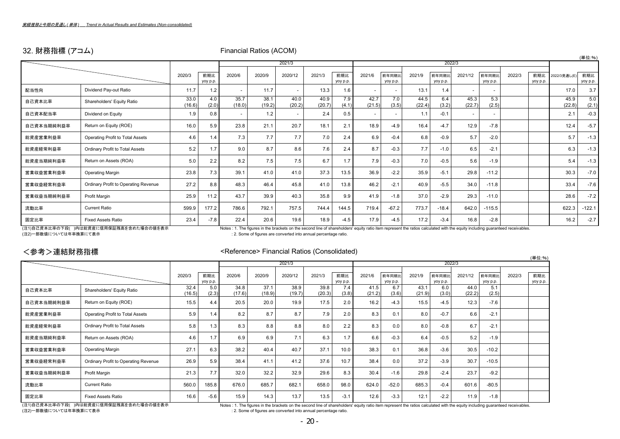# 32. 財務指標 (アコム) Christian Communical Ratios (ACOM)

|            |                                      |                |                 |                |                |                          |                |                 |                |                   |                |                   |                |                          |        |                 |                | (単位:%)          |
|------------|--------------------------------------|----------------|-----------------|----------------|----------------|--------------------------|----------------|-----------------|----------------|-------------------|----------------|-------------------|----------------|--------------------------|--------|-----------------|----------------|-----------------|
|            |                                      |                |                 |                |                | 2021/3                   |                |                 |                |                   |                |                   | 2022/3         |                          |        |                 |                |                 |
|            |                                      | 2020/3         | 前期比<br>yoy p.p. | 2020/6         | 2020/9         | 2020/12                  | 2021/3         | 前期比<br>yoy p.p. | 2021/6         | 前年同期比<br>yoy p.p. | 2021/9         | 前年同期上<br>yoy p.p. | 2021/12        | 前年同期比<br>yoy p.p.        | 2022/3 | 前期比<br>yoy p.p. | 2022/3見通し(E    | 前期比<br>yoy p.p. |
| 配当性向       | Dividend Pay-out Ratio               | 11.7           | 1.2             |                | 11.7           | $\blacksquare$           | 13.3           | 1.6             |                |                   | 13.1           | 1.4               |                | $\overline{\phantom{a}}$ |        |                 | 17.0           | 3.7             |
| 自己資本比率     | Shareholders' Equity Ratio           | 33.0<br>(16.6) | 4.0<br>(2.0)    | 35.7<br>(18.0) | 38.1<br>(19.2) | 40.0<br>(20.2)           | 40.9<br>(20.7) | 7.9<br>(4.1)    | 42.7<br>(21.5) | 7.0<br>(3.5)      | 44.5<br>(22.4) | 6.4<br>(3.2)      | 45.3<br>(22.7) | 5.3<br>(2.5)             |        |                 | 45.9<br>(22.8) | 5.0<br>(2.1)    |
| 自己資本配当率    | Dividend on Equity                   | 1.9            | 0.8             |                | 1.2            | $\overline{\phantom{a}}$ | 2.4            | 0.5             |                |                   | 1.1            | $-0.1$            |                | $\blacksquare$           |        |                 | 2.1            | $-0.3$          |
| 自己資本当期純利益率 | Return on Equity (ROE)               | 16.0           | 5.9             | 23.8           | 21.1           | 20.7                     | 18.1           | 2.1             | 18.9           | $-4.9$            | 16.4           | $-4.7$            | 12.9           | $-7.8$                   |        |                 | 12.4           | $-5.7$          |
| 総資産営業利益率   | Operating Profit to Total Assets     | 4.6            | 1.4             | 7.3            | 7.7            | 7.7                      | 7.0            | 2.4             | 6.9            | $-0.4$            | 6.8            | $-0.9$            | 5.7            | $-2.0$                   |        |                 | 5.7            | $-1.3$          |
| 総資産経常利益率   | Ordinary Profit to Total Assets      | 5.2            | 1.7             | 9.0            | 8.7            | 8.6                      | 7.6            | 2.4             | 8.7            | $-0.3$            | 7.7            | $-1.0$            | 6.5            | $-2.1$                   |        |                 | 6.3            | $-1.3$          |
| 総資産当期純利益率  | Return on Assets (ROA)               | 5.0            | 2.2             | 8.2            | 7.5            | 7.5                      | 6.7            | 1.7             | 7.9            | $-0.3$            | 7.0            | $-0.5$            | 5.6            | $-1.9$                   |        |                 | 5.4            | $-1.3$          |
| 営業収益営業利益率  | <b>Operating Margin</b>              | 23.8           | 7.3             | 39.1           | 41.0           | 41.0                     | 37.3           | 13.5            | 36.9           | $-2.2$            | 35.9           | $-5.1$            | 29.8           | $-11.2$                  |        |                 | 30.3           | $-7.0$          |
| 営業収益経常利益率  | Ordinary Profit to Operating Revenue | 27.2           | 8.8             | 48.3           | 46.4           | 45.8                     | 41.0           | 13.8            | 46.2           | $-2.1$            | 40.9           | $-5.5$            | 34.0           | $-11.8$                  |        |                 | 33.4           | $-7.6$          |
| 営業収益当期純利益率 | Profit Margin                        | 25.9           | 11.2            | 43.7           | 39.9           | 40.3                     | 35.8           | 9.9             | 41.9           | $-1.8$            | 37.0           | $-2.9$            | 29.3           | $-11.0$                  |        |                 | 28.6           | $-7.2$          |
| 流動比率       | <b>Current Ratio</b>                 | 599.9          | 177.2           | 786.6          | 792.1          | 757.5                    | 744.4          | 144.5           | 719.4          | $-67.2$           | 773.7          | $-18.4$           | 642.0          | $-115.5$                 |        |                 | 622.3          | $-122.1$        |
| 固定比率       | <b>Fixed Assets Ratio</b>            | 23.4           | $-7.8$          | 22.4           | 20.6           | 19.6                     | 18.9           | $-4.5$          | 17.9           | $-4.5$            | 17.2           | $-3.4$            | 16.8           | $-2.8$                   |        |                 | 16.2           | $-2.7$          |
|            |                                      |                |                 |                |                |                          |                |                 |                |                   |                |                   |                |                          |        |                 |                |                 |

(注1)自己資本比率の下段( )内は総資産に信用保証残高を含めた場合の値を表示 Notes : 1. The figures in the brackets on the second line of shareholders' equity ratio item represent the ratios calculated with the equity including guaranteed receivables.<br>(注2)一 : 2. Some of figures are converted into annual percentage ratio.

 $\sim$ 

 $(1 + 1)$ 

# <参考>連結財務指標 <Reference> Financial Ratios (Consolidated)

|            |                                      |        |          |        |        |         |        |          |        |          |        |          |         |          |        | (単位:%)   |
|------------|--------------------------------------|--------|----------|--------|--------|---------|--------|----------|--------|----------|--------|----------|---------|----------|--------|----------|
|            |                                      |        |          |        |        | 2021/3  |        |          |        |          |        | 2022/3   |         |          |        |          |
|            |                                      |        |          |        |        |         |        |          |        |          |        |          |         |          |        |          |
|            |                                      | 2020/3 | 前期比      | 2020/6 | 2020/9 | 2020/12 | 2021/3 | 前期比      | 2021/6 | 前年同期比    | 2021/9 | 前年同期比    | 2021/12 | 前年同期比    | 2022/3 | 前期比      |
|            |                                      |        | yoy p.p. |        |        |         |        | yoy p.p. |        | yoy p.p. |        | yoy p.p. |         | yoy p.p. |        | yoy p.p. |
|            |                                      | 32.4   | 5.0      | 34.8   | 37.1   | 38.9    | 39.8   | 7.4      | 41.5   | 6.7      | 43.1   | 6.0      | 44.0    | 5.1      |        |          |
| 自己資本比率     | Shareholders' Equity Ratio           | (16.5) | (2.3)    | (17.6) | (18.9) | (19.7)  | (20.3) | (3.8)    | (21.2) | (3.6)    | (21.9) | (3.0)    | (22.2)  | (2.5)    |        |          |
| 自己資本当期純利益率 | Return on Equity (ROE)               | 15.5   | 4.4      | 20.5   | 20.0   | 19.9    | 17.5   | 2.0      | 16.2   | $-4.3$   | 15.5   | $-4.5$   | 12.3    | $-7.6$   |        |          |
|            |                                      |        |          |        |        |         |        |          |        |          |        |          |         |          |        |          |
| 総資産営業利益率   | Operating Profit to Total Assets     | 5.9    | 1.4      | 8.2    | 8.7    | 8.7     | 7.9    | 2.0      | 8.3    | 0.1      | 8.0    | $-0.7$   | 6.6     | $-2.1$   |        |          |
|            |                                      |        |          |        |        |         |        |          |        |          |        |          |         |          |        |          |
| 総資産経常利益率   | Ordinary Profit to Total Assets      | 5.8    | 1.3      | 8.3    | 8.8    | 8.8     | 8.0    | 2.2      | 8.3    | 0.0      | 8.0    | $-0.8$   | 6.7     | $-2.1$   |        |          |
| 総資産当期純利益率  | Return on Assets (ROA)               | 4.6    | 1.7      | 6.9    | 6.9    | 7.1     | 6.3    | 1.7      | 6.6    | $-0.3$   | 6.4    | $-0.5$   | 5.2     | $-1.9$   |        |          |
|            |                                      |        |          |        |        |         |        |          |        |          |        |          |         |          |        |          |
| 営業収益営業利益率  | <b>Operating Margin</b>              | 27.1   | 6.3      | 38.2   | 40.4   | 40.7    | 37.1   | 10.0     | 38.3   | 0.1      | 36.8   | $-3.6$   | 30.5    | $-10.2$  |        |          |
| 営業収益経常利益率  | Ordinary Profit to Operating Revenue | 26.9   | 5.9      | 38.4   | 41.1   | 41.2    | 37.6   | 10.7     | 38.4   | 0.0      | 37.2   | $-3.9$   | 30.7    | $-10.5$  |        |          |
|            |                                      |        |          |        |        |         |        |          |        |          |        |          |         |          |        |          |
| 営業収益当期純利益率 | Profit Margin                        | 21.3   | 7.7      | 32.0   | 32.2   | 32.9    | 29.6   | 8.3      | 30.4   | $-1.6$   | 29.8   | $-2.4$   | 23.7    | $-9.2$   |        |          |
| 流動比率       | <b>Current Ratio</b>                 | 560.0  | 185.8    | 676.0  | 685.7  | 682.1   | 658.0  | 98.0     | 624.0  | $-52.0$  | 685.3  | $-0.4$   | 601.6   | $-80.5$  |        |          |
|            |                                      |        |          |        |        |         |        |          |        |          |        |          |         |          |        |          |
| 固定比率       | <b>Fixed Assets Ratio</b>            | 16.6   | $-5.6$   | 15.9   | 14.3   | 13.7    | 13.5   | $-3.1$   | 12.6   | $-3.3$   | 12.1   | $-2.2$   | 11.9    | $-1.8$   |        |          |
|            |                                      |        |          | .      |        |         |        |          |        |          |        | .        |         |          |        |          |

(注2)一部数値については年率換算にて表示 : 2. Some of figures are converted into annual percentage ratio.

(注1)自己資本比率の下段( )内は総資産に信用保証残高を含めた場合の値を表示 Notes : 1. The figures in the brackets on the second line of shareholders' equity ratio item represent the ratios calculated with the equity including guaranteed receivables.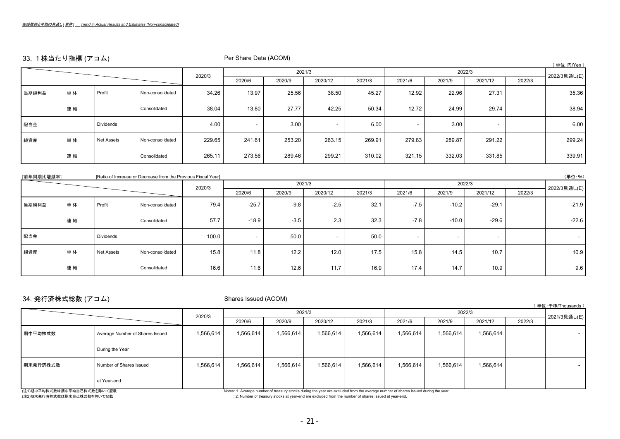# 33. 1株当たり指標 (アコム) Per Share Data (ACOM)

|       | $\frac{1}{2}$ |                  |                  |        |                          |        |         |        |        |        |                          |        | (単位:円/Yen)   |
|-------|---------------|------------------|------------------|--------|--------------------------|--------|---------|--------|--------|--------|--------------------------|--------|--------------|
|       |               |                  |                  | 2020/3 |                          |        | 2021/3  |        |        |        | 2022/3                   |        | 2022/3見通し(E) |
|       |               |                  |                  |        | 2020/6                   | 2020/9 | 2020/12 | 2021/3 | 2021/6 | 2021/9 | 2021/12                  | 2022/3 |              |
| 当期純利益 | 単体            | Profit           | Non-consolidated | 34.26  | 13.97                    | 25.56  | 38.50   | 45.27  | 12.92  | 22.96  | 27.31                    |        | 35.36        |
|       | 連結            |                  | Consolidated     | 38.04  | 13.80                    | 27.77  | 42.25   | 50.34  | 12.72  | 24.99  | 29.74                    |        | 38.94        |
| 配当金   |               | <b>Dividends</b> |                  | 4.00   | $\overline{\phantom{a}}$ | 3.00   |         | 6.00   | $\sim$ | 3.00   | $\overline{\phantom{a}}$ |        | 6.00         |
| 純資産   | 単体            | Net Assets       | Non-consolidated | 229.65 | 241.61                   | 253.20 | 263.15  | 269.91 | 279.83 | 289.87 | 291.22                   |        | 299.24       |
|       | 連結            |                  | Consolidated     | 265.11 | 273.56                   | 289.46 | 299.21  | 310.02 | 321.15 | 332.03 | 331.85                   |        | 339.91       |

| [前年同期比増減率] |    |                  | [Ratio of Increase or Decrease from the Previous Fiscal Year] |        |         |        |                          |        |        |         |         |        | (単位:%)       |
|------------|----|------------------|---------------------------------------------------------------|--------|---------|--------|--------------------------|--------|--------|---------|---------|--------|--------------|
|            |    |                  |                                                               | 2020/3 |         |        | 2021/3                   |        |        |         | 2022/3  |        | 2022/3見通し(E) |
|            |    |                  |                                                               |        | 2020/6  | 2020/9 | 2020/12                  | 2021/3 | 2021/6 | 2021/9  | 2021/12 | 2022/3 |              |
| 当期純利益      | 単体 | Profit           | Non-consolidated                                              | 79.4   | $-25.7$ | $-9.8$ | $-2.5$                   | 32.1   | $-7.5$ | $-10.2$ | $-29.1$ |        | $-21.9$      |
|            | 連結 |                  | Consolidated                                                  | 57.7   | $-18.9$ | $-3.5$ | 2.3                      | 32.3   | $-7.8$ | $-10.0$ | $-29.6$ |        | $-22.6$      |
| 配当金        |    | <b>Dividends</b> |                                                               | 100.0  | $\sim$  | 50.0   | $\overline{\phantom{a}}$ | 50.0   | $\sim$ | $\sim$  |         |        | $\sim$       |
| 純資産        | 単体 | Net Assets       | Non-consolidated                                              | 15.8   | 11.8    | 12.2   | 12.0                     | 17.5   | 15.8   | 14.5    | 10.7    |        | 10.9         |
|            | 連結 |                  | Consolidated                                                  | 16.6   | 11.6    | 12.6   | 11.7                     | 16.9   | 17.4   | 14.7    | 10.9    |        | 9.6          |

# 34. 発行済株式総数 (アコム) Shares Issued (ACOM)

|                                                                                                                                                                                                                                |                                 |           |           |           |                                                                                                                 |           |           |              |           |  | (単位:千株/Thousands) |
|--------------------------------------------------------------------------------------------------------------------------------------------------------------------------------------------------------------------------------|---------------------------------|-----------|-----------|-----------|-----------------------------------------------------------------------------------------------------------------|-----------|-----------|--------------|-----------|--|-------------------|
|                                                                                                                                                                                                                                |                                 |           |           |           | 2021/3                                                                                                          |           |           | 2021/3見通し(E) |           |  |                   |
|                                                                                                                                                                                                                                | 2020/3                          | 2020/6    | 2020/9    | 2020/12   | 2021/3                                                                                                          | 2021/6    | 2021/9    | 2021/12      | 2022/3    |  |                   |
| 期中平均株式数                                                                                                                                                                                                                        | Average Number of Shares Issued | 1,566,614 | 1,566,614 | 1,566,614 | 1,566,614                                                                                                       | 1,566,614 | 1,566,614 | 1,566,614    | 1,566,614 |  |                   |
|                                                                                                                                                                                                                                | During the Year                 |           |           |           |                                                                                                                 |           |           |              |           |  |                   |
| 期末発行済株式数                                                                                                                                                                                                                       | Number of Shares Issued         | 1,566,614 | 1,566,614 | 1,566,614 | 1,566,614                                                                                                       | 1,566,614 | 1,566,614 | 1,566,614    | 1,566,614 |  |                   |
| The second contract the property of the second contract of the second contract of the second contract of the second contract of the second contract of the second contract of the second contract of the second contract of th | at Year-end                     |           |           |           | the contract of the contract of the contract of the contract of the contract of the contract of the contract of |           | .         |              |           |  |                   |

(注1)期中平均株式数は期中平均自己株式数を除いて記載 インディングのプロジェクトンのプロジェクトンのプロジェクトンの Notes: 1. Average number of treasury stocks during the year are excluded from the average number of shares issued during the year.<br>(注2)期末発行済株式数は期末自己株式数を除いて記載

: 2. Number of treasury stocks at year-end are excluded from the number of shares issued at year-end.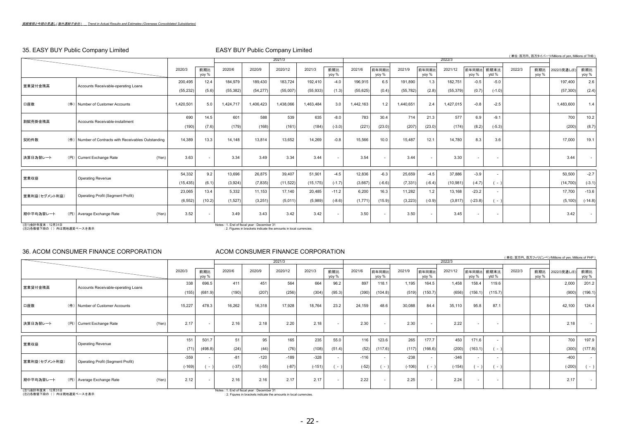# 35. EASY BUY Public Company Limited EASY BUY Public Company Limited

|                           | <b>SO.</b> ENG. BOT I GDID COMPANY EMMICY            |           |              | LAOT DOT'T GDID OOITIPGITY LITTINGS    |           |           |           |              |           |                |           |                |           |                     |                          |        |              | (単位:百万円、百万タイバーツ/Milions of yen, Millions of THB |              |
|---------------------------|------------------------------------------------------|-----------|--------------|----------------------------------------|-----------|-----------|-----------|--------------|-----------|----------------|-----------|----------------|-----------|---------------------|--------------------------|--------|--------------|-------------------------------------------------|--------------|
|                           |                                                      |           |              |                                        |           | 2021/3    |           |              |           |                |           |                | 2022/3    |                     |                          |        |              |                                                 |              |
|                           |                                                      | 2020/3    | 前期比<br>yoy % | 2020/6                                 | 2020/9    | 2020/12   | 2021/3    | 前期比<br>yoy % | 2021/6    | 前年同期比<br>yoy % | 2021/9    | 前年同期比<br>yoy % | 2021/12   | 前年同期比 前期末比<br>yoy % | vtd %                    | 2022/3 | 前期比<br>yoy % | 2022/3見通し(E)                                    | 前期比<br>yoy % |
| 営業貸付金残高                   | Accounts Receivable-operating Loans                  | 200,495   | 12.4         | 184,979                                | 189.430   | 183,724   | 192,410   | $-4.0$       | 196,915   | 6.5            | 191,890   | 1.3            | 182,751   | $-0.5$              | $-5.0$                   |        |              | 197.400                                         | 2.6          |
|                           |                                                      | (55, 232) | (5.6)        | (55, 382)                              | (54, 277) | (55,007)  | (55, 933) | (1.3)        | (55, 625) | (0.4)          | (55, 782) | (2.8)          | (55, 379) | (0.7)               | $(-1.0)$                 |        |              | (57, 300)                                       | (2.4)        |
| 口座数                       | Number of Customer Accounts<br>$(4+)$                | 1,420,501 | 5.0          | ,424,717                               | 1,406,423 | 1,438,066 | 1,463,484 | 3.0          | 1,442,163 | 1.2            | 1,440,651 | 2.4            | 1,427,015 | $-0.8$              | $-2.5$                   |        |              | 1,483,600                                       | 1.4          |
| 割賦売掛金残高                   | Accounts Receivable-installment                      | 690       | 14.5         | 601                                    | 588       | 539       | 635       | $-8.0$       | 783       | 30.4           | 714       | 21.3           | 577       | 6.9                 | $-9.1$                   |        |              | 700                                             | 10.2         |
|                           |                                                      | (190)     | (7.6)        | (179)                                  | (168)     | (161)     | (184)     | $(-3.0)$     | (221)     | (23.0)         | (207)     | (23.0)         | (174)     | (8.2)               | $(-5.3)$                 |        |              | (200)                                           | (8.7)        |
| 契約件数                      | (件) Number of Contracts with Receivables Outstanding | 14,389    | 13.3         | 14,148                                 | 13,814    | 13.652    | 14,269    | $-0.8$       | 15,566    | 10.0           | 15,487    | 12.1           | 14,780    | 8.3                 | 3.6                      |        |              | 17,000                                          | 19.1         |
| 決算日為替レート                  | (円) Current Exchange Rate<br>(Yen)                   | 3.63      |              | 3.34                                   | 3.49      | 3.34      | 3.44      |              | 3.54      |                | 3.44      |                | 3.30      |                     |                          |        |              | 3.44                                            |              |
|                           |                                                      | 54,332    | 9.2          | 13,696                                 | 26,875    | 39,407    | 51,901    | $-4.5$       | 12,836    | $-6.3$         | 25,659    | $-4.5$         | 37,886    | $-3.9$              |                          |        |              | 50,500                                          | $-2.7$       |
| 営業収益                      | <b>Operating Revenue</b>                             | (15, 435) | (6.1)        | (3,924)                                | (7, 835)  | (11, 522) | (15, 175) | $(-1.7)$     | (3,667)   | $(-6.6)$       | (7, 331)  | $(-6.4)$       | (10, 981) | $(-4.7)$            | $( - 1)$                 |        |              | (14, 700)                                       | $(-3.1)$     |
| 営業利益(セグメント利益)             |                                                      | 23,065    | 13.4         | 5,332                                  | 11,153    | 17.140    | 20,485    | $-11.2$      | 6,200     | 16.3           | 11,282    | 1.2            | 13,168    | $-23.2$             |                          |        |              | 17.700                                          | $-13.6$      |
|                           | <b>Operating Profit (Segment Profit)</b>             | (6, 552)  | (10.2)       | (1,527)                                | (3,251)   | (5,011)   | (5,989)   | $(-8.6)$     | (1,771)   | (15.9)         | (3, 223)  | $(-0.9)$       | (3, 817)  | $(-23.8)$           | $($ -                    |        |              | (5, 100)                                        | $(-14.8)$    |
| 期中平均為替レート                 | (Yen)<br>(円) Average Exchange Rate                   | 3.52      | $\sim$       | 3.49                                   | 3.43      | 3.42      | 3.42      |              | 3.50      |                | 3.50      |                | 3.45      |                     | $\overline{\phantom{a}}$ |        |              | 3.42                                            | $\sim$       |
| <b>1341ABLER-B-10BALD</b> |                                                      |           |              | $1.1 - 4.5 - 1.65 - 1 - 5 - 0.1 - 0.0$ |           |           |           |              |           |                |           |                |           |                     |                          |        |              |                                                 |              |

(注1)会計年度末:12月31日<br>(注2)各数値下段の( )内は現地通貨ベースを表示

 $Notes: 1.$  End of fiscal year : December 31 : 2. Figures in brackets indicate the amounts in local currencies.

### 36. ACOM CONSUMER FINANCE CORPORATION ACOM CONSUMER FINANCE CORPORATION

|                                                |                                     |       |              |                  |              |                                                                                                                   | 2021/3       |              |                |              |                          |                |                          |                |                          |                          |        |              | (単位:百万円、百万フィリピンペソ/Millions of yen, Millions of PHP) |                          |
|------------------------------------------------|-------------------------------------|-------|--------------|------------------|--------------|-------------------------------------------------------------------------------------------------------------------|--------------|--------------|----------------|--------------|--------------------------|----------------|--------------------------|----------------|--------------------------|--------------------------|--------|--------------|-----------------------------------------------------|--------------------------|
|                                                |                                     |       |              |                  |              | 2022/3                                                                                                            |              |              |                |              |                          |                |                          |                |                          |                          |        |              |                                                     |                          |
|                                                |                                     |       | 2020/3       | 前期比<br>yoy %     | 2020/6       | 2020/9                                                                                                            | 2020/12      | 2021/3       | 前期比<br>yoy %   | 2021/6       | 前年同期比<br>yoy %           | 2021/9         | 前年同期比<br>yoy %           | 2021/12        | 前年同期比<br>yoy %           | 前期末比<br>ytd %            | 2022/3 | 前期比<br>yoy % | 2022/3見通し(E)                                        | 前期比<br>yoy %             |
| 営業貸付金残高                                        | Accounts Receivable-operating Loans |       | 338<br>(155) | 696.5<br>(681.9) | 411<br>(190) | 451<br>(207)                                                                                                      | 564<br>(256) | 664<br>(304) | 96.2<br>(95.3) | 897<br>(390) | 118.1<br>(104.8)         | 1.195<br>(519) | 164.5<br>(150.7)         | 1,458<br>(656) | 158.4<br>(156.1)         | 119.6<br>(115.7)         |        |              | 2,000<br>(900)                                      | 201.2<br>(196.1)         |
| 口座数                                            | (件) Number of Customer Accounts     |       | 15,227       | 478.3            | 16,262       | 16,318                                                                                                            | 17,928       | 18,764       | 23.2           | 24,159       | 48.6                     | 30,088         | 84.4                     | 35,110         | 95.8                     | 87.1                     |        |              | 42,100                                              | 124.4                    |
| 決算日為替レート                                       | (円) Current Exchange Rate           | (Yen) | 2.17         | $\sim$           | 2.16         | 2.18                                                                                                              | 2.20         | 2.18         |                | 2.30         | $\overline{\phantom{a}}$ | 2.30           | $\overline{\phantom{a}}$ | 2.22           | $\overline{\phantom{a}}$ | $\sim$                   |        |              | 2.18                                                | $\sim$                   |
|                                                |                                     |       | 151          | 501.7            | 51           | 95                                                                                                                | 165          | 235          | 55.0           | 116          | 123.6                    | 265            | 177.7                    | 450            | 171.6                    |                          |        |              | 700                                                 | 197.9                    |
| 営業収益                                           | <b>Operating Revenue</b>            |       | (71)         | (498.8)          | (24)         | (44)                                                                                                              | (76)         | (108)        | (51.4)         | (52)         | (117.6)                  | (117)          | (166.6)                  | (200)          | (163.1)                  | $-$ )                    |        |              | (300)                                               | (177.8)                  |
|                                                |                                     |       | $-359$       |                  | $-81$        | $-120$                                                                                                            | $-189$       | $-328$       |                | $-116$       | $\sim$                   | $-238$         | $\overline{\phantom{a}}$ | $-346$         | $\overline{\phantom{a}}$ | $\overline{\phantom{a}}$ |        |              | $-400$                                              | $\overline{\phantom{a}}$ |
| 営業利益(セグメント利益)                                  | Operating Profit (Segment Profit)   |       | $(-169)$     | $\sim$           | $(-37)$      | $(-55)$                                                                                                           | $(-87)$      | $(-151)$     | $\sim$         | $(-52)$      | $ \lambda$               | $(-106)$       | $( - 1)$                 | $(-154)$       | $( - )$                  | $\sim$ $\sim$            |        |              | $(-200)$                                            | $(-)$                    |
| 期中平均為替レート                                      | (円) Average Exchange Rate           | (Yen) | 2.12         |                  | 2.16         | 2.16                                                                                                              | 2.17         | 2.17         |                | 2.22         | $\sim$                   | 2.25           | $\overline{\phantom{a}}$ | 2.24           | $\overline{\phantom{a}}$ | $\overline{\phantom{a}}$ |        |              | 2.17                                                | $\sim$                   |
| (注1) 会計年度末: 12月31日<br>(注2)各数値下段の()内は現地通貨ベースを表示 |                                     |       |              |                  |              | Notes : 1. End of fiscal year : December 31<br>: 2. Figures in brackets indicate the amounts in local currencies. |              |              |                |              |                          |                |                          |                |                          |                          |        |              |                                                     |                          |